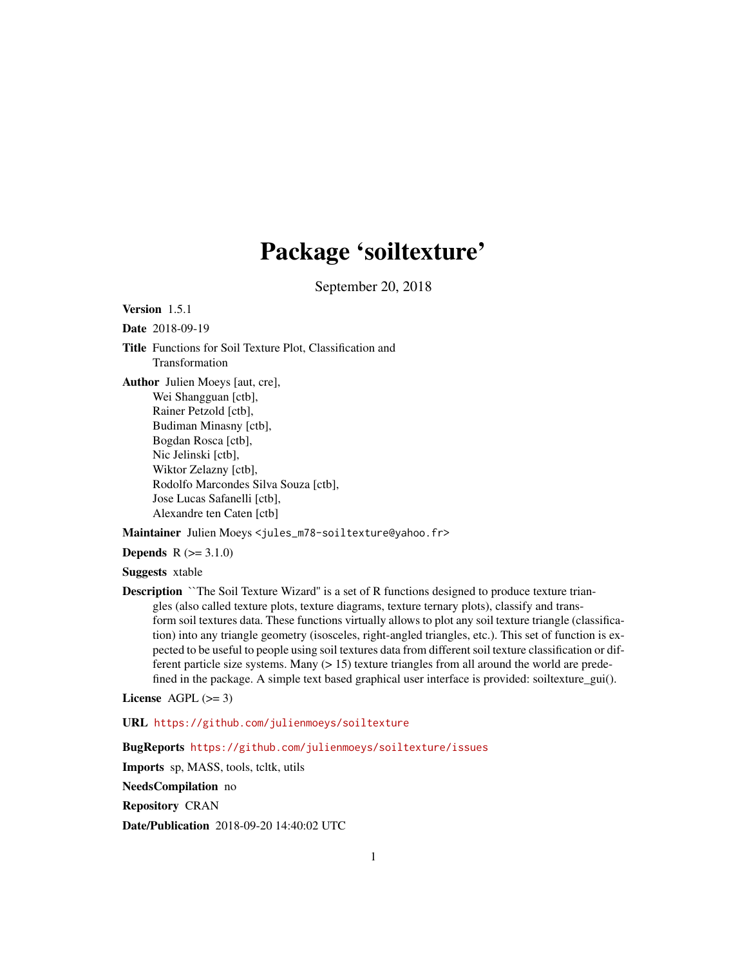# Package 'soiltexture'

September 20, 2018

<span id="page-0-0"></span>Version 1.5.1

Date 2018-09-19

Title Functions for Soil Texture Plot, Classification and Transformation

Author Julien Moeys [aut, cre], Wei Shangguan [ctb], Rainer Petzold [ctb], Budiman Minasny [ctb], Bogdan Rosca [ctb], Nic Jelinski [ctb], Wiktor Zelazny [ctb], Rodolfo Marcondes Silva Souza [ctb], Jose Lucas Safanelli [ctb], Alexandre ten Caten [ctb]

Maintainer Julien Moeys <jules\_m78-soiltexture@yahoo.fr>

**Depends**  $R (=3.1.0)$ 

Suggests xtable

Description ``The Soil Texture Wizard'' is a set of R functions designed to produce texture triangles (also called texture plots, texture diagrams, texture ternary plots), classify and transform soil textures data. These functions virtually allows to plot any soil texture triangle (classification) into any triangle geometry (isosceles, right-angled triangles, etc.). This set of function is expected to be useful to people using soil textures data from different soil texture classification or different particle size systems. Many (> 15) texture triangles from all around the world are predefined in the package. A simple text based graphical user interface is provided: soiltexture\_gui().

License AGPL  $(>= 3)$ 

URL <https://github.com/julienmoeys/soiltexture>

BugReports <https://github.com/julienmoeys/soiltexture/issues>

Imports sp, MASS, tools, tcltk, utils

NeedsCompilation no

Repository CRAN

Date/Publication 2018-09-20 14:40:02 UTC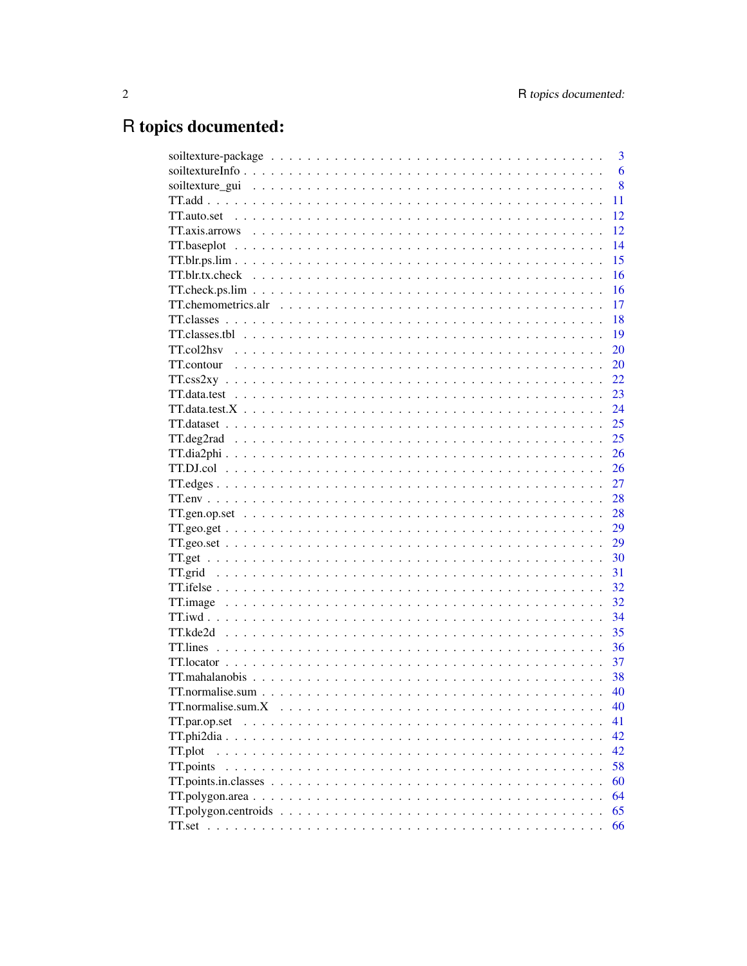# R topics documented:

|                                                                                                                                                                                                                                                                                                                                                                                                                            | 3  |
|----------------------------------------------------------------------------------------------------------------------------------------------------------------------------------------------------------------------------------------------------------------------------------------------------------------------------------------------------------------------------------------------------------------------------|----|
|                                                                                                                                                                                                                                                                                                                                                                                                                            | 6  |
|                                                                                                                                                                                                                                                                                                                                                                                                                            | 8  |
|                                                                                                                                                                                                                                                                                                                                                                                                                            | 11 |
|                                                                                                                                                                                                                                                                                                                                                                                                                            | 12 |
|                                                                                                                                                                                                                                                                                                                                                                                                                            | 12 |
|                                                                                                                                                                                                                                                                                                                                                                                                                            | 14 |
|                                                                                                                                                                                                                                                                                                                                                                                                                            | 15 |
|                                                                                                                                                                                                                                                                                                                                                                                                                            | 16 |
|                                                                                                                                                                                                                                                                                                                                                                                                                            | 16 |
|                                                                                                                                                                                                                                                                                                                                                                                                                            | 17 |
|                                                                                                                                                                                                                                                                                                                                                                                                                            | 18 |
|                                                                                                                                                                                                                                                                                                                                                                                                                            | 19 |
|                                                                                                                                                                                                                                                                                                                                                                                                                            | 20 |
|                                                                                                                                                                                                                                                                                                                                                                                                                            | 20 |
|                                                                                                                                                                                                                                                                                                                                                                                                                            | 22 |
|                                                                                                                                                                                                                                                                                                                                                                                                                            | 23 |
| $TT. data.test.X \n\t\ldots \n\t\ldots \n\t\ldots \n\t\ldots \n\t\ldots \n\t\ldots \n\t\ldots \n\t\ldots \n\t\ldots \n\t\ldots \n\t\ldots \n\t\ldots \n\t\ldots \n\t\ldots \n\t\ldots \n\t\ldots \n\t\ldots \n\t\ldots \n\t\ldots \n\t\ldots \n\t\ldots \n\t\ldots \n\t\ldots \n\t\ldots \n\t\ldots \n\t\ldots \n\t\ldots \n\t\ldots \n\t\ldots \n\t\ldots \n\t\ldots \n\t\ldots \n\t\ldots \n\t\ldots \n\t\ldots \n\t\ld$ | 24 |
|                                                                                                                                                                                                                                                                                                                                                                                                                            | 25 |
|                                                                                                                                                                                                                                                                                                                                                                                                                            | 25 |
|                                                                                                                                                                                                                                                                                                                                                                                                                            | 26 |
|                                                                                                                                                                                                                                                                                                                                                                                                                            | 26 |
|                                                                                                                                                                                                                                                                                                                                                                                                                            | 27 |
|                                                                                                                                                                                                                                                                                                                                                                                                                            | 28 |
|                                                                                                                                                                                                                                                                                                                                                                                                                            | 28 |
|                                                                                                                                                                                                                                                                                                                                                                                                                            | 29 |
|                                                                                                                                                                                                                                                                                                                                                                                                                            | 29 |
|                                                                                                                                                                                                                                                                                                                                                                                                                            |    |
|                                                                                                                                                                                                                                                                                                                                                                                                                            | 30 |
|                                                                                                                                                                                                                                                                                                                                                                                                                            | 31 |
|                                                                                                                                                                                                                                                                                                                                                                                                                            | 32 |
|                                                                                                                                                                                                                                                                                                                                                                                                                            | 32 |
|                                                                                                                                                                                                                                                                                                                                                                                                                            | 34 |
|                                                                                                                                                                                                                                                                                                                                                                                                                            | 35 |
|                                                                                                                                                                                                                                                                                                                                                                                                                            | 36 |
|                                                                                                                                                                                                                                                                                                                                                                                                                            | 37 |
|                                                                                                                                                                                                                                                                                                                                                                                                                            | 38 |
|                                                                                                                                                                                                                                                                                                                                                                                                                            | 40 |
| TT.normalise.sum.X                                                                                                                                                                                                                                                                                                                                                                                                         | 40 |
| TT.par.op.set                                                                                                                                                                                                                                                                                                                                                                                                              | 41 |
|                                                                                                                                                                                                                                                                                                                                                                                                                            | 42 |
| TT.plot                                                                                                                                                                                                                                                                                                                                                                                                                    | 42 |
| TT.points                                                                                                                                                                                                                                                                                                                                                                                                                  | 58 |
|                                                                                                                                                                                                                                                                                                                                                                                                                            | 60 |
|                                                                                                                                                                                                                                                                                                                                                                                                                            | 64 |
|                                                                                                                                                                                                                                                                                                                                                                                                                            | 65 |
|                                                                                                                                                                                                                                                                                                                                                                                                                            | 66 |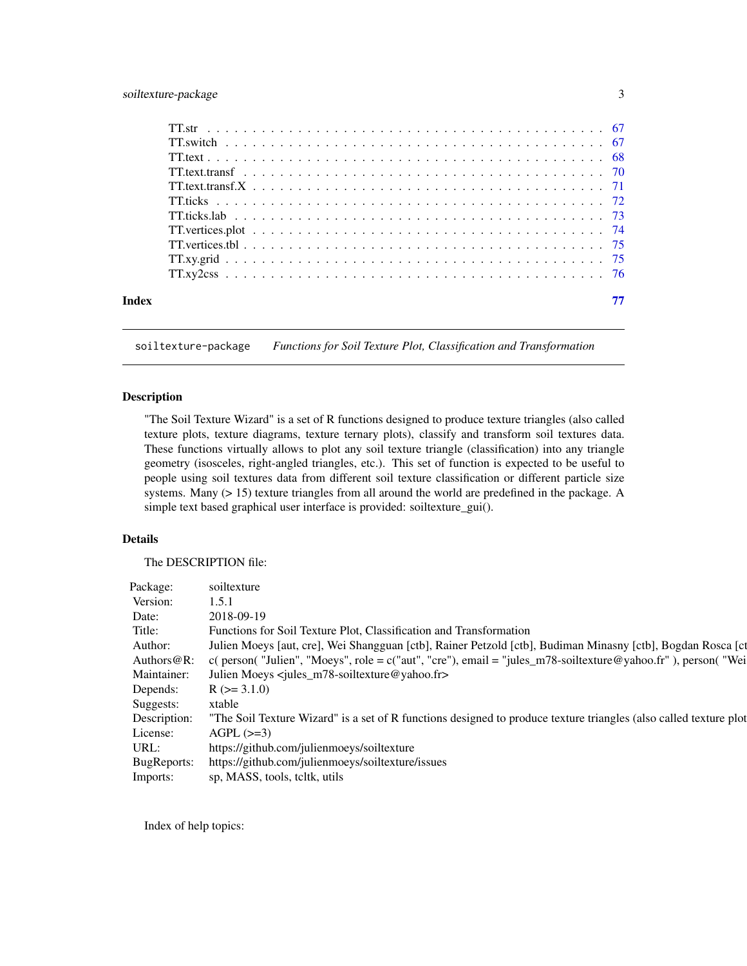# <span id="page-2-0"></span>soiltexture-package 3

| Index |  |
|-------|--|
|       |  |

soiltexture-package *Functions for Soil Texture Plot, Classification and Transformation*

# Description

"The Soil Texture Wizard" is a set of R functions designed to produce texture triangles (also called texture plots, texture diagrams, texture ternary plots), classify and transform soil textures data. These functions virtually allows to plot any soil texture triangle (classification) into any triangle geometry (isosceles, right-angled triangles, etc.). This set of function is expected to be useful to people using soil textures data from different soil texture classification or different particle size systems. Many (> 15) texture triangles from all around the world are predefined in the package. A simple text based graphical user interface is provided: soiltexture\_gui().

# Details

The DESCRIPTION file:

| Package: soiltexture |                                                                                                                                |
|----------------------|--------------------------------------------------------------------------------------------------------------------------------|
| Version:             | 1.5.1                                                                                                                          |
| Date:                | 2018-09-19                                                                                                                     |
| Title:               | Functions for Soil Texture Plot, Classification and Transformation                                                             |
|                      | Author: Julien Moeys [aut, cre], Wei Shangguan [ctb], Rainer Petzold [ctb], Budiman Minasny [ctb], Bogdan Rosca [ct            |
|                      | Authors@R: c(person("Julien", "Moeys", role = c("aut", "cre"), email = "jules_m78-soiltexture@yahoo.fr"), person("Wei          |
|                      | Maintainer: Julien Moeys <jules_m78-soiltexture@yahoo.fr></jules_m78-soiltexture@yahoo.fr>                                     |
|                      | Depends: $R (> = 3.1.0)$                                                                                                       |
| Suggests: xtable     |                                                                                                                                |
|                      | Description: "The Soil Texture Wizard" is a set of R functions designed to produce texture triangles (also called texture plot |
|                      | License: $AGPL$ ( $>=3$ )                                                                                                      |
|                      | URL: https://github.com/julienmoeys/soiltexture                                                                                |
|                      | BugReports: https://github.com/julienmoeys/soiltexture/issues                                                                  |
|                      | Imports: sp, MASS, tools, teltk, utils                                                                                         |

Index of help topics: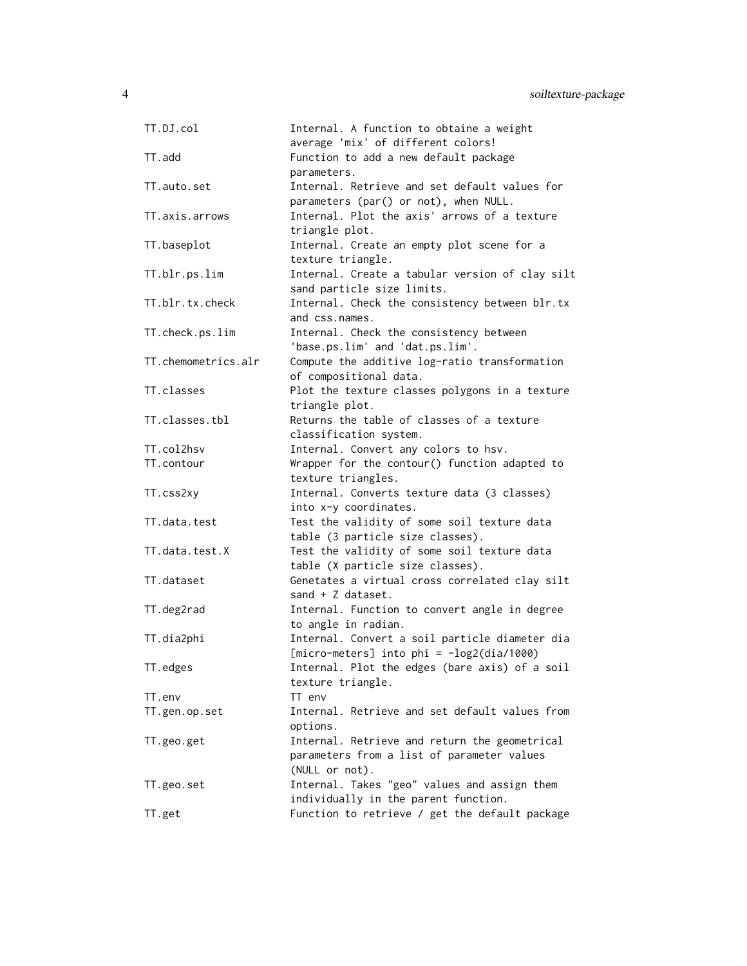| TT.DJ.col           | Internal. A function to obtaine a weight<br>average 'mix' of different colors! |
|---------------------|--------------------------------------------------------------------------------|
|                     |                                                                                |
| TT.add              | Function to add a new default package<br>parameters.                           |
| TT.auto.set         | Internal. Retrieve and set default values for                                  |
|                     | parameters (par() or not), when NULL.                                          |
| TT.axis.arrows      | Internal. Plot the axis' arrows of a texture                                   |
|                     | triangle plot.                                                                 |
| TT.baseplot         | Internal. Create an empty plot scene for a                                     |
|                     | texture triangle.                                                              |
| TT.blr.ps.lim       | Internal. Create a tabular version of clay silt                                |
|                     | sand particle size limits.                                                     |
| TT.blr.tx.check     | Internal. Check the consistency between blr.tx                                 |
|                     | and css.names.                                                                 |
| TT.check.ps.lim     | Internal. Check the consistency between                                        |
|                     | 'base.ps.lim' and 'dat.ps.lim'.                                                |
| TT.chemometrics.alr | Compute the additive log-ratio transformation                                  |
|                     | of compositional data.                                                         |
| TT.classes          | Plot the texture classes polygons in a texture                                 |
|                     | triangle plot.                                                                 |
| TT.classes.tbl      | Returns the table of classes of a texture                                      |
|                     | classification system.                                                         |
| TT.col2hsv          | Internal. Convert any colors to hsv.                                           |
| TT.contour          | Wrapper for the contour() function adapted to                                  |
|                     | texture triangles.                                                             |
| TT.css2xy           | Internal. Converts texture data (3 classes)                                    |
|                     | into x-y coordinates.                                                          |
| TT.data.test        | Test the validity of some soil texture data                                    |
|                     | table (3 particle size classes).                                               |
| TT.data.test.X      | Test the validity of some soil texture data                                    |
|                     | table (X particle size classes).                                               |
| TT.dataset          | Genetates a virtual cross correlated clay silt                                 |
|                     | sand $+$ Z dataset.                                                            |
| TT.deg2rad          | Internal. Function to convert angle in degree                                  |
|                     | to angle in radian.                                                            |
| TT.dia2phi          | Internal. Convert a soil particle diameter dia                                 |
|                     | $[micro-meters]$ into phi = $-log2(dia/1000)$                                  |
| TT.edges            | Internal. Plot the edges (bare axis) of a soil                                 |
|                     | texture triangle.                                                              |
| TT.env              | TT env                                                                         |
| TT.gen.op.set       | Internal. Retrieve and set default values from                                 |
|                     | options.                                                                       |
| TT.geo.get          | Internal. Retrieve and return the geometrical                                  |
|                     | parameters from a list of parameter values                                     |
|                     | (NULL or not).                                                                 |
| TT.geo.set          | Internal. Takes "geo" values and assign them                                   |
|                     | individually in the parent function.                                           |
| TT.get              | Function to retrieve / get the default package                                 |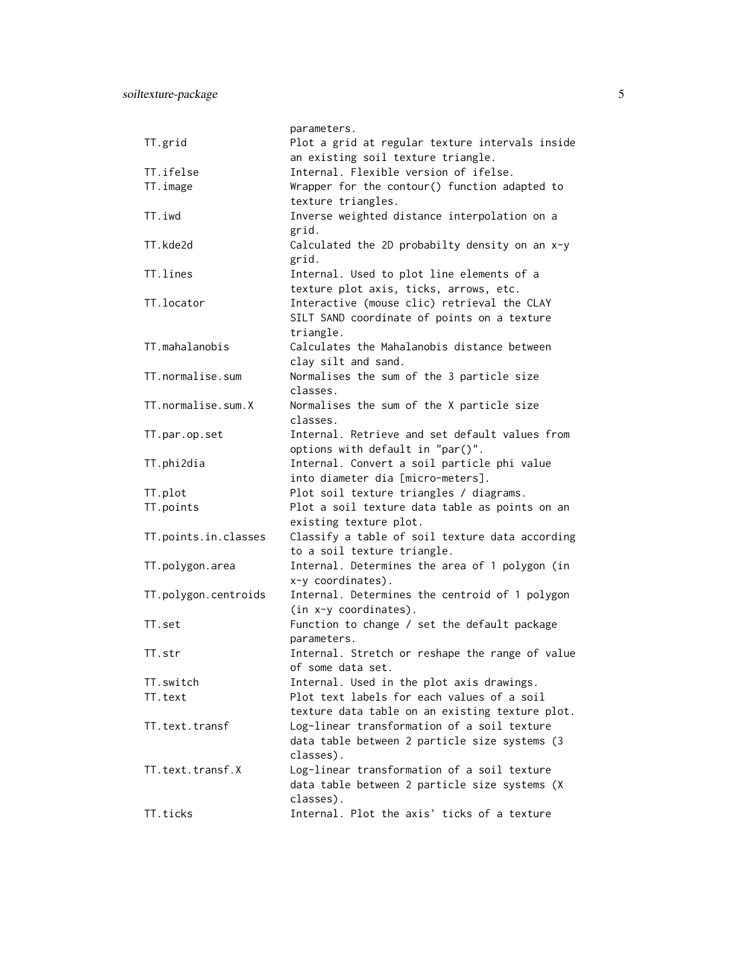|                      | parameters.                                     |
|----------------------|-------------------------------------------------|
| TT.grid              | Plot a grid at regular texture intervals inside |
|                      | an existing soil texture triangle.              |
| TT.ifelse            | Internal. Flexible version of ifelse.           |
| TT.image             | Wrapper for the contour() function adapted to   |
|                      | texture triangles.                              |
| TT.iwd               | Inverse weighted distance interpolation on a    |
|                      | grid.                                           |
| TT.kde2d             | Calculated the 2D probabilty density on an x-y  |
|                      | grid.                                           |
| TT.lines             | Internal. Used to plot line elements of a       |
|                      | texture plot axis, ticks, arrows, etc.          |
| TT.locator           | Interactive (mouse clic) retrieval the CLAY     |
|                      | SILT SAND coordinate of points on a texture     |
|                      | triangle.                                       |
| TT.mahalanobis       | Calculates the Mahalanobis distance between     |
|                      | clay silt and sand.                             |
| TT.normalise.sum     | Normalises the sum of the 3 particle size       |
|                      | classes.                                        |
| TT.normalise.sum.X   | Normalises the sum of the X particle size       |
|                      | classes.                                        |
| TT.par.op.set        | Internal. Retrieve and set default values from  |
|                      | options with default in "par()".                |
| TT.phi2dia           | Internal. Convert a soil particle phi value     |
|                      | into diameter dia [micro-meters].               |
| TT.plot              | Plot soil texture triangles / diagrams.         |
| TT.points            | Plot a soil texture data table as points on an  |
|                      | existing texture plot.                          |
| TT.points.in.classes | Classify a table of soil texture data according |
|                      | to a soil texture triangle.                     |
| TT.polygon.area      | Internal. Determines the area of 1 polygon (in  |
|                      | x-y coordinates).                               |
| TT.polygon.centroids | Internal. Determines the centroid of 1 polygon  |
|                      | (in x-y coordinates).                           |
|                      |                                                 |
| TT.set               | Function to change / set the default package    |
|                      | parameters.                                     |
| TT.str               | Internal. Stretch or reshape the range of value |
|                      | of some data set.                               |
| TT.switch            | Internal. Used in the plot axis drawings.       |
| TT.text              | Plot text labels for each values of a soil      |
|                      | texture data table on an existing texture plot. |
| TT.text.transf       | Log-linear transformation of a soil texture     |
|                      | data table between 2 particle size systems (3   |
|                      | classes).                                       |
| TT.text.transf.X     | Log-linear transformation of a soil texture     |
|                      | data table between 2 particle size systems (X   |
|                      | classes).                                       |
| TT.ticks             | Internal. Plot the axis' ticks of a texture     |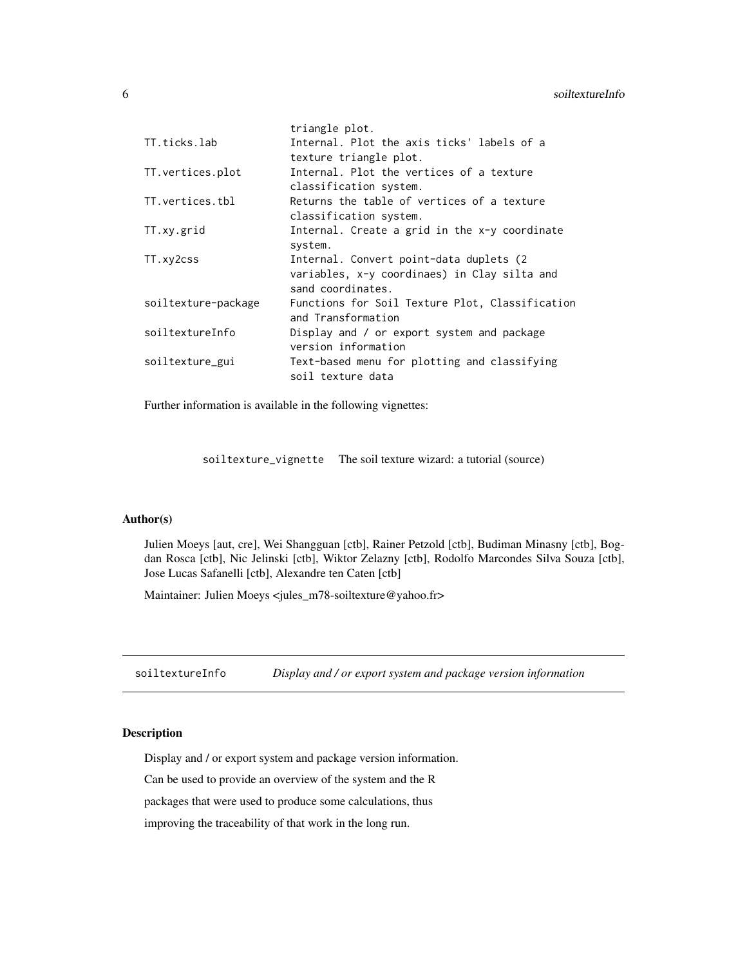<span id="page-5-0"></span>

|                     | triangle plot.                                  |
|---------------------|-------------------------------------------------|
| TT.ticks.lab        | Internal. Plot the axis ticks' labels of a      |
|                     | texture triangle plot.                          |
| TT.vertices.plot    | Internal. Plot the vertices of a texture        |
|                     | classification system.                          |
| TT.vertices.tbl     | Returns the table of vertices of a texture      |
|                     | classification system.                          |
| TT.xy.grid          | Internal. Create a grid in the x-y coordinate   |
|                     | system.                                         |
| TT.xy2css           | Internal. Convert point-data duplets (2         |
|                     | variables, x-y coordinaes) in Clay silta and    |
|                     | sand coordinates.                               |
| soiltexture-package | Functions for Soil Texture Plot, Classification |
|                     | and Transformation                              |
| soiltextureInfo     | Display and / or export system and package      |
|                     | version information                             |
|                     |                                                 |
| soiltexture_gui     | Text-based menu for plotting and classifying    |
|                     | soil texture data                               |

Further information is available in the following vignettes:

soiltexture\_vignette The soil texture wizard: a tutorial (source)

# Author(s)

Julien Moeys [aut, cre], Wei Shangguan [ctb], Rainer Petzold [ctb], Budiman Minasny [ctb], Bogdan Rosca [ctb], Nic Jelinski [ctb], Wiktor Zelazny [ctb], Rodolfo Marcondes Silva Souza [ctb], Jose Lucas Safanelli [ctb], Alexandre ten Caten [ctb]

Maintainer: Julien Moeys <jules\_m78-soiltexture@yahoo.fr>

soiltextureInfo *Display and / or export system and package version information*

# Description

Display and / or export system and package version information.

Can be used to provide an overview of the system and the R

packages that were used to produce some calculations, thus

improving the traceability of that work in the long run.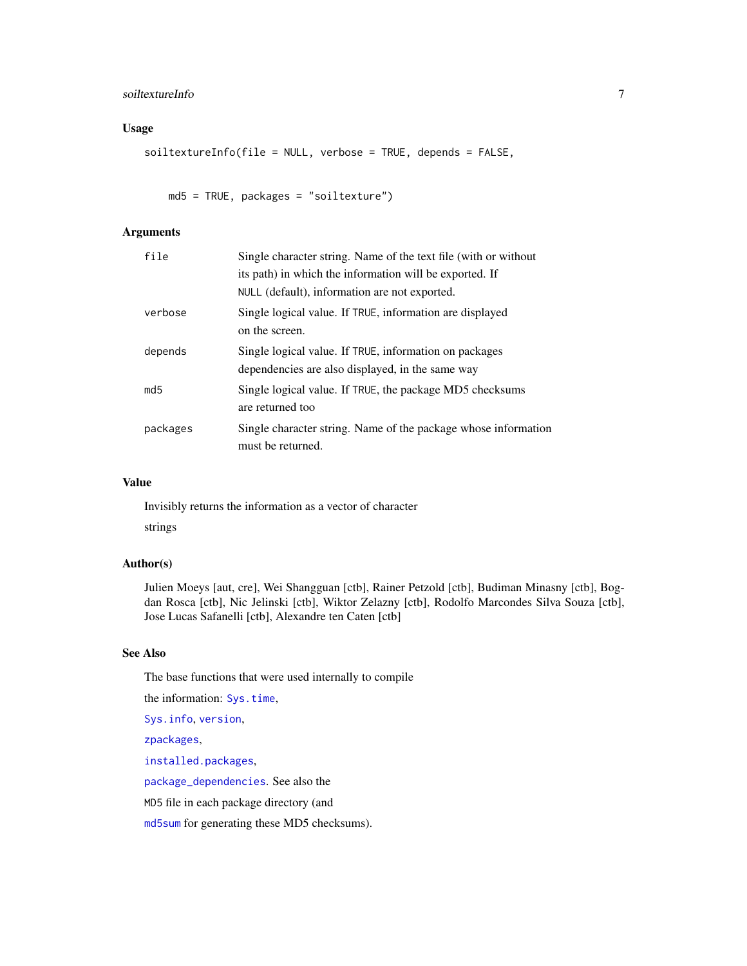# soiltextureInfo 7

# Usage

```
soiltextureInfo(file = NULL, verbose = TRUE, depends = FALSE,
```
md5 = TRUE, packages = "soiltexture")

# Arguments

| file     | Single character string. Name of the text file (with or without                                            |
|----------|------------------------------------------------------------------------------------------------------------|
|          | its path) in which the information will be exported. If                                                    |
|          | NULL (default), information are not exported.                                                              |
| verbose  | Single logical value. If TRUE, information are displayed<br>on the screen.                                 |
| depends  | Single logical value. If TRUE, information on packages<br>dependencies are also displayed, in the same way |
| md5      | Single logical value. If TRUE, the package MD5 checksums<br>are returned too                               |
| packages | Single character string. Name of the package whose information<br>must be returned.                        |

# Value

Invisibly returns the information as a vector of character strings

# Author(s)

Julien Moeys [aut, cre], Wei Shangguan [ctb], Rainer Petzold [ctb], Budiman Minasny [ctb], Bogdan Rosca [ctb], Nic Jelinski [ctb], Wiktor Zelazny [ctb], Rodolfo Marcondes Silva Souza [ctb], Jose Lucas Safanelli [ctb], Alexandre ten Caten [ctb]

# See Also

The base functions that were used internally to compile

the information: [Sys.time](#page-0-0),

[Sys.info](#page-0-0), [version](#page-0-0),

[zpackages](#page-0-0),

[installed.packages](#page-0-0),

[package\\_dependencies](#page-0-0). See also the

MD5 file in each package directory (and

[md5sum](#page-0-0) for generating these MD5 checksums).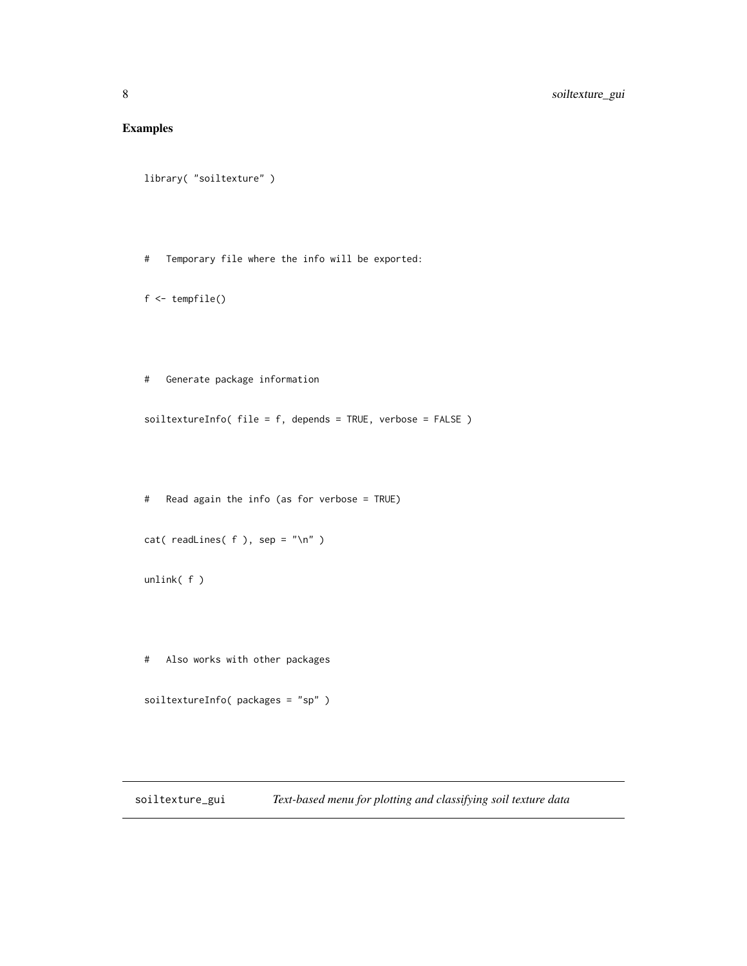# <span id="page-7-0"></span>Examples

```
library( "soiltexture" )
```
# Temporary file where the info will be exported:

```
f <- tempfile()
```
# Generate package information

soiltextureInfo( file = f, depends = TRUE, verbose = FALSE )

# Read again the info (as for verbose = TRUE)

```
cat( readLines( f ), sep = "\n" )
```
unlink( f )

# Also works with other packages

soiltextureInfo( packages = "sp" )

soiltexture\_gui *Text-based menu for plotting and classifying soil texture data*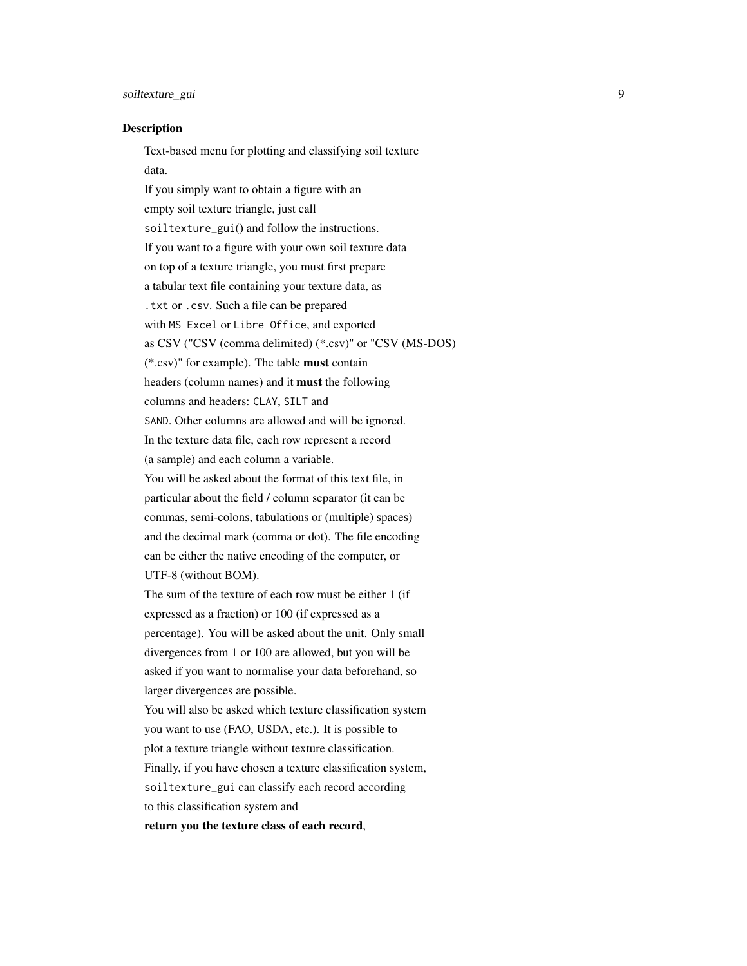# soiltexture\_gui 9

#### Description

Text-based menu for plotting and classifying soil texture data. If you simply want to obtain a figure with an empty soil texture triangle, just call soiltexture\_gui() and follow the instructions. If you want to a figure with your own soil texture data on top of a texture triangle, you must first prepare a tabular text file containing your texture data, as .txt or .csv. Such a file can be prepared with MS Excel or Libre Office, and exported as CSV ("CSV (comma delimited) (\*.csv)" or "CSV (MS-DOS) (\*.csv)" for example). The table must contain headers (column names) and it must the following columns and headers: CLAY, SILT and SAND. Other columns are allowed and will be ignored. In the texture data file, each row represent a record (a sample) and each column a variable. You will be asked about the format of this text file, in particular about the field / column separator (it can be commas, semi-colons, tabulations or (multiple) spaces) and the decimal mark (comma or dot). The file encoding can be either the native encoding of the computer, or UTF-8 (without BOM). The sum of the texture of each row must be either 1 (if expressed as a fraction) or 100 (if expressed as a percentage). You will be asked about the unit. Only small divergences from 1 or 100 are allowed, but you will be asked if you want to normalise your data beforehand, so larger divergences are possible. You will also be asked which texture classification system you want to use (FAO, USDA, etc.). It is possible to plot a texture triangle without texture classification. Finally, if you have chosen a texture classification system,

soiltexture\_gui can classify each record according

to this classification system and

return you the texture class of each record,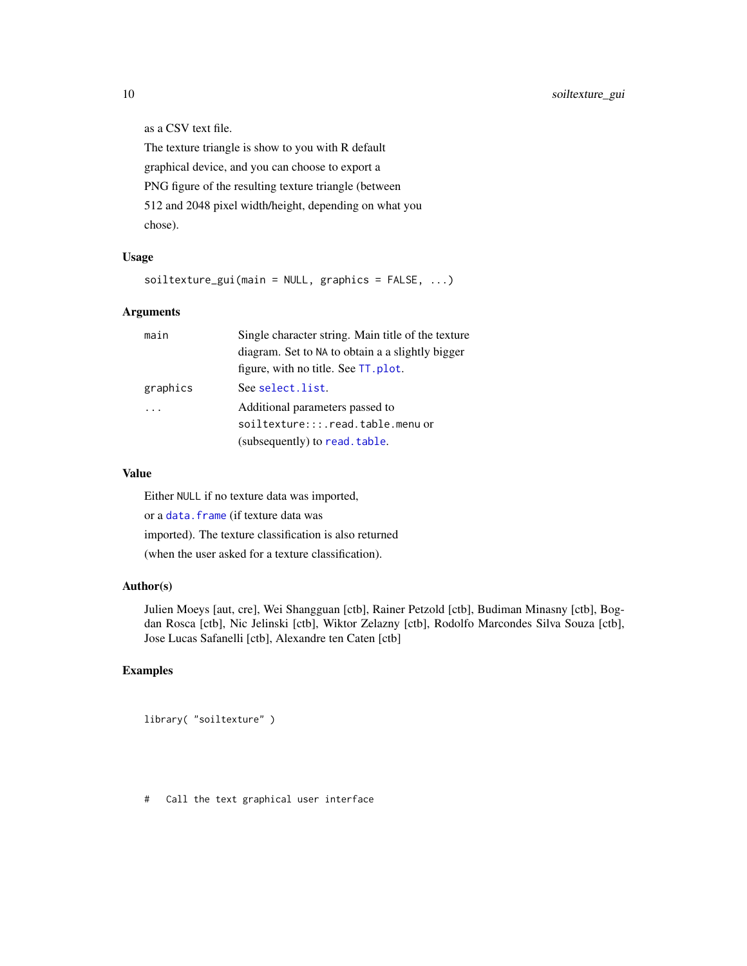as a CSV text file.

The texture triangle is show to you with R default graphical device, and you can choose to export a PNG figure of the resulting texture triangle (between 512 and 2048 pixel width/height, depending on what you chose).

#### Usage

 $sointext{ure_gui}$  (main = NULL, graphics = FALSE, ...)

#### Arguments

| main     | Single character string. Main title of the texture |
|----------|----------------------------------------------------|
|          | diagram. Set to NA to obtain a a slightly bigger   |
|          | figure, with no title. See TT. plot.               |
| graphics | See select.list.                                   |
|          | Additional parameters passed to                    |
|          | soiltexture:::.read.table.menu or                  |
|          | (subsequently) to read. table.                     |
|          |                                                    |

# Value

Either NULL if no texture data was imported, or a [data.frame](#page-0-0) (if texture data was imported). The texture classification is also returned (when the user asked for a texture classification).

#### Author(s)

Julien Moeys [aut, cre], Wei Shangguan [ctb], Rainer Petzold [ctb], Budiman Minasny [ctb], Bogdan Rosca [ctb], Nic Jelinski [ctb], Wiktor Zelazny [ctb], Rodolfo Marcondes Silva Souza [ctb], Jose Lucas Safanelli [ctb], Alexandre ten Caten [ctb]

# Examples

```
library( "soiltexture" )
```
# Call the text graphical user interface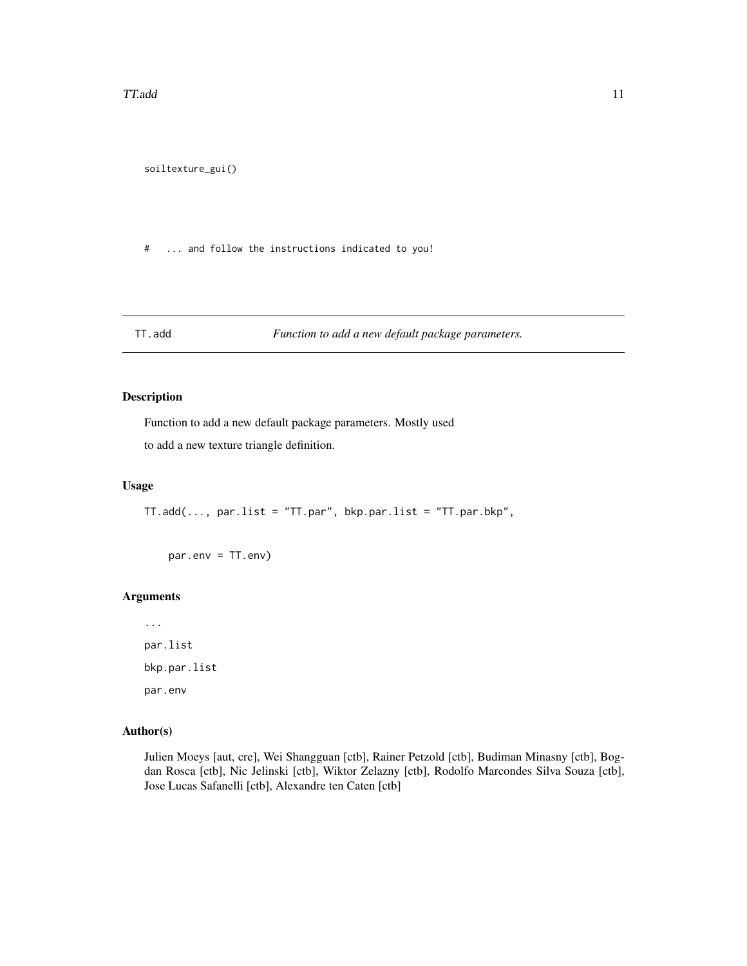<span id="page-10-0"></span>soiltexture\_gui()

# ... and follow the instructions indicated to you!

# TT.add *Function to add a new default package parameters.*

# Description

Function to add a new default package parameters. Mostly used

to add a new texture triangle definition.

#### Usage

TT.add(..., par.list = "TT.par", bkp.par.list = "TT.par.bkp",

par.env = TT.env)

# Arguments

... par.list bkp.par.list par.env

# Author(s)

Julien Moeys [aut, cre], Wei Shangguan [ctb], Rainer Petzold [ctb], Budiman Minasny [ctb], Bogdan Rosca [ctb], Nic Jelinski [ctb], Wiktor Zelazny [ctb], Rodolfo Marcondes Silva Souza [ctb], Jose Lucas Safanelli [ctb], Alexandre ten Caten [ctb]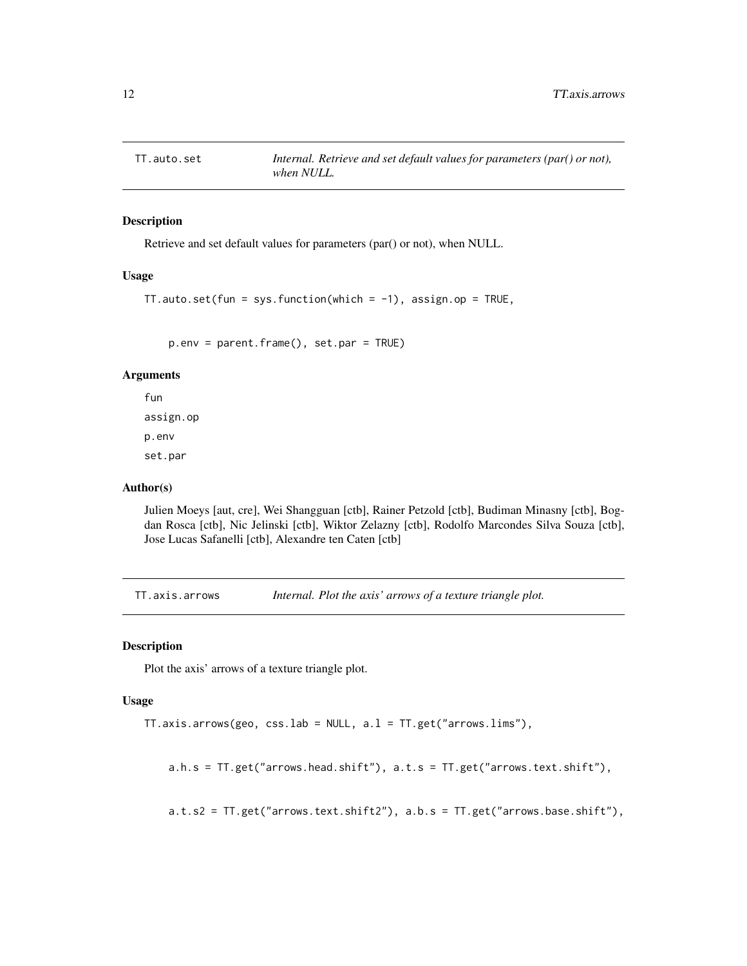<span id="page-11-0"></span>

# Description

Retrieve and set default values for parameters (par() or not), when NULL.

#### Usage

```
TT.auto.set(fun = sys.function(which = -1), assign.op = TRUE,
```
p.env = parent.frame(), set.par = TRUE)

# Arguments

fun assign.op p.env set.par

# Author(s)

Julien Moeys [aut, cre], Wei Shangguan [ctb], Rainer Petzold [ctb], Budiman Minasny [ctb], Bogdan Rosca [ctb], Nic Jelinski [ctb], Wiktor Zelazny [ctb], Rodolfo Marcondes Silva Souza [ctb], Jose Lucas Safanelli [ctb], Alexandre ten Caten [ctb]

TT.axis.arrows *Internal. Plot the axis' arrows of a texture triangle plot.*

#### Description

Plot the axis' arrows of a texture triangle plot.

# Usage

```
TT.axis.arrows(geo, css.lab = NULL, a.l = TT.get("arrows.lims"),
```
a.h.s = TT.get("arrows.head.shift"), a.t.s = TT.get("arrows.text.shift"),

a.t.s2 = TT.get("arrows.text.shift2"), a.b.s = TT.get("arrows.base.shift"),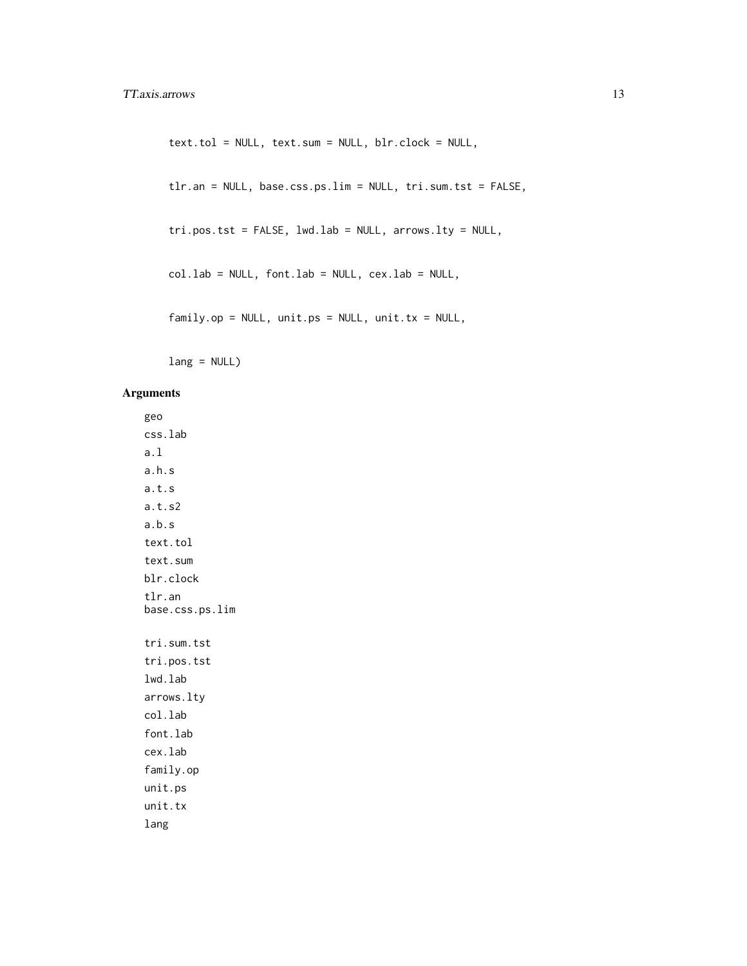```
text.tol = NULL, text.sum = NULL, blr.clock = NULL,
tlr.an = NULL, base.css.ps.lim = NULL, tri.sum.tst = FALSE,
tri.pos.tst = FALSE, lwd.lab = NULL, arrows.lty = NULL,
col.lab = NULL, font.lab = NULL, cex.lab = NULL,
family.op = NULL, unit.ps = NULL, unit.tx = NULL,
```
lang = NULL)

# Arguments

geo css.lab a.l a.h.s a.t.s a.t.s2 a.b.s text.tol text.sum blr.clock tlr.an base.css.ps.lim tri.sum.tst tri.pos.tst lwd.lab arrows.lty col.lab font.lab cex.lab family.op unit.ps unit.tx lang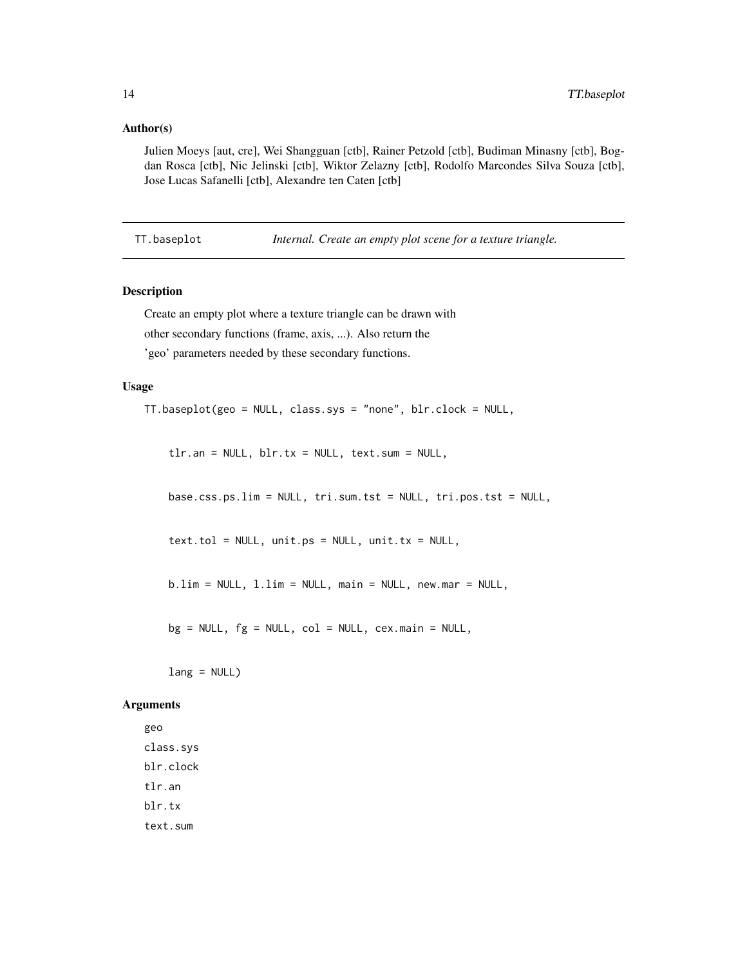#### <span id="page-13-0"></span>Author(s)

Julien Moeys [aut, cre], Wei Shangguan [ctb], Rainer Petzold [ctb], Budiman Minasny [ctb], Bogdan Rosca [ctb], Nic Jelinski [ctb], Wiktor Zelazny [ctb], Rodolfo Marcondes Silva Souza [ctb], Jose Lucas Safanelli [ctb], Alexandre ten Caten [ctb]

TT.baseplot *Internal. Create an empty plot scene for a texture triangle.*

#### Description

Create an empty plot where a texture triangle can be drawn with other secondary functions (frame, axis, ...). Also return the 'geo' parameters needed by these secondary functions.

#### Usage

TT.baseplot(geo = NULL, class.sys = "none", blr.clock = NULL,

tlr.an = NULL, blr.tx = NULL, text.sum = NULL,

base.css.ps.lim = NULL, tri.sum.tst = NULL, tri.pos.tst = NULL,

 $text.tol = NULL, unit.ps = NULL, unit.tx = NULL,$ 

b.lim = NULL, l.lim = NULL, main = NULL, new.mar = NULL,

 $bg = NULL, fg = NULL, col = NULL, cex.mainloop = NULL,$ 

lang = NULL)

#### Arguments

geo class.sys blr.clock tlr.an blr.tx text.sum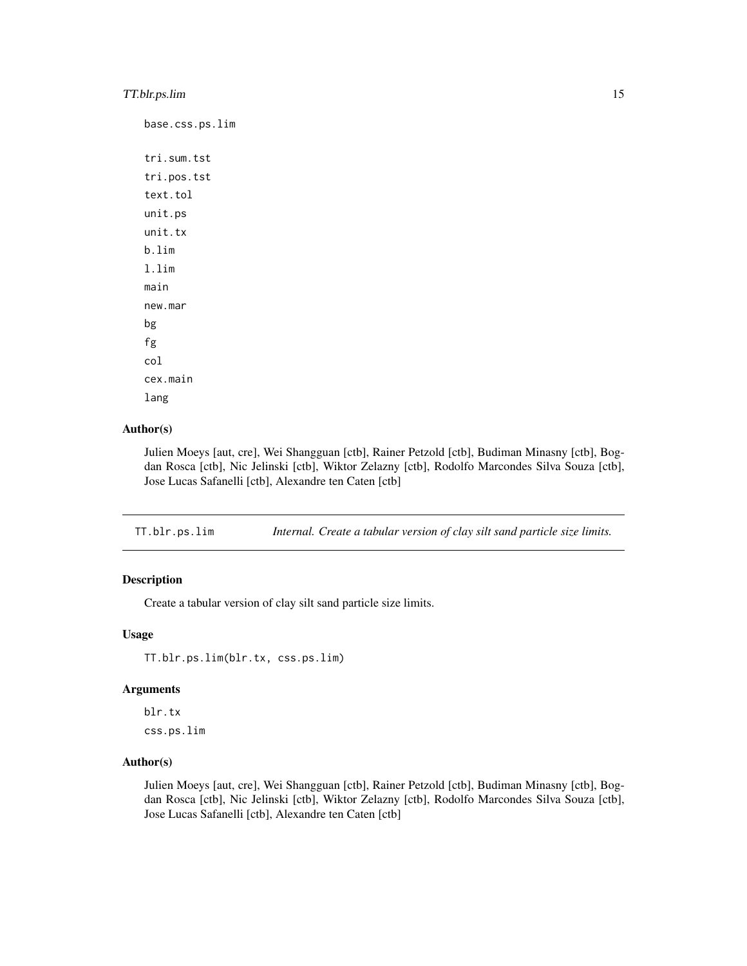# <span id="page-14-0"></span>TT.blr.ps.lim 15

```
base.css.ps.lim
tri.sum.tst
tri.pos.tst
text.tol
unit.ps
unit.tx
b.lim
l.lim
main
new.mar
bg
fg
col
cex.main
lang
```
# Author(s)

Julien Moeys [aut, cre], Wei Shangguan [ctb], Rainer Petzold [ctb], Budiman Minasny [ctb], Bogdan Rosca [ctb], Nic Jelinski [ctb], Wiktor Zelazny [ctb], Rodolfo Marcondes Silva Souza [ctb], Jose Lucas Safanelli [ctb], Alexandre ten Caten [ctb]

TT.blr.ps.lim *Internal. Create a tabular version of clay silt sand particle size limits.*

## Description

Create a tabular version of clay silt sand particle size limits.

#### Usage

TT.blr.ps.lim(blr.tx, css.ps.lim)

#### Arguments

blr.tx css.ps.lim

# Author(s)

Julien Moeys [aut, cre], Wei Shangguan [ctb], Rainer Petzold [ctb], Budiman Minasny [ctb], Bogdan Rosca [ctb], Nic Jelinski [ctb], Wiktor Zelazny [ctb], Rodolfo Marcondes Silva Souza [ctb], Jose Lucas Safanelli [ctb], Alexandre ten Caten [ctb]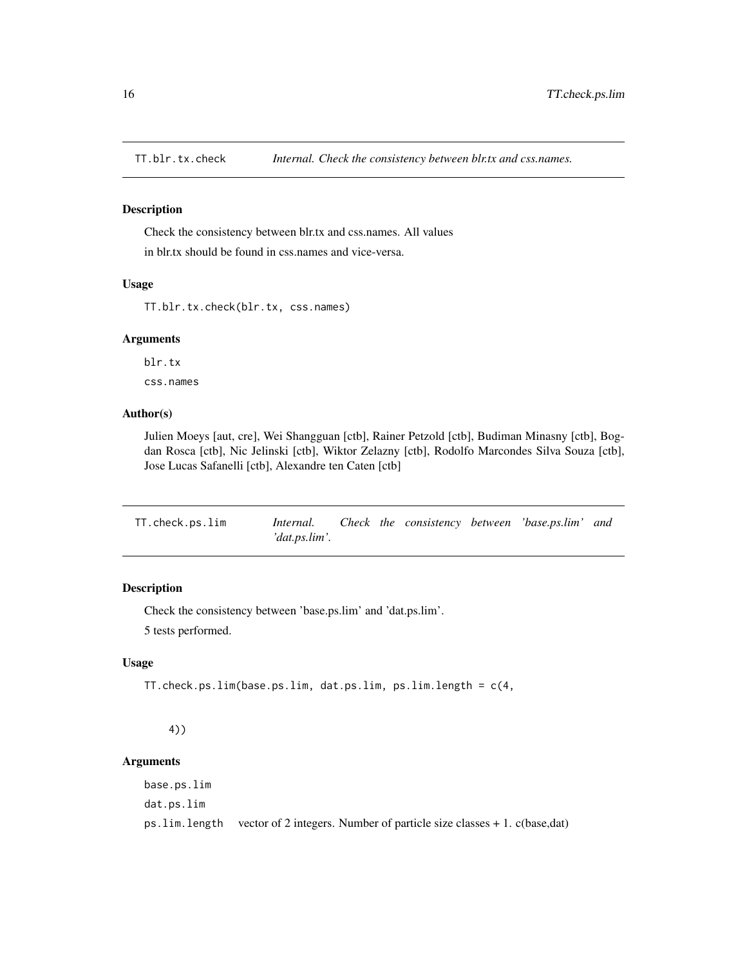<span id="page-15-0"></span>

### Description

Check the consistency between blr.tx and css.names. All values in blr.tx should be found in css.names and vice-versa.

#### Usage

TT.blr.tx.check(blr.tx, css.names)

# Arguments

blr.tx

css.names

# Author(s)

Julien Moeys [aut, cre], Wei Shangguan [ctb], Rainer Petzold [ctb], Budiman Minasny [ctb], Bogdan Rosca [ctb], Nic Jelinski [ctb], Wiktor Zelazny [ctb], Rodolfo Marcondes Silva Souza [ctb], Jose Lucas Safanelli [ctb], Alexandre ten Caten [ctb]

| TT.check.ps.lim | Internal.     |  |  | Check the consistency between 'base.ps.lim' and |  |
|-----------------|---------------|--|--|-------------------------------------------------|--|
|                 | 'dat.ps.lim'. |  |  |                                                 |  |

# Description

Check the consistency between 'base.ps.lim' and 'dat.ps.lim'. 5 tests performed.

# Usage

```
TT.check.ps.lim(base.ps.lim, dat.ps.lim, ps.lim.length = c(4,
```
# 4))

# Arguments

base.ps.lim dat.ps.lim ps.lim.length vector of 2 integers. Number of particle size classes + 1. c(base,dat)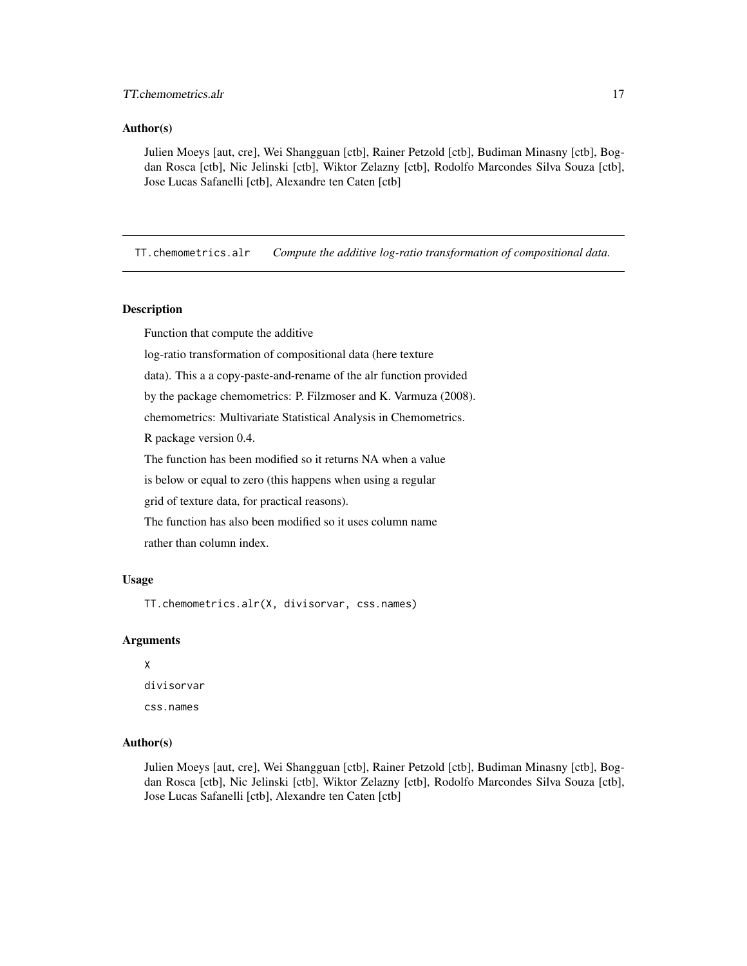#### <span id="page-16-0"></span>Author(s)

Julien Moeys [aut, cre], Wei Shangguan [ctb], Rainer Petzold [ctb], Budiman Minasny [ctb], Bogdan Rosca [ctb], Nic Jelinski [ctb], Wiktor Zelazny [ctb], Rodolfo Marcondes Silva Souza [ctb], Jose Lucas Safanelli [ctb], Alexandre ten Caten [ctb]

TT.chemometrics.alr *Compute the additive log-ratio transformation of compositional data.*

# Description

Function that compute the additive

log-ratio transformation of compositional data (here texture

data). This a a copy-paste-and-rename of the alr function provided

by the package chemometrics: P. Filzmoser and K. Varmuza (2008).

chemometrics: Multivariate Statistical Analysis in Chemometrics.

R package version 0.4.

The function has been modified so it returns NA when a value

is below or equal to zero (this happens when using a regular

grid of texture data, for practical reasons).

The function has also been modified so it uses column name

rather than column index.

## Usage

TT.chemometrics.alr(X, divisorvar, css.names)

# Arguments

# X

divisorvar css.names

#### Author(s)

Julien Moeys [aut, cre], Wei Shangguan [ctb], Rainer Petzold [ctb], Budiman Minasny [ctb], Bogdan Rosca [ctb], Nic Jelinski [ctb], Wiktor Zelazny [ctb], Rodolfo Marcondes Silva Souza [ctb], Jose Lucas Safanelli [ctb], Alexandre ten Caten [ctb]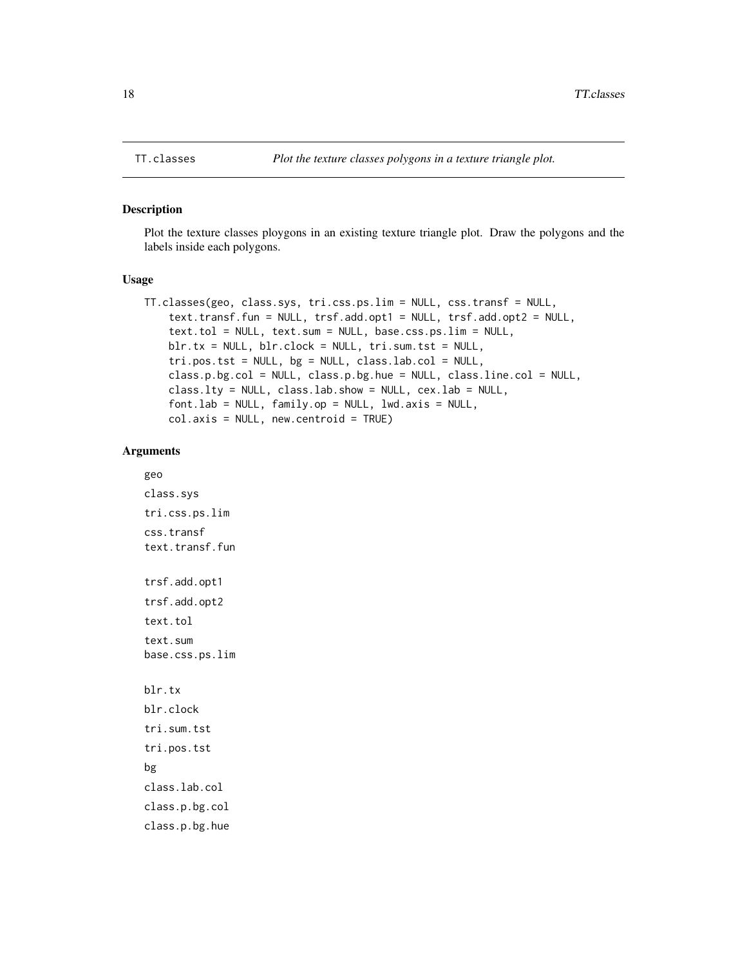#### Description

Plot the texture classes ploygons in an existing texture triangle plot. Draw the polygons and the labels inside each polygons.

#### Usage

```
TT.classes(geo, class.sys, tri.css.ps.lim = NULL, css.transf = NULL,
   text.transf.fun = NULL, trsf.add.opt1 = NULL, trsf.add.opt2 = NULL,
    text.tol = NULL, text.sum = NULL, base.css.ps.lim = NULL,
   blr.tx = NULL, blr.clock = NULL, tri.sum.tst = NULL,
   tri.pos.tst = NULL, bg = NULL, class.lab.col = NULL,
   class.p.bg.col = NULL, class.p.bg.hue = NULL, class.line.col = NULL,
   class.lty = NULL, class.lab.show = NULL, cex.lab = NULL,
   fontlab = NULL, family_op = NULL, lwd.axis = NULL,col.axis = NULL, new.centroid = TRUE)
```
#### Arguments

```
geo
class.sys
tri.css.ps.lim
css.transf
text.transf.fun
trsf.add.opt1
trsf.add.opt2
text.tol
text.sum
base.css.ps.lim
blr.tx
blr.clock
tri.sum.tst
tri.pos.tst
bg
class.lab.col
class.p.bg.col
class.p.bg.hue
```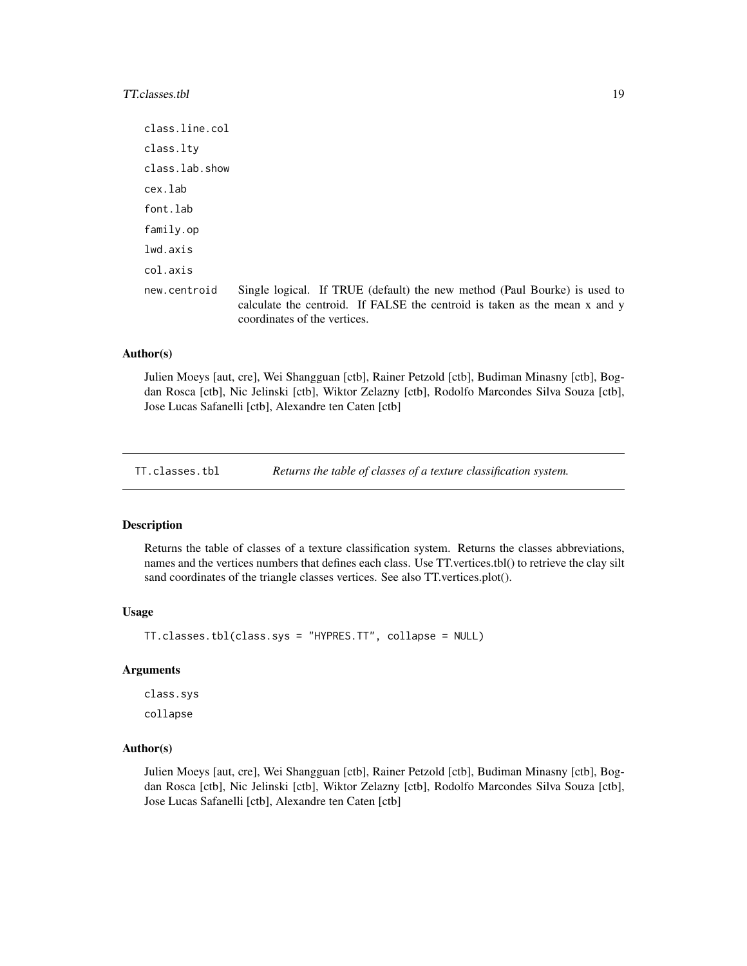# <span id="page-18-0"></span>TT.classes.tbl 19

class.line.col class.lty class.lab.show cex.lab font.lab family.op lwd.axis col.axis new.centroid Single logical. If TRUE (default) the new method (Paul Bourke) is used to calculate the centroid. If FALSE the centroid is taken as the mean x and y coordinates of the vertices.

# Author(s)

Julien Moeys [aut, cre], Wei Shangguan [ctb], Rainer Petzold [ctb], Budiman Minasny [ctb], Bogdan Rosca [ctb], Nic Jelinski [ctb], Wiktor Zelazny [ctb], Rodolfo Marcondes Silva Souza [ctb], Jose Lucas Safanelli [ctb], Alexandre ten Caten [ctb]

TT.classes.tbl *Returns the table of classes of a texture classification system.*

#### **Description**

Returns the table of classes of a texture classification system. Returns the classes abbreviations, names and the vertices numbers that defines each class. Use TT.vertices.tbl() to retrieve the clay silt sand coordinates of the triangle classes vertices. See also TT.vertices.plot().

#### Usage

TT.classes.tbl(class.sys = "HYPRES.TT", collapse = NULL)

# Arguments

class.sys collapse

# Author(s)

Julien Moeys [aut, cre], Wei Shangguan [ctb], Rainer Petzold [ctb], Budiman Minasny [ctb], Bogdan Rosca [ctb], Nic Jelinski [ctb], Wiktor Zelazny [ctb], Rodolfo Marcondes Silva Souza [ctb], Jose Lucas Safanelli [ctb], Alexandre ten Caten [ctb]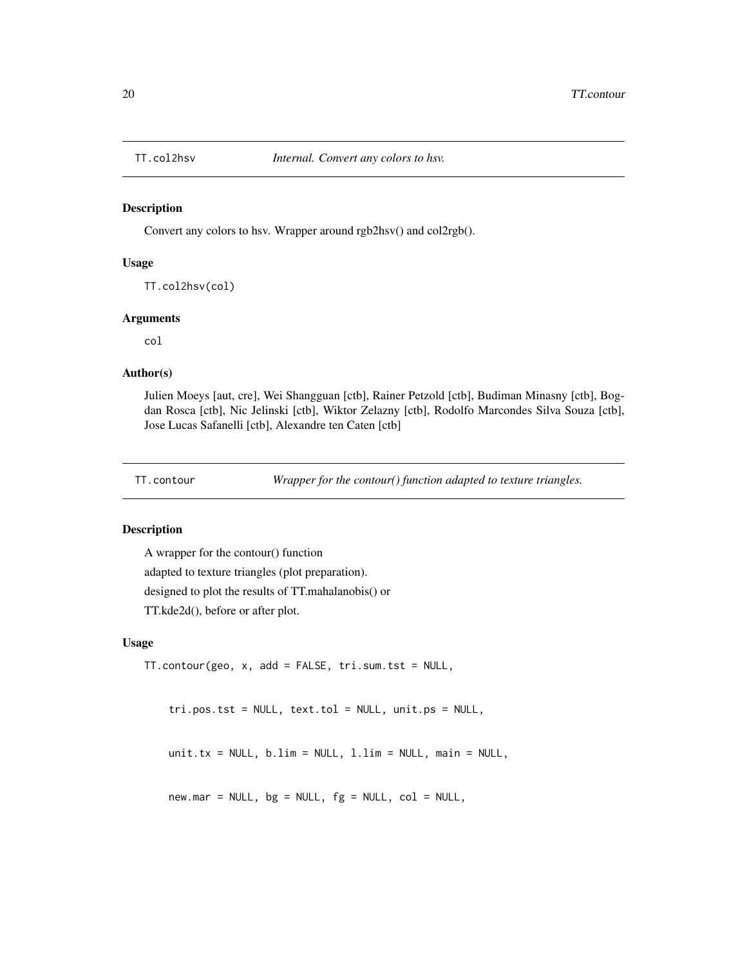<span id="page-19-0"></span>

#### Description

Convert any colors to hsv. Wrapper around rgb2hsv() and col2rgb().

## Usage

TT.col2hsv(col)

#### Arguments

col

# Author(s)

Julien Moeys [aut, cre], Wei Shangguan [ctb], Rainer Petzold [ctb], Budiman Minasny [ctb], Bogdan Rosca [ctb], Nic Jelinski [ctb], Wiktor Zelazny [ctb], Rodolfo Marcondes Silva Souza [ctb], Jose Lucas Safanelli [ctb], Alexandre ten Caten [ctb]

TT.contour *Wrapper for the contour() function adapted to texture triangles.*

# Description

A wrapper for the contour() function adapted to texture triangles (plot preparation). designed to plot the results of TT.mahalanobis() or TT.kde2d(), before or after plot.

#### Usage

```
TT.contour(geo, x, add = FALSE, tri.sum.tst = NULL,
```
tri.pos.tst = NULL, text.tol = NULL, unit.ps = NULL,

unit.tx =  $NULL, b.lim = NULL, l.lim = NULL, main = NULL,$ 

 $new.max = NULL, bg = NULL, fg = NULL, col = NULL,$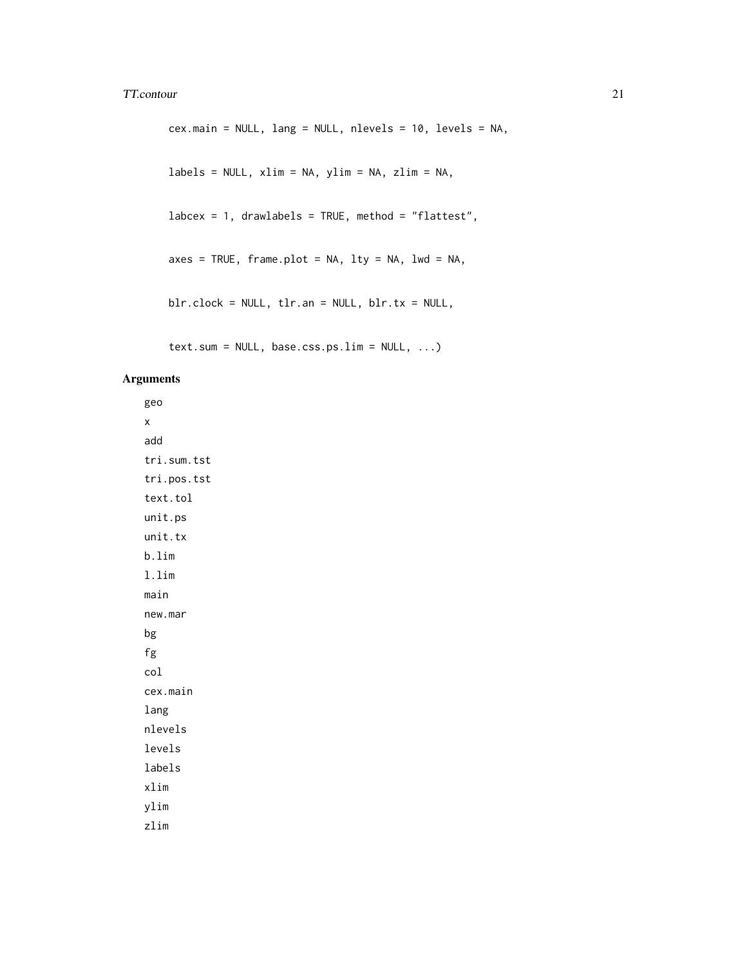#### TT.contour 21

```
cex.main = NULL, lang = NULL, nlevels = 10, levels = NA,
labels = NULL, xlim = NA, ylim = NA, zlim = NA,
labcex = 1, drawlabels = TRUE, method = "flattest",
axes = TRUE, frame.plot = NA, lty = NA, lwd = NA,blr.clock = NULL, tlr.an = NULL, blr.tx = NULL,
```

```
text.sum = NULL, base.css.ps.lim = NULL, ...)
```
# Arguments

geo x add tri.sum.tst tri.pos.tst text.tol unit.ps unit.tx b.lim l.lim main new.mar bg fg col cex.main lang nlevels levels labels xlim ylim zlim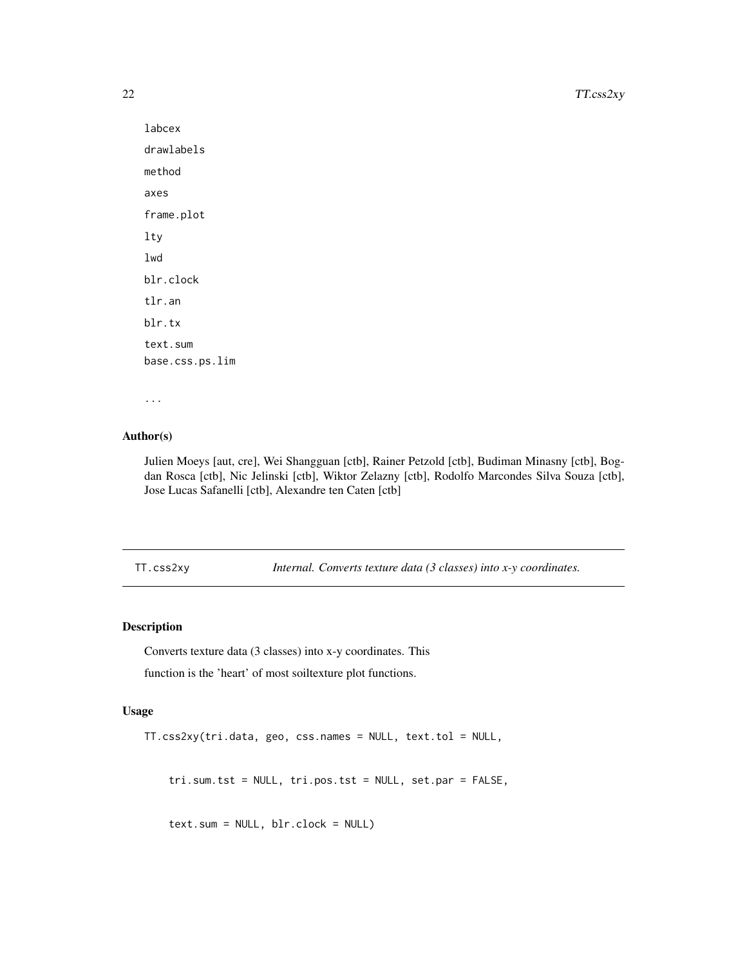<span id="page-21-0"></span>22 TT.css2xy

```
labcex
drawlabels
method
axes
frame.plot
lty
lwd
blr.clock
tlr.an
blr.tx
text.sum
base.css.ps.lim
```

```
...
```
# Author(s)

Julien Moeys [aut, cre], Wei Shangguan [ctb], Rainer Petzold [ctb], Budiman Minasny [ctb], Bogdan Rosca [ctb], Nic Jelinski [ctb], Wiktor Zelazny [ctb], Rodolfo Marcondes Silva Souza [ctb], Jose Lucas Safanelli [ctb], Alexandre ten Caten [ctb]

TT.css2xy *Internal. Converts texture data (3 classes) into x-y coordinates.*

# Description

Converts texture data (3 classes) into x-y coordinates. This

function is the 'heart' of most soiltexture plot functions.

#### Usage

```
TT.css2xy(tri.data, geo, css.names = NULL, text.tol = NULL,
```

```
tri.sum.tst = NULL, tri.pos.tst = NULL, set.par = FALSE,
```
text.sum = NULL, blr.clock = NULL)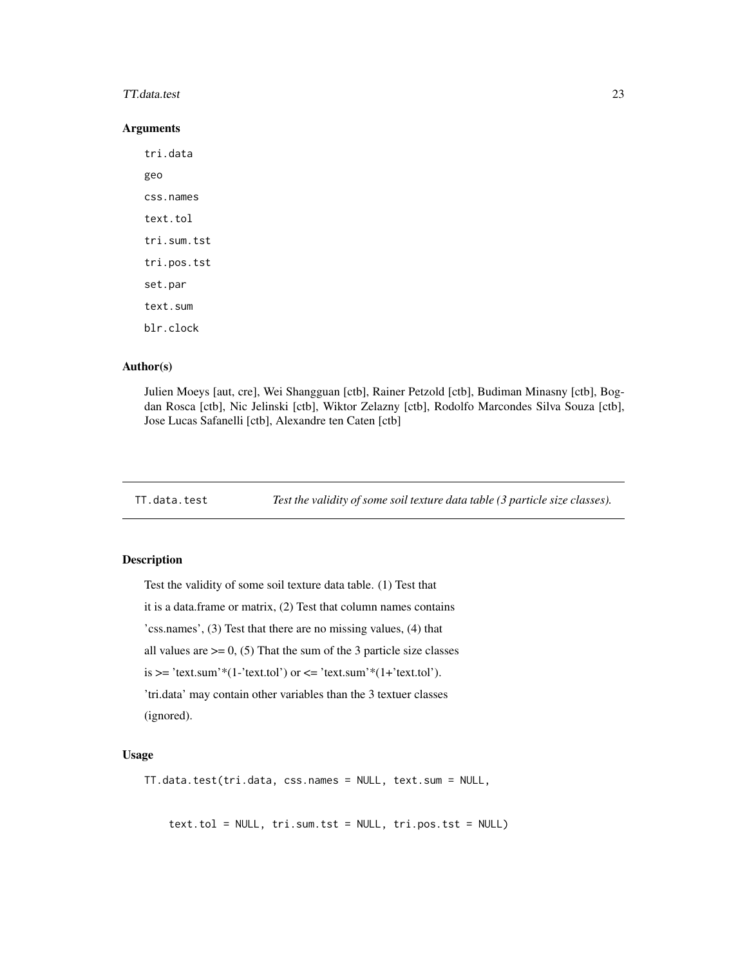#### <span id="page-22-0"></span>TT.data.test 23

#### **Arguments**

tri.data geo css.names text.tol tri.sum.tst tri.pos.tst set.par text.sum blr.clock

# Author(s)

Julien Moeys [aut, cre], Wei Shangguan [ctb], Rainer Petzold [ctb], Budiman Minasny [ctb], Bogdan Rosca [ctb], Nic Jelinski [ctb], Wiktor Zelazny [ctb], Rodolfo Marcondes Silva Souza [ctb], Jose Lucas Safanelli [ctb], Alexandre ten Caten [ctb]

TT.data.test *Test the validity of some soil texture data table (3 particle size classes).*

#### Description

Test the validity of some soil texture data table. (1) Test that it is a data.frame or matrix, (2) Test that column names contains 'css.names', (3) Test that there are no missing values, (4) that all values are  $\geq 0$ , (5) That the sum of the 3 particle size classes is  $>=$  'text.sum'\*(1-'text.tol') or  $<=$  'text.sum'\*(1+'text.tol'). 'tri.data' may contain other variables than the 3 textuer classes (ignored).

#### Usage

TT.data.test(tri.data, css.names = NULL, text.sum = NULL,

text.tol = NULL, tri.sum.tst = NULL, tri.pos.tst = NULL)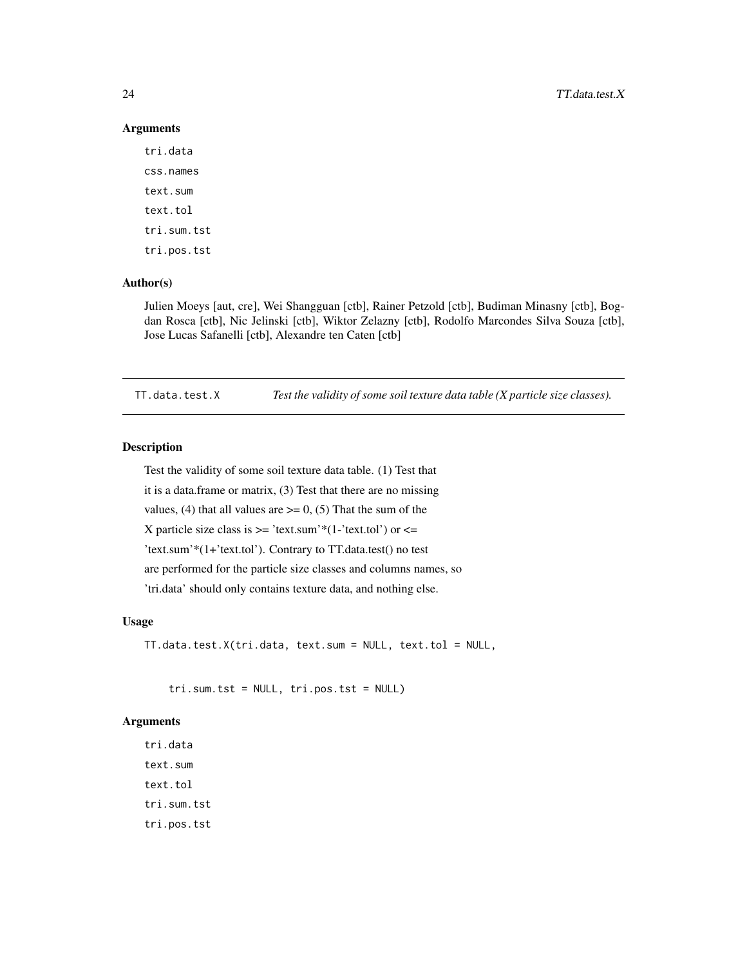#### **Arguments**

tri.data css.names text.sum text.tol tri.sum.tst tri.pos.tst

# Author(s)

Julien Moeys [aut, cre], Wei Shangguan [ctb], Rainer Petzold [ctb], Budiman Minasny [ctb], Bogdan Rosca [ctb], Nic Jelinski [ctb], Wiktor Zelazny [ctb], Rodolfo Marcondes Silva Souza [ctb], Jose Lucas Safanelli [ctb], Alexandre ten Caten [ctb]

TT.data.test.X *Test the validity of some soil texture data table (X particle size classes).*

# Description

Test the validity of some soil texture data table. (1) Test that it is a data.frame or matrix, (3) Test that there are no missing values, (4) that all values are  $\geq$  = 0, (5) That the sum of the X particle size class is  $\ge$  "text.sum"\*(1-'text.tol') or  $\le$  = 'text.sum'\*(1+'text.tol'). Contrary to TT.data.test() no test are performed for the particle size classes and columns names, so 'tri.data' should only contains texture data, and nothing else.

# Usage

TT.data.test.X(tri.data, text.sum = NULL, text.tol = NULL,

tri.sum.tst = NULL, tri.pos.tst = NULL)

# **Arguments**

tri.data text.sum text.tol tri.sum.tst tri.pos.tst

<span id="page-23-0"></span>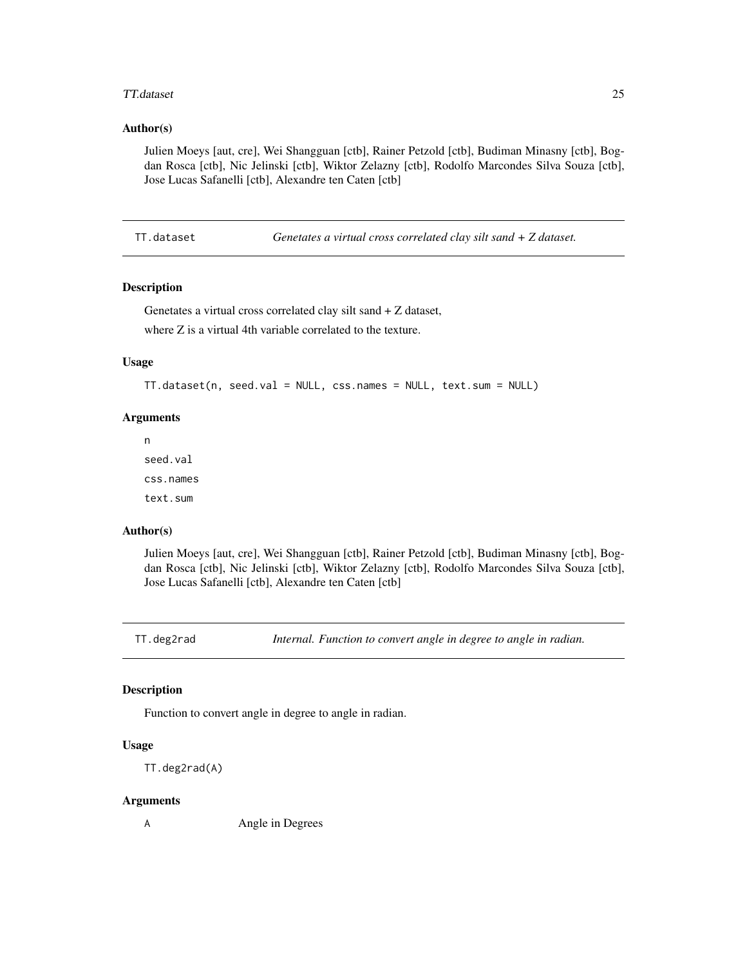#### <span id="page-24-0"></span>TT.dataset 25

# Author(s)

Julien Moeys [aut, cre], Wei Shangguan [ctb], Rainer Petzold [ctb], Budiman Minasny [ctb], Bogdan Rosca [ctb], Nic Jelinski [ctb], Wiktor Zelazny [ctb], Rodolfo Marcondes Silva Souza [ctb], Jose Lucas Safanelli [ctb], Alexandre ten Caten [ctb]

TT.dataset *Genetates a virtual cross correlated clay silt sand + Z dataset.*

# Description

Genetates a virtual cross correlated clay silt sand + Z dataset, where Z is a virtual 4th variable correlated to the texture.

#### Usage

```
TT.dataset(n, seed.val = NULL, css.names = NULL, text.sum = NULL)
```
#### Arguments

n seed.val css.names text.sum

#### Author(s)

Julien Moeys [aut, cre], Wei Shangguan [ctb], Rainer Petzold [ctb], Budiman Minasny [ctb], Bogdan Rosca [ctb], Nic Jelinski [ctb], Wiktor Zelazny [ctb], Rodolfo Marcondes Silva Souza [ctb], Jose Lucas Safanelli [ctb], Alexandre ten Caten [ctb]

TT.deg2rad *Internal. Function to convert angle in degree to angle in radian.*

# Description

Function to convert angle in degree to angle in radian.

# Usage

TT.deg2rad(A)

#### Arguments

A Angle in Degrees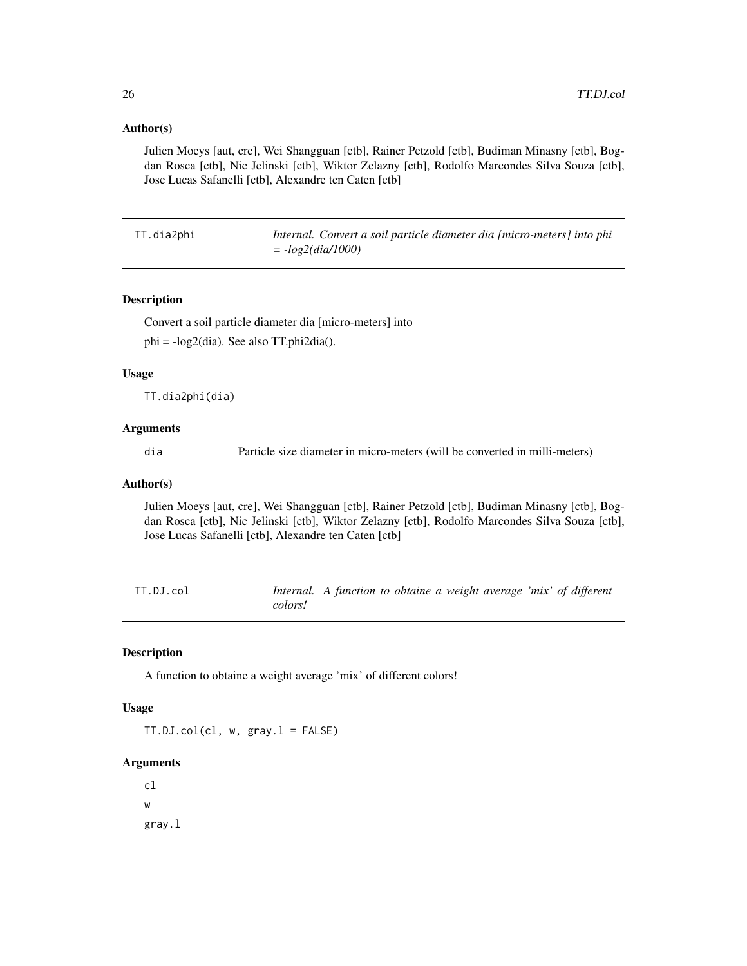# <span id="page-25-0"></span>Author(s)

Julien Moeys [aut, cre], Wei Shangguan [ctb], Rainer Petzold [ctb], Budiman Minasny [ctb], Bogdan Rosca [ctb], Nic Jelinski [ctb], Wiktor Zelazny [ctb], Rodolfo Marcondes Silva Souza [ctb], Jose Lucas Safanelli [ctb], Alexandre ten Caten [ctb]

TT.dia2phi *Internal. Convert a soil particle diameter dia [micro-meters] into phi = -log2(dia/1000)*

# Description

Convert a soil particle diameter dia [micro-meters] into phi = -log2(dia). See also TT.phi2dia().

#### Usage

TT.dia2phi(dia)

# Arguments

dia Particle size diameter in micro-meters (will be converted in milli-meters)

# Author(s)

Julien Moeys [aut, cre], Wei Shangguan [ctb], Rainer Petzold [ctb], Budiman Minasny [ctb], Bogdan Rosca [ctb], Nic Jelinski [ctb], Wiktor Zelazny [ctb], Rodolfo Marcondes Silva Souza [ctb], Jose Lucas Safanelli [ctb], Alexandre ten Caten [ctb]

| TT.DJ.col | Internal. A function to obtaine a weight average 'mix' of different |  |  |  |  |  |
|-----------|---------------------------------------------------------------------|--|--|--|--|--|
|           | colors!                                                             |  |  |  |  |  |

# Description

A function to obtaine a weight average 'mix' of different colors!

#### Usage

TT.DJ.col(cl, w, gray.l = FALSE)

#### Arguments

cl w gray.l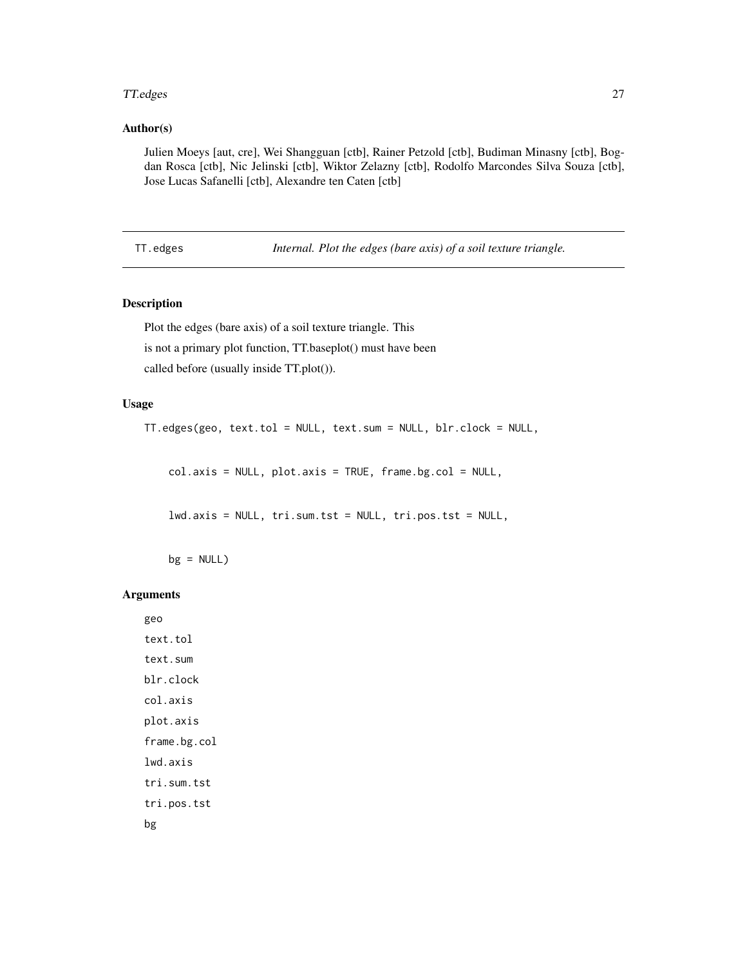#### <span id="page-26-0"></span>TT.edges 27

# Author(s)

Julien Moeys [aut, cre], Wei Shangguan [ctb], Rainer Petzold [ctb], Budiman Minasny [ctb], Bogdan Rosca [ctb], Nic Jelinski [ctb], Wiktor Zelazny [ctb], Rodolfo Marcondes Silva Souza [ctb], Jose Lucas Safanelli [ctb], Alexandre ten Caten [ctb]

TT.edges *Internal. Plot the edges (bare axis) of a soil texture triangle.*

# Description

Plot the edges (bare axis) of a soil texture triangle. This is not a primary plot function, TT.baseplot() must have been called before (usually inside TT.plot()).

# Usage

TT.edges(geo, text.tol = NULL, text.sum = NULL, blr.clock = NULL,

col.axis = NULL, plot.axis = TRUE, frame.bg.col = NULL,

lwd.axis = NULL, tri.sum.tst = NULL, tri.pos.tst = NULL,

 $bg = NULL$ 

#### Arguments

geo text.tol text.sum blr.clock col.axis plot.axis frame.bg.col lwd.axis tri.sum.tst tri.pos.tst bg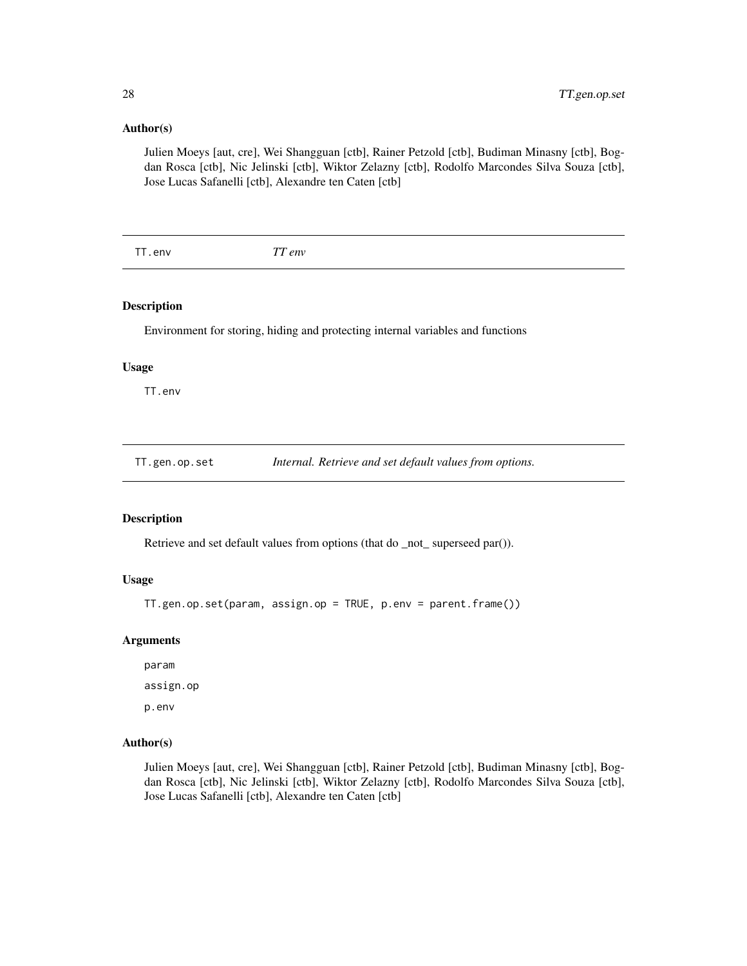#### <span id="page-27-0"></span>Author(s)

Julien Moeys [aut, cre], Wei Shangguan [ctb], Rainer Petzold [ctb], Budiman Minasny [ctb], Bogdan Rosca [ctb], Nic Jelinski [ctb], Wiktor Zelazny [ctb], Rodolfo Marcondes Silva Souza [ctb], Jose Lucas Safanelli [ctb], Alexandre ten Caten [ctb]

TT.env *TT env*

# Description

Environment for storing, hiding and protecting internal variables and functions

#### Usage

TT.env

TT.gen.op.set *Internal. Retrieve and set default values from options.*

# Description

Retrieve and set default values from options (that do \_not\_ superseed par()).

# Usage

TT.gen.op.set(param, assign.op = TRUE, p.env = parent.frame())

#### Arguments

param assign.op p.env

# Author(s)

Julien Moeys [aut, cre], Wei Shangguan [ctb], Rainer Petzold [ctb], Budiman Minasny [ctb], Bogdan Rosca [ctb], Nic Jelinski [ctb], Wiktor Zelazny [ctb], Rodolfo Marcondes Silva Souza [ctb], Jose Lucas Safanelli [ctb], Alexandre ten Caten [ctb]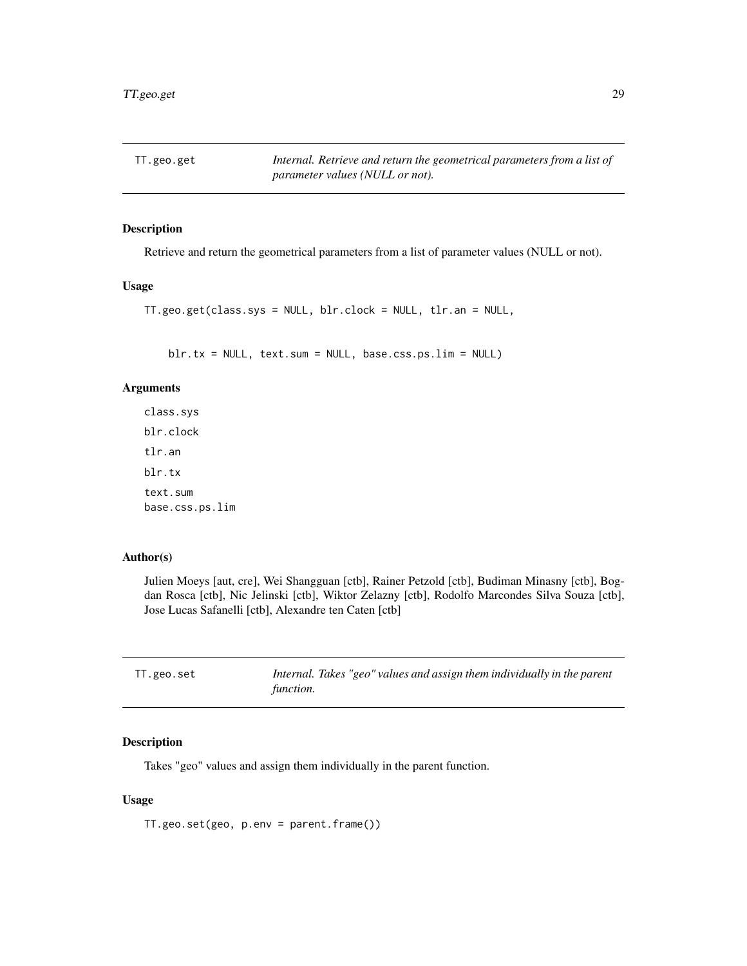<span id="page-28-0"></span>TT.geo.get *Internal. Retrieve and return the geometrical parameters from a list of parameter values (NULL or not).*

# Description

Retrieve and return the geometrical parameters from a list of parameter values (NULL or not).

# Usage

```
TT.geo.get(class.sys = NULL, blr.clock = NULL, tlr.an = NULL,
```
blr.tx = NULL, text.sum = NULL, base.css.ps.lim = NULL)

# Arguments

class.sys blr.clock tlr.an blr.tx text.sum base.css.ps.lim

# Author(s)

Julien Moeys [aut, cre], Wei Shangguan [ctb], Rainer Petzold [ctb], Budiman Minasny [ctb], Bogdan Rosca [ctb], Nic Jelinski [ctb], Wiktor Zelazny [ctb], Rodolfo Marcondes Silva Souza [ctb], Jose Lucas Safanelli [ctb], Alexandre ten Caten [ctb]

| TT.geo.set | Internal. Takes "geo" values and assign them individually in the parent |
|------------|-------------------------------------------------------------------------|
|            | function.                                                               |

#### Description

Takes "geo" values and assign them individually in the parent function.

#### Usage

TT.geo.set(geo, p.env = parent.frame())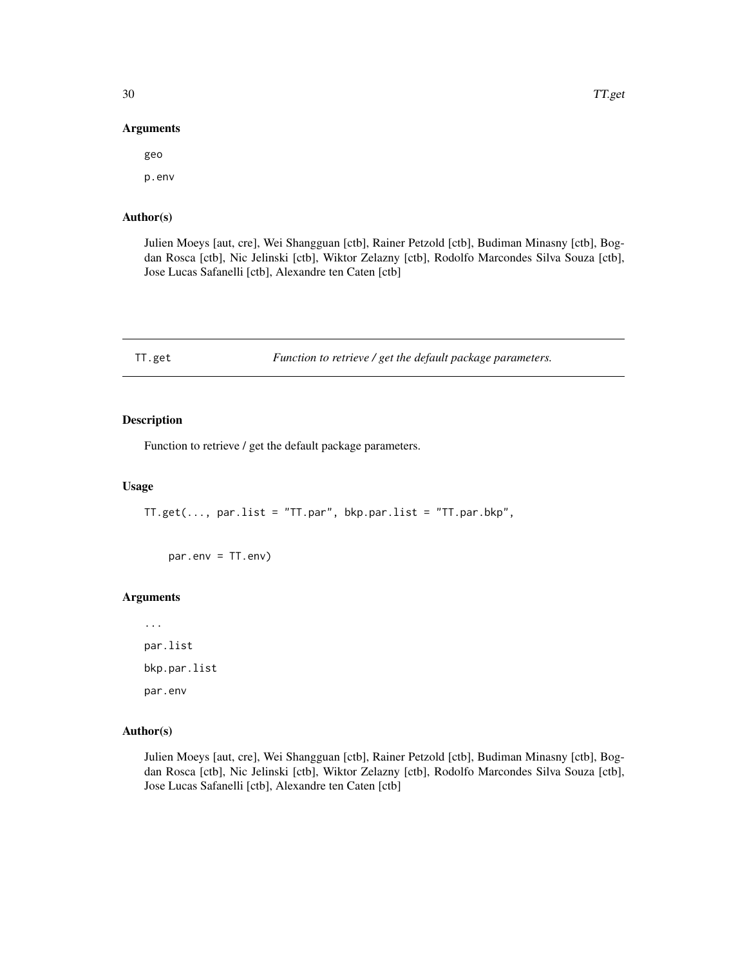#### Arguments

geo p.env

# Author(s)

Julien Moeys [aut, cre], Wei Shangguan [ctb], Rainer Petzold [ctb], Budiman Minasny [ctb], Bogdan Rosca [ctb], Nic Jelinski [ctb], Wiktor Zelazny [ctb], Rodolfo Marcondes Silva Souza [ctb], Jose Lucas Safanelli [ctb], Alexandre ten Caten [ctb]

TT.get *Function to retrieve / get the default package parameters.*

# Description

Function to retrieve / get the default package parameters.

#### Usage

TT.get(..., par.list = "TT.par", bkp.par.list = "TT.par.bkp",

par.env = TT.env)

# Arguments

... par.list bkp.par.list par.env

# Author(s)

Julien Moeys [aut, cre], Wei Shangguan [ctb], Rainer Petzold [ctb], Budiman Minasny [ctb], Bogdan Rosca [ctb], Nic Jelinski [ctb], Wiktor Zelazny [ctb], Rodolfo Marcondes Silva Souza [ctb], Jose Lucas Safanelli [ctb], Alexandre ten Caten [ctb]

<span id="page-29-0"></span>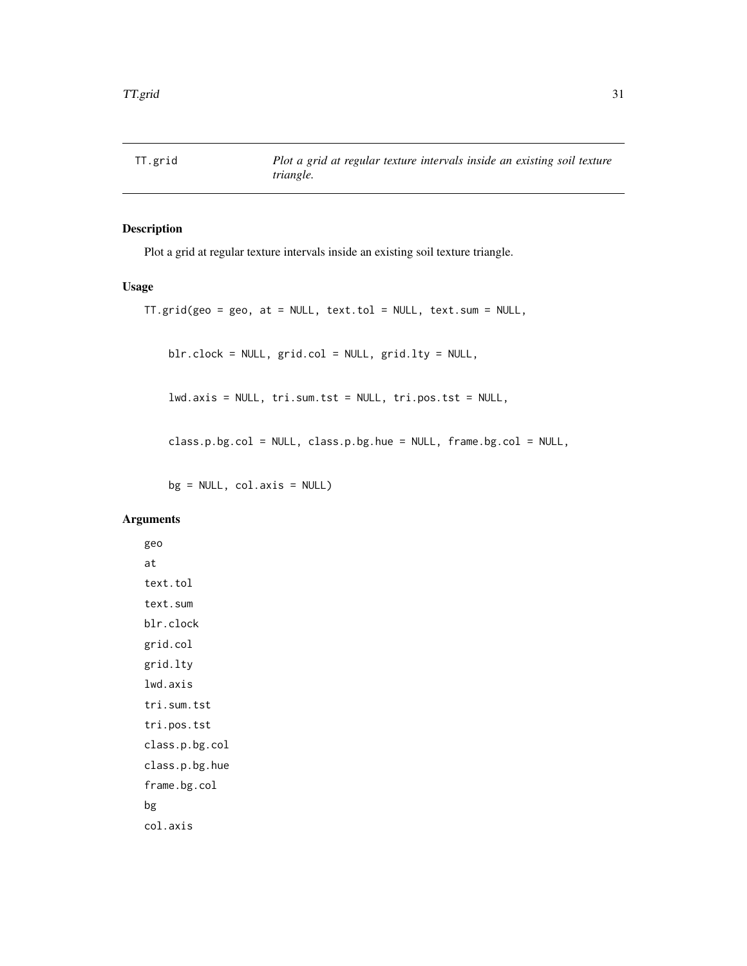<span id="page-30-0"></span>

# Description

Plot a grid at regular texture intervals inside an existing soil texture triangle.

# Usage

```
TT.grid(geo = geo, at = NULL, text.tol = NULL, text.sum = NULL,
    blr.clock = NULL, grid.col = NULL, grid.lty = NULL,
    lwd.axis = NULL, tri.sum.tst = NULL, tri.pos.tst = NULL,
    class.p.bg.col = NULL, class.p.bg.hue = NULL, frame.bg.col = NULL,
```
 $bg = NULL, col.axis = NULL)$ 

# Arguments

geo at text.tol text.sum blr.clock grid.col grid.lty lwd.axis tri.sum.tst tri.pos.tst class.p.bg.col class.p.bg.hue frame.bg.col bg col.axis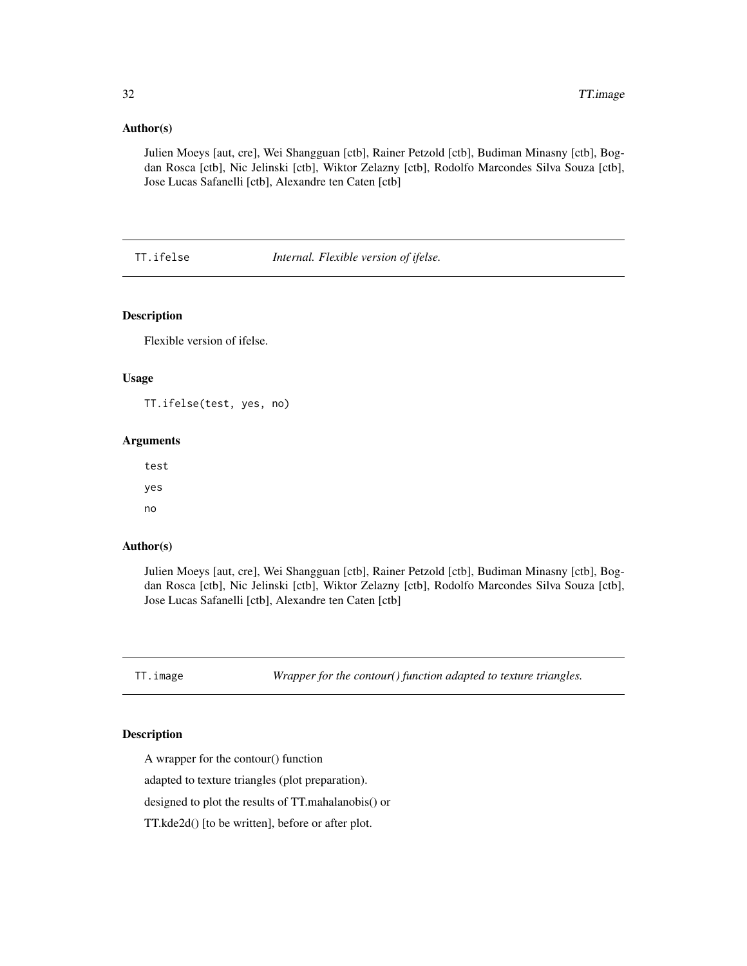# <span id="page-31-0"></span>Author(s)

Julien Moeys [aut, cre], Wei Shangguan [ctb], Rainer Petzold [ctb], Budiman Minasny [ctb], Bogdan Rosca [ctb], Nic Jelinski [ctb], Wiktor Zelazny [ctb], Rodolfo Marcondes Silva Souza [ctb], Jose Lucas Safanelli [ctb], Alexandre ten Caten [ctb]

TT.ifelse *Internal. Flexible version of ifelse.*

# Description

Flexible version of ifelse.

# Usage

TT.ifelse(test, yes, no)

#### Arguments

test yes no

#### Author(s)

Julien Moeys [aut, cre], Wei Shangguan [ctb], Rainer Petzold [ctb], Budiman Minasny [ctb], Bogdan Rosca [ctb], Nic Jelinski [ctb], Wiktor Zelazny [ctb], Rodolfo Marcondes Silva Souza [ctb], Jose Lucas Safanelli [ctb], Alexandre ten Caten [ctb]

TT.image *Wrapper for the contour() function adapted to texture triangles.*

# Description

A wrapper for the contour() function

adapted to texture triangles (plot preparation).

designed to plot the results of TT.mahalanobis() or

TT.kde2d() [to be written], before or after plot.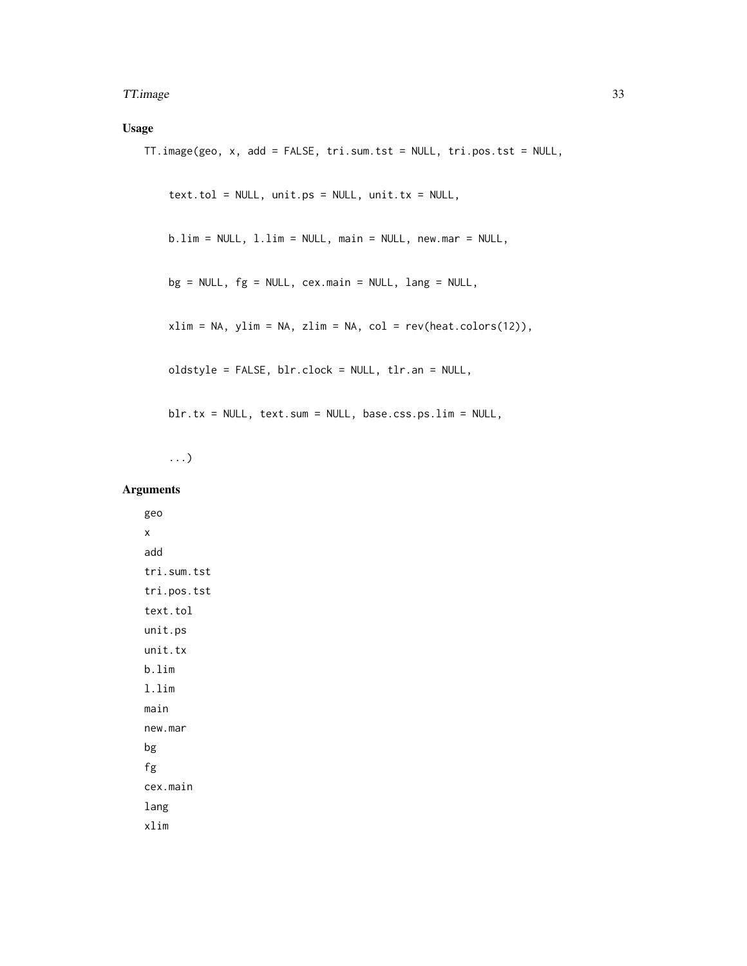#### TT.image 33

# Usage

```
TT.image(geo, x, add = FALSE, tri.sum.tst = NULL, tri.pos.tst = NULL,
    text.t. tol = NULL, unit.ps = NULL, unit.tx = NULL,b.lim = NULL, l.lim = NULL, main = NULL, new.mar = NULL,
    bg = NULL, fg = NULL, cex.mainloop = NULL, lang = NULL,xlim = NA, ylim = NA, zlim = NA, col = rev(heat.colors(12)),
    oldstyle = FALSE, blr.clock = NULL, tlr.an = NULL,
    blr.tx = NULL, text.sum = NULL, base.css.ps.lim = NULL,
```
...)

# Arguments

geo x add tri.sum.tst tri.pos.tst text.tol unit.ps unit.tx b.lim l.lim main new.mar bg fg cex.main lang xlim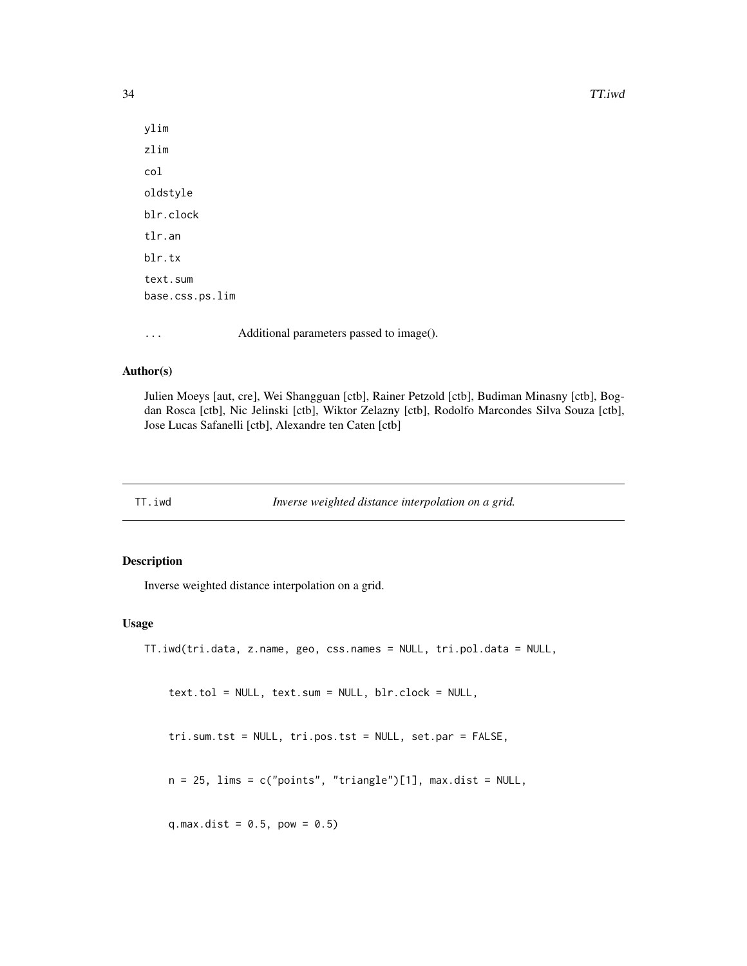34 TT.iwd

ylim zlim col oldstyle blr.clock tlr.an blr.tx text.sum base.css.ps.lim

... Additional parameters passed to image().

# Author(s)

Julien Moeys [aut, cre], Wei Shangguan [ctb], Rainer Petzold [ctb], Budiman Minasny [ctb], Bogdan Rosca [ctb], Nic Jelinski [ctb], Wiktor Zelazny [ctb], Rodolfo Marcondes Silva Souza [ctb], Jose Lucas Safanelli [ctb], Alexandre ten Caten [ctb]

TT.iwd *Inverse weighted distance interpolation on a grid.*

#### Description

Inverse weighted distance interpolation on a grid.

# Usage

```
TT.iwd(tri.data, z.name, geo, css.names = NULL, tri.pol.data = NULL,
```
text.tol = NULL, text.sum = NULL, blr.clock = NULL,

tri.sum.tst = NULL, tri.pos.tst = NULL, set.par = FALSE,

 $n = 25$ , lims = c("points", "triangle")[1], max.dist = NULL,

q.max.dist =  $0.5$ , pow =  $0.5$ )

<span id="page-33-0"></span>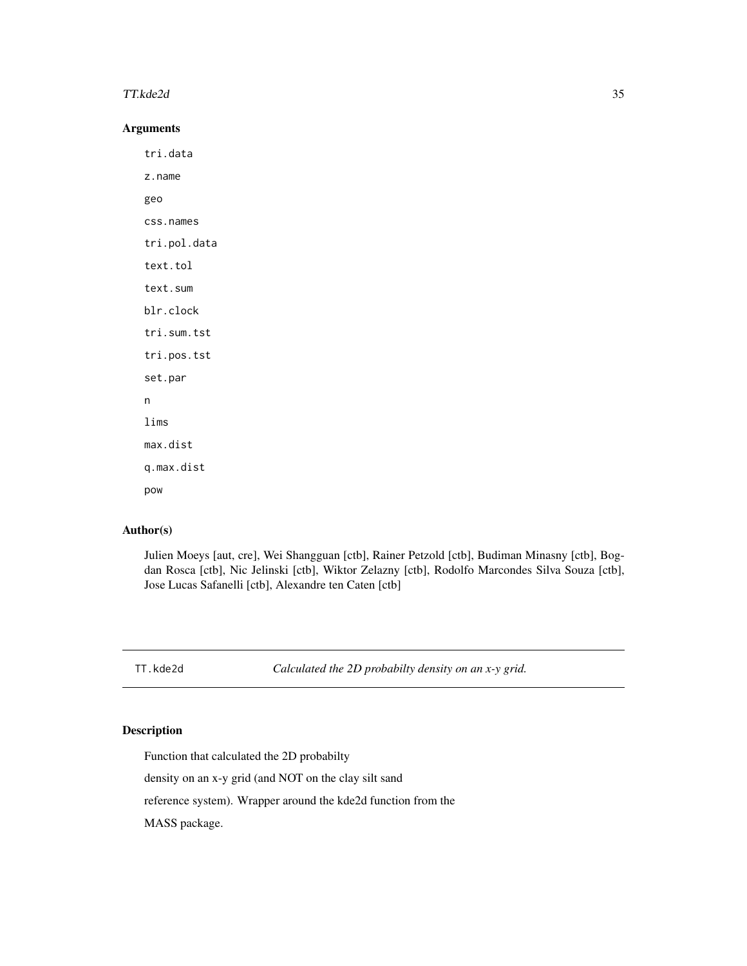#### <span id="page-34-0"></span>TT.kde2d 35

# Arguments

tri.data z.name geo css.names tri.pol.data text.tol text.sum blr.clock tri.sum.tst tri.pos.tst set.par n lims max.dist q.max.dist pow

# Author(s)

Julien Moeys [aut, cre], Wei Shangguan [ctb], Rainer Petzold [ctb], Budiman Minasny [ctb], Bogdan Rosca [ctb], Nic Jelinski [ctb], Wiktor Zelazny [ctb], Rodolfo Marcondes Silva Souza [ctb], Jose Lucas Safanelli [ctb], Alexandre ten Caten [ctb]

TT.kde2d *Calculated the 2D probabilty density on an x-y grid.*

# Description

Function that calculated the 2D probabilty

density on an x-y grid (and NOT on the clay silt sand

reference system). Wrapper around the kde2d function from the

MASS package.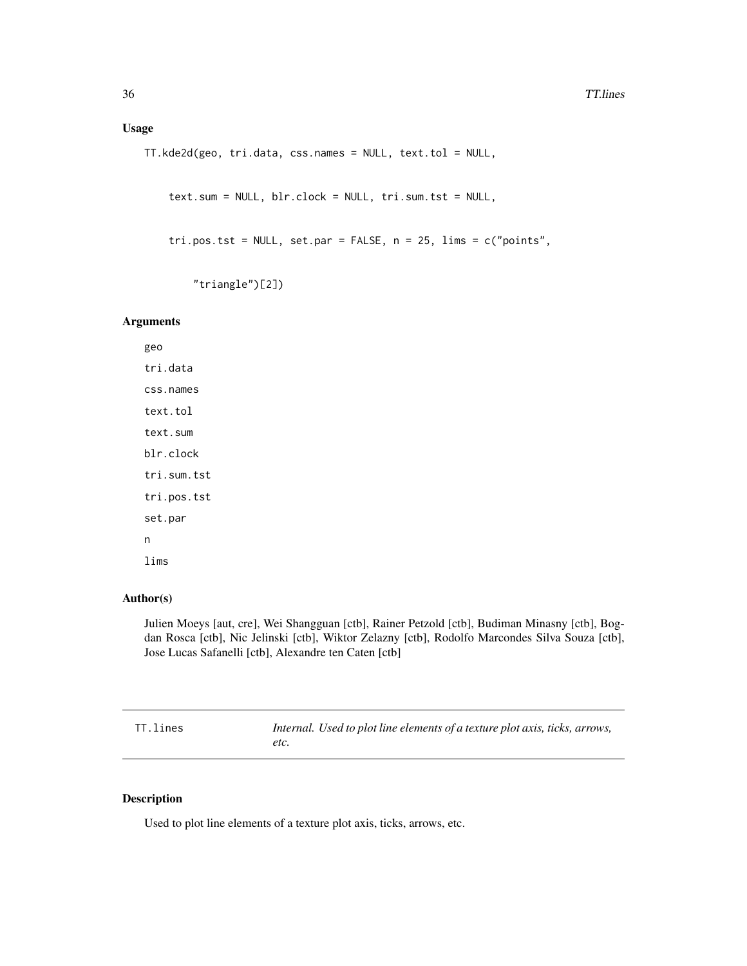# <span id="page-35-0"></span>Usage

```
TT.kde2d(geo, tri.data, css.names = NULL, text.tol = NULL,
```

```
text.sum = NULL, blr.clock = NULL, tri.sum.tst = NULL,
```

```
tri.pos.tst = NULL, set.par = FALSE, n = 25, lims = c("points",
```

```
"triangle")[2])
```
# Arguments

geo tri.data css.names text.tol text.sum blr.clock tri.sum.tst tri.pos.tst set.par n lims

# Author(s)

Julien Moeys [aut, cre], Wei Shangguan [ctb], Rainer Petzold [ctb], Budiman Minasny [ctb], Bogdan Rosca [ctb], Nic Jelinski [ctb], Wiktor Zelazny [ctb], Rodolfo Marcondes Silva Souza [ctb], Jose Lucas Safanelli [ctb], Alexandre ten Caten [ctb]

| TT.lines | Internal. Used to plot line elements of a texture plot axis, ticks, arrows, |
|----------|-----------------------------------------------------------------------------|
|          | etc.                                                                        |

# Description

Used to plot line elements of a texture plot axis, ticks, arrows, etc.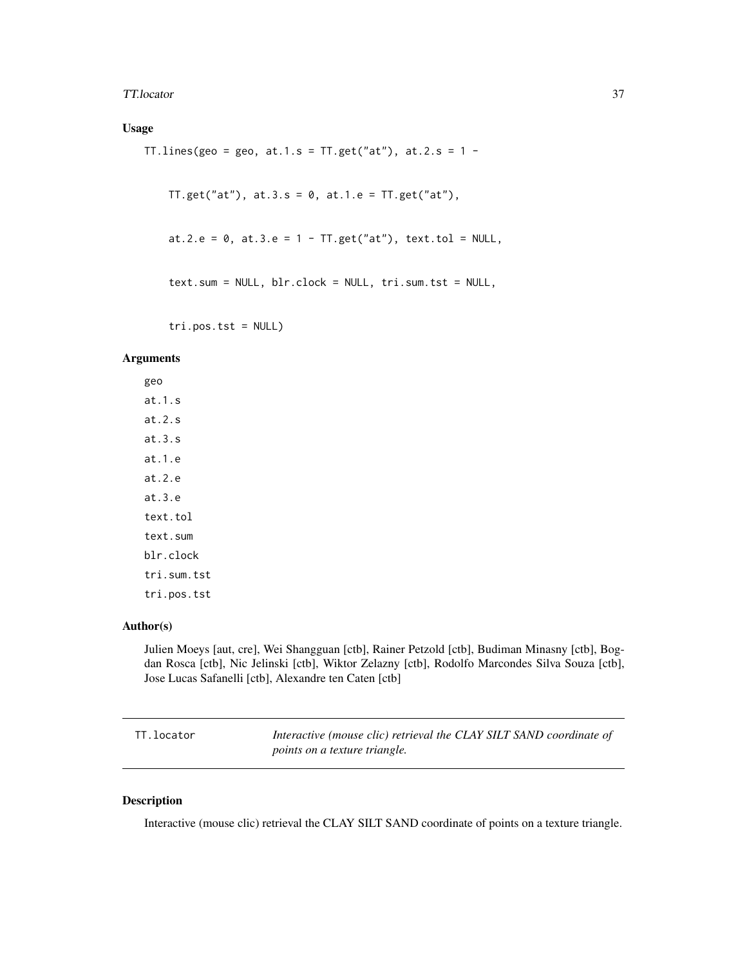#### TT.locator 37

## Usage

TT.lines(geo = geo, at.1.s = TT.get("at"), at.2.s =  $1 -$ 

 $TT.get("at"), at.3.s = 0, at.1.e = TT.get("at"),$ 

```
at.2.e = 0, at.3.e = 1 - TT.get("at"), text.tol = NULL,
```

```
text.sum = NULL, blr.clock = NULL, tri.sum.tst = NULL,
```
tri.pos.tst = NULL)

## Arguments

geo at.1.s at.2.s at.3.s at.1.e at.2.e at.3.e text.tol text.sum blr.clock tri.sum.tst tri.pos.tst

## Author(s)

Julien Moeys [aut, cre], Wei Shangguan [ctb], Rainer Petzold [ctb], Budiman Minasny [ctb], Bogdan Rosca [ctb], Nic Jelinski [ctb], Wiktor Zelazny [ctb], Rodolfo Marcondes Silva Souza [ctb], Jose Lucas Safanelli [ctb], Alexandre ten Caten [ctb]

| TT.locator | Interactive (mouse clic) retrieval the CLAY SILT SAND coordinate of |
|------------|---------------------------------------------------------------------|
|            | <i>points on a texture triangle.</i>                                |

## Description

Interactive (mouse clic) retrieval the CLAY SILT SAND coordinate of points on a texture triangle.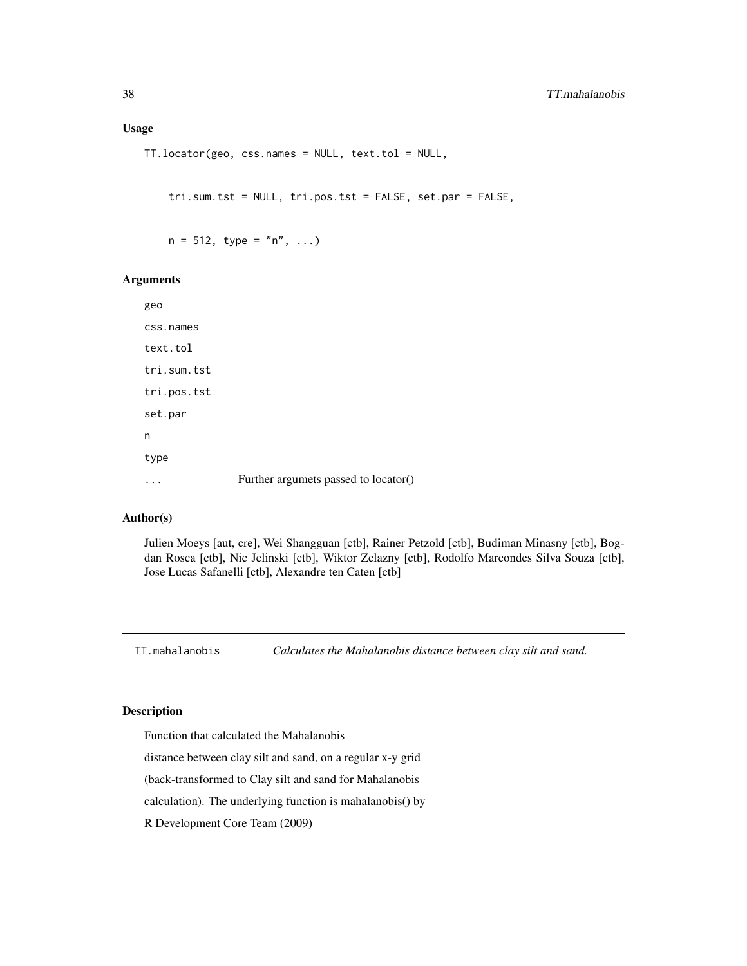### Usage

TT.locator(geo, css.names = NULL, text.tol = NULL,

tri.sum.tst = NULL, tri.pos.tst = FALSE, set.par = FALSE,

 $n = 512$ , type = "n", ...)

### Arguments

| geo         |                                      |
|-------------|--------------------------------------|
| css.names   |                                      |
| text.tol    |                                      |
| tri.sum.tst |                                      |
| tri.pos.tst |                                      |
| set.par     |                                      |
| n           |                                      |
| type        |                                      |
|             | Further argumets passed to locator() |

### Author(s)

Julien Moeys [aut, cre], Wei Shangguan [ctb], Rainer Petzold [ctb], Budiman Minasny [ctb], Bogdan Rosca [ctb], Nic Jelinski [ctb], Wiktor Zelazny [ctb], Rodolfo Marcondes Silva Souza [ctb], Jose Lucas Safanelli [ctb], Alexandre ten Caten [ctb]

TT.mahalanobis *Calculates the Mahalanobis distance between clay silt and sand.*

## Description

Function that calculated the Mahalanobis

distance between clay silt and sand, on a regular x-y grid

(back-transformed to Clay silt and sand for Mahalanobis

calculation). The underlying function is mahalanobis() by

R Development Core Team (2009)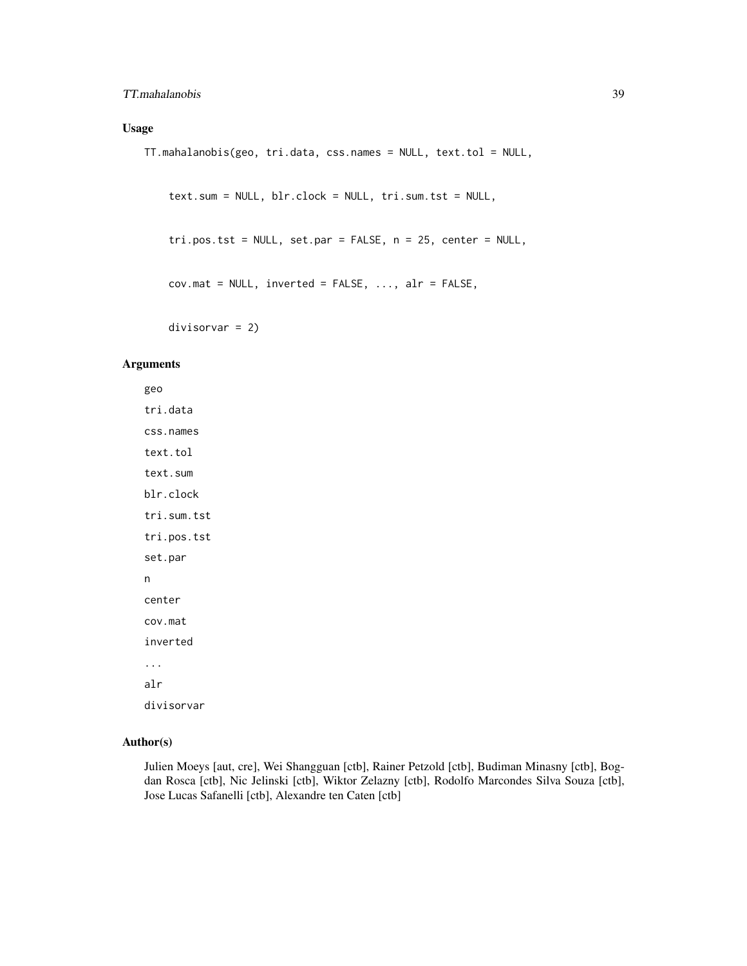## TT.mahalanobis 39

## Usage

```
TT.mahalanobis(geo, tri.data, css.names = NULL, text.tol = NULL,
```

```
text.sum = NULL, blr.clock = NULL, tri.sum.tst = NULL,
```

```
tri.pos.tst = NULL, set.par = FALSE, n = 25, center = NULL,
```

```
cov.mat = NULL, inverted = FALSE, ..., alr = FALSE,
```
divisorvar = 2)

### Arguments

geo tri.data css.names text.tol text.sum blr.clock tri.sum.tst tri.pos.tst set.par n center cov.mat inverted ... alr divisorvar

## Author(s)

Julien Moeys [aut, cre], Wei Shangguan [ctb], Rainer Petzold [ctb], Budiman Minasny [ctb], Bogdan Rosca [ctb], Nic Jelinski [ctb], Wiktor Zelazny [ctb], Rodolfo Marcondes Silva Souza [ctb], Jose Lucas Safanelli [ctb], Alexandre ten Caten [ctb]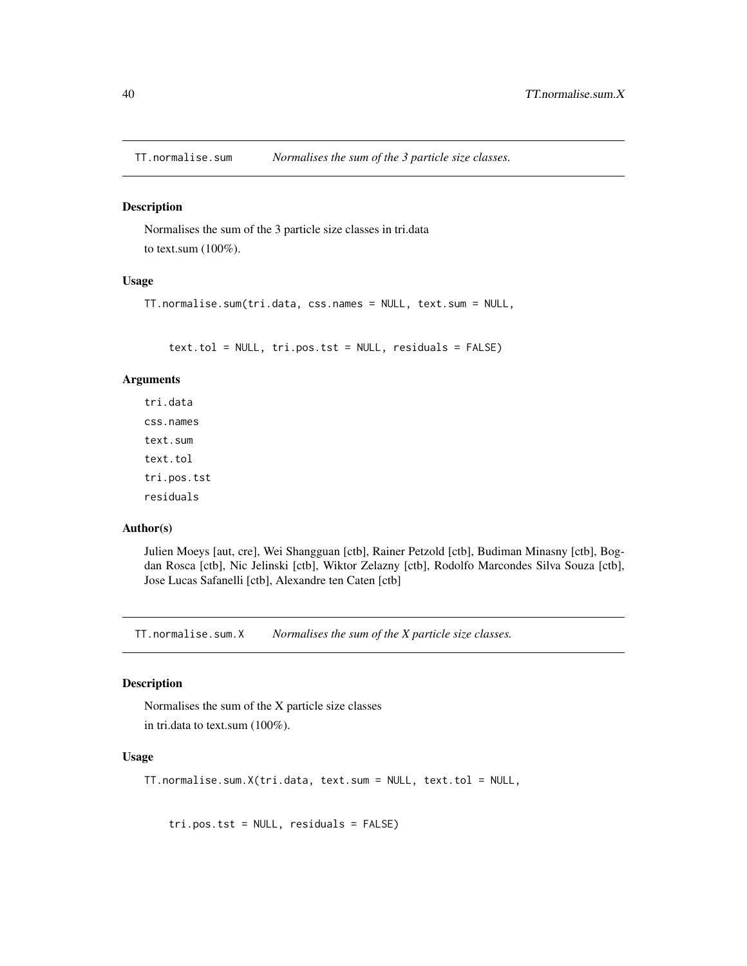TT.normalise.sum *Normalises the sum of the 3 particle size classes.*

## Description

Normalises the sum of the 3 particle size classes in tri.data to text.sum (100%).

## Usage

TT.normalise.sum(tri.data, css.names = NULL, text.sum = NULL,

text.tol = NULL, tri.pos.tst = NULL, residuals = FALSE)

#### Arguments

tri.data css.names text.sum text.tol tri.pos.tst residuals

#### Author(s)

Julien Moeys [aut, cre], Wei Shangguan [ctb], Rainer Petzold [ctb], Budiman Minasny [ctb], Bogdan Rosca [ctb], Nic Jelinski [ctb], Wiktor Zelazny [ctb], Rodolfo Marcondes Silva Souza [ctb], Jose Lucas Safanelli [ctb], Alexandre ten Caten [ctb]

TT.normalise.sum.X *Normalises the sum of the X particle size classes.*

### Description

Normalises the sum of the X particle size classes in tri.data to text.sum (100%).

### Usage

```
TT.normalise.sum.X(tri.data, text.sum = NULL, text.tol = NULL,
```
tri.pos.tst = NULL, residuals = FALSE)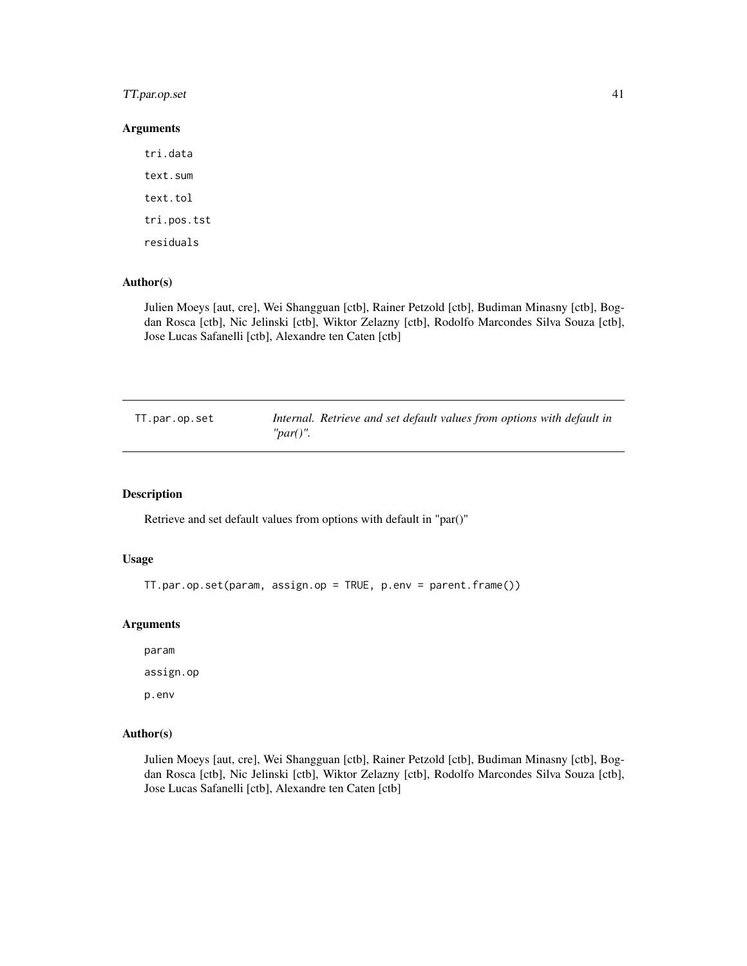## TT.par.op.set 41

### Arguments

tri.data text.sum text.tol tri.pos.tst residuals

## Author(s)

Julien Moeys [aut, cre], Wei Shangguan [ctb], Rainer Petzold [ctb], Budiman Minasny [ctb], Bogdan Rosca [ctb], Nic Jelinski [ctb], Wiktor Zelazny [ctb], Rodolfo Marcondes Silva Souza [ctb], Jose Lucas Safanelli [ctb], Alexandre ten Caten [ctb]

| TT.par.op.set |              | Internal. Retrieve and set default values from options with default in |  |  |  |
|---------------|--------------|------------------------------------------------------------------------|--|--|--|
|               | " $par()$ ". |                                                                        |  |  |  |

## Description

Retrieve and set default values from options with default in "par()"

#### Usage

TT.par.op.set(param, assign.op = TRUE, p.env = parent.frame())

### Arguments

param

assign.op

p.env

#### Author(s)

Julien Moeys [aut, cre], Wei Shangguan [ctb], Rainer Petzold [ctb], Budiman Minasny [ctb], Bogdan Rosca [ctb], Nic Jelinski [ctb], Wiktor Zelazny [ctb], Rodolfo Marcondes Silva Souza [ctb], Jose Lucas Safanelli [ctb], Alexandre ten Caten [ctb]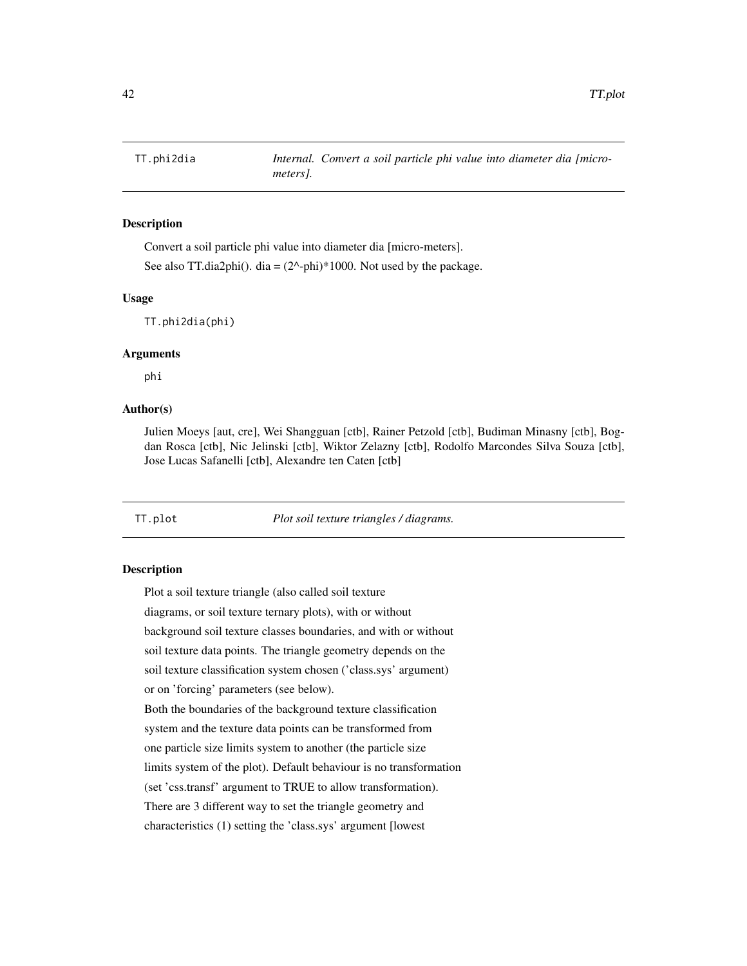#### Description

Convert a soil particle phi value into diameter dia [micro-meters].

See also TT.dia2phi(). dia =  $(2^x$ -phi)\*1000. Not used by the package.

#### Usage

TT.phi2dia(phi)

## Arguments

phi

## Author(s)

Julien Moeys [aut, cre], Wei Shangguan [ctb], Rainer Petzold [ctb], Budiman Minasny [ctb], Bogdan Rosca [ctb], Nic Jelinski [ctb], Wiktor Zelazny [ctb], Rodolfo Marcondes Silva Souza [ctb], Jose Lucas Safanelli [ctb], Alexandre ten Caten [ctb]

TT.plot *Plot soil texture triangles / diagrams.*

### Description

Plot a soil texture triangle (also called soil texture diagrams, or soil texture ternary plots), with or without background soil texture classes boundaries, and with or without soil texture data points. The triangle geometry depends on the soil texture classification system chosen ('class.sys' argument) or on 'forcing' parameters (see below). Both the boundaries of the background texture classification system and the texture data points can be transformed from one particle size limits system to another (the particle size limits system of the plot). Default behaviour is no transformation (set 'css.transf' argument to TRUE to allow transformation). There are 3 different way to set the triangle geometry and characteristics (1) setting the 'class.sys' argument [lowest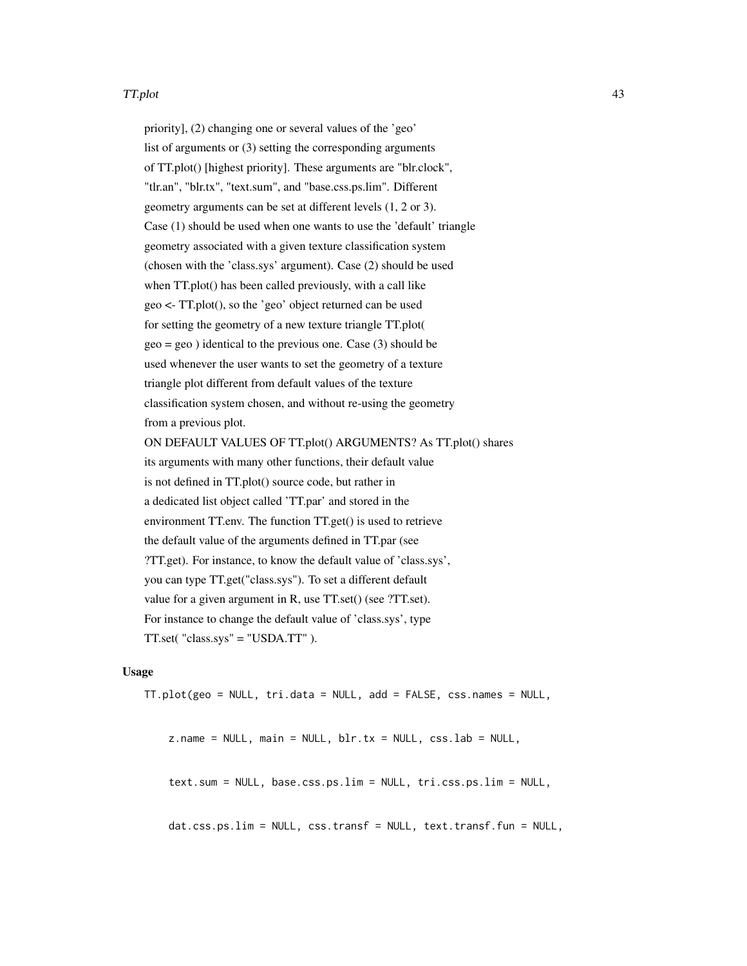#### TT.plot 43

priority], (2) changing one or several values of the 'geo' list of arguments or (3) setting the corresponding arguments of TT.plot() [highest priority]. These arguments are "blr.clock", "tlr.an", "blr.tx", "text.sum", and "base.css.ps.lim". Different geometry arguments can be set at different levels (1, 2 or 3). Case (1) should be used when one wants to use the 'default' triangle geometry associated with a given texture classification system (chosen with the 'class.sys' argument). Case (2) should be used when TT.plot() has been called previously, with a call like geo <- TT.plot(), so the 'geo' object returned can be used for setting the geometry of a new texture triangle TT.plot( geo = geo ) identical to the previous one. Case (3) should be used whenever the user wants to set the geometry of a texture triangle plot different from default values of the texture classification system chosen, and without re-using the geometry from a previous plot. ON DEFAULT VALUES OF TT.plot() ARGUMENTS? As TT.plot() shares its arguments with many other functions, their default value is not defined in TT.plot() source code, but rather in a dedicated list object called 'TT.par' and stored in the

environment TT.env. The function TT.get() is used to retrieve the default value of the arguments defined in TT.par (see ?TT.get). For instance, to know the default value of 'class.sys', you can type TT.get("class.sys"). To set a different default value for a given argument in R, use TT.set() (see ?TT.set). For instance to change the default value of 'class.sys', type TT.set( "class.sys" = "USDA.TT" ).

### Usage

TT.plot(geo = NULL, tri.data = NULL, add = FALSE, css.names = NULL,

z.name = NULL, main = NULL, blr.tx = NULL, css.lab = NULL,

text.sum = NULL, base.css.ps.lim = NULL, tri.css.ps.lim = NULL,

dat.css.ps.lim = NULL, css.transf = NULL, text.transf.fun = NULL,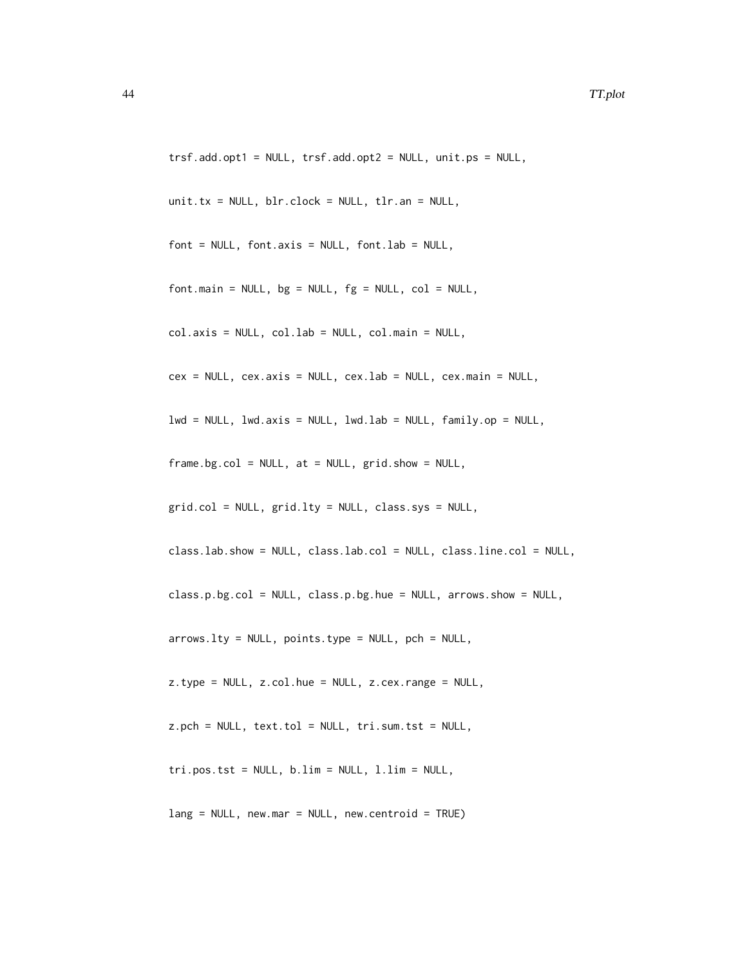```
trsf.add.opt1 = NULL, trsf.add.opt2 = NULL, unit.ps = NULL,
unit.tx = NULL, blr.clock = NULL, tlr.an = NULL,
font = NULL, fontaxis = NULL, fontlab = NULL,font.mainloop = NULL, bg = NULL, fg = NULL, col = NULL,col.axis = NULL, col.lab = NULL, col.main = NULL,
cex = NULL, cex.axis = NULL, cex.lab = NULL, cex.main = NULL,
lwd = NULL, lwd.axis = NULL, lwd.lab = NULL, family.op = NULL,
frame.bg.col = NULL, at = NULL, grid.show = NULL,grid.col = NULL, grid.lty = NULL, class.sys = NULL,
class.lab.show = NULL, class.lab.col = NULL, class.line.col = NULL,
class.p.bg.col = NULL, class.p.bg.hue = NULL, arrows.show = NULL,
arrows. Ity = NULL, points.type = NULL, pch = NULL,
z.type = NULL, z.col.hue = NULL, z.cex.range = NULL,
z.pch = NULL, text.tol = NULL, tri.sum.tst = NULL,
tri.pos.tst = NULL, b.lim = NULL, l.lim = NULL,
```
 $lang = NULL$ , new.mar = NULL, new.centroid = TRUE)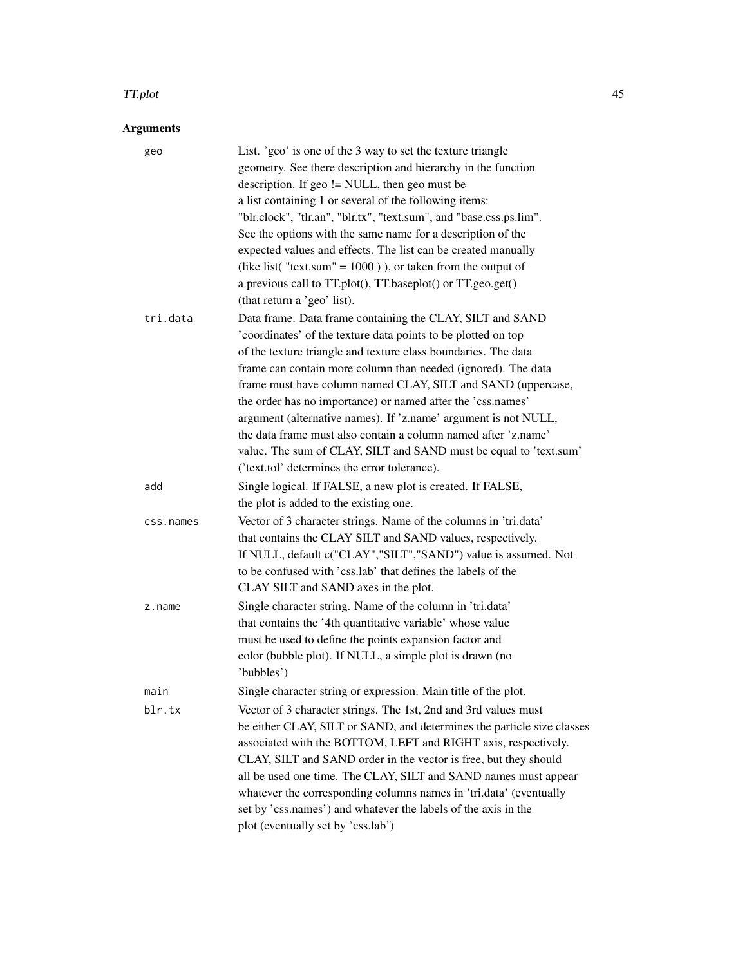### TT.plot 45

# Arguments

| geo       | List. 'geo' is one of the 3 way to set the texture triangle<br>geometry. See there description and hierarchy in the function<br>description. If $geo$ != NULL, then $geo$ must be |
|-----------|-----------------------------------------------------------------------------------------------------------------------------------------------------------------------------------|
|           | a list containing 1 or several of the following items:                                                                                                                            |
|           | "blr.clock", "tlr.an", "blr.tx", "text.sum", and "base.css.ps.lim".                                                                                                               |
|           | See the options with the same name for a description of the                                                                                                                       |
|           | expected values and effects. The list can be created manually                                                                                                                     |
|           | (like list("text.sum" = $1000$ ), or taken from the output of                                                                                                                     |
|           | a previous call to TT.plot(), TT.baseplot() or TT.geo.get()                                                                                                                       |
|           | (that return a 'geo' list).                                                                                                                                                       |
| tri.data  | Data frame. Data frame containing the CLAY, SILT and SAND                                                                                                                         |
|           | 'coordinates' of the texture data points to be plotted on top                                                                                                                     |
|           | of the texture triangle and texture class boundaries. The data                                                                                                                    |
|           | frame can contain more column than needed (ignored). The data                                                                                                                     |
|           | frame must have column named CLAY, SILT and SAND (uppercase,                                                                                                                      |
|           | the order has no importance) or named after the 'css.names'                                                                                                                       |
|           | argument (alternative names). If 'z.name' argument is not NULL,                                                                                                                   |
|           | the data frame must also contain a column named after 'z.name'                                                                                                                    |
|           | value. The sum of CLAY, SILT and SAND must be equal to 'text.sum'                                                                                                                 |
|           | ('text.tol' determines the error tolerance).                                                                                                                                      |
| add       | Single logical. If FALSE, a new plot is created. If FALSE,                                                                                                                        |
|           | the plot is added to the existing one.                                                                                                                                            |
| css.names | Vector of 3 character strings. Name of the columns in 'tri.data'                                                                                                                  |
|           | that contains the CLAY SILT and SAND values, respectively.                                                                                                                        |
|           | If NULL, default c("CLAY","SILT","SAND") value is assumed. Not                                                                                                                    |
|           | to be confused with 'css.lab' that defines the labels of the                                                                                                                      |
|           | CLAY SILT and SAND axes in the plot.                                                                                                                                              |
| z.name    | Single character string. Name of the column in 'tri.data'                                                                                                                         |
|           | that contains the '4th quantitative variable' whose value                                                                                                                         |
|           | must be used to define the points expansion factor and<br>color (bubble plot). If NULL, a simple plot is drawn (no                                                                |
|           | 'bubbles')                                                                                                                                                                        |
|           | Single character string or expression. Main title of the plot.                                                                                                                    |
| main      |                                                                                                                                                                                   |
| blr.tx    | Vector of 3 character strings. The 1st, 2nd and 3rd values must                                                                                                                   |
|           | be either CLAY, SILT or SAND, and determines the particle size classes<br>associated with the BOTTOM, LEFT and RIGHT axis, respectively.                                          |
|           | CLAY, SILT and SAND order in the vector is free, but they should                                                                                                                  |
|           | all be used one time. The CLAY, SILT and SAND names must appear                                                                                                                   |
|           | whatever the corresponding columns names in 'tri.data' (eventually                                                                                                                |
|           | set by 'css.names') and whatever the labels of the axis in the                                                                                                                    |
|           | plot (eventually set by 'css.lab')                                                                                                                                                |
|           |                                                                                                                                                                                   |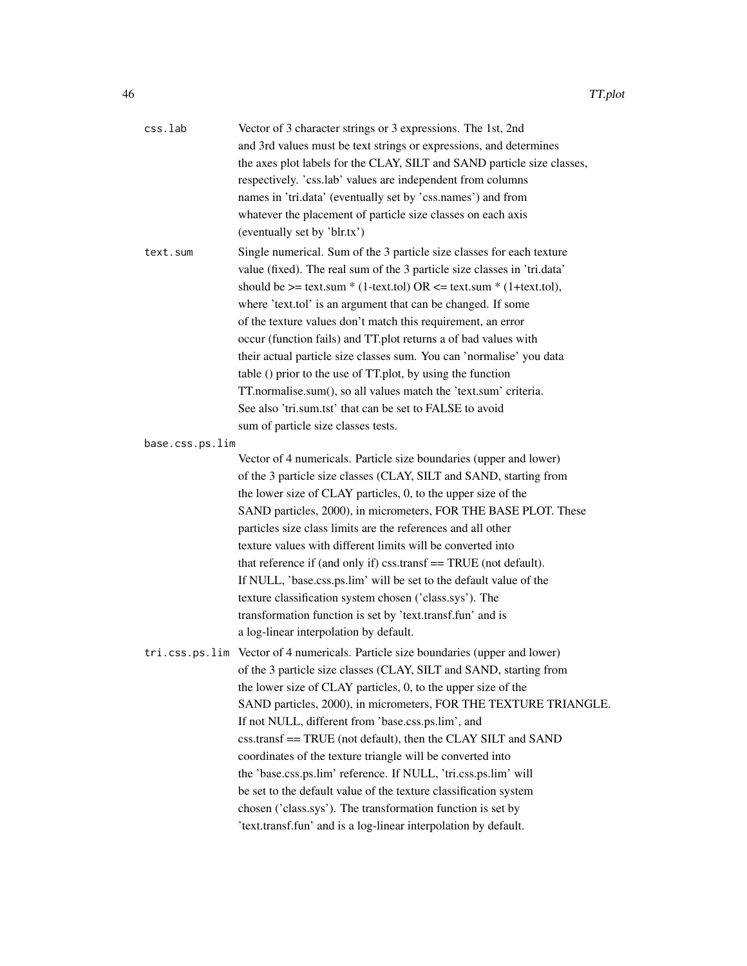| css.lab         | Vector of 3 character strings or 3 expressions. The 1st, 2nd                      |
|-----------------|-----------------------------------------------------------------------------------|
|                 | and 3rd values must be text strings or expressions, and determines                |
|                 | the axes plot labels for the CLAY, SILT and SAND particle size classes,           |
|                 | respectively. 'css.lab' values are independent from columns                       |
|                 | names in 'tri.data' (eventually set by 'css.names') and from                      |
|                 | whatever the placement of particle size classes on each axis                      |
|                 | (eventually set by 'blr.tx')                                                      |
| text.sum        | Single numerical. Sum of the 3 particle size classes for each texture             |
|                 | value (fixed). The real sum of the 3 particle size classes in 'tri.data'          |
|                 | should be $\ge$ = text.sum * (1-text.tol) OR $\lt$ = text.sum * (1+text.tol),     |
|                 | where 'text.tol' is an argument that can be changed. If some                      |
|                 | of the texture values don't match this requirement, an error                      |
|                 | occur (function fails) and TT.plot returns a of bad values with                   |
|                 | their actual particle size classes sum. You can 'normalise' you data              |
|                 | table () prior to the use of TT.plot, by using the function                       |
|                 | TT.normalise.sum(), so all values match the 'text.sum' criteria.                  |
|                 | See also 'tri.sum.tst' that can be set to FALSE to avoid                          |
|                 | sum of particle size classes tests.                                               |
| base.css.ps.lim |                                                                                   |
|                 | Vector of 4 numericals. Particle size boundaries (upper and lower)                |
|                 | of the 3 particle size classes (CLAY, SILT and SAND, starting from                |
|                 | the lower size of CLAY particles, 0, to the upper size of the                     |
|                 | SAND particles, 2000), in micrometers, FOR THE BASE PLOT. These                   |
|                 | particles size class limits are the references and all other                      |
|                 | texture values with different limits will be converted into                       |
|                 | that reference if (and only if) css.transf == TRUE (not default).                 |
|                 | If NULL, 'base.css.ps.lim' will be set to the default value of the                |
|                 | texture classification system chosen ('class.sys'). The                           |
|                 | transformation function is set by 'text.transf.fun' and is                        |
|                 | a log-linear interpolation by default.                                            |
|                 | tri.css.ps.lim Vector of 4 numericals. Particle size boundaries (upper and lower) |
|                 | of the 3 particle size classes (CLAY, SILT and SAND, starting from                |
|                 | the lower size of CLAY particles, 0, to the upper size of the                     |
|                 | SAND particles, 2000), in micrometers, FOR THE TEXTURE TRIANGLE.                  |
|                 | If not NULL, different from 'base.css.ps.lim', and                                |
|                 | css.transf == TRUE (not default), then the CLAY SILT and SAND                     |
|                 | coordinates of the texture triangle will be converted into                        |
|                 | the 'base.css.ps.lim' reference. If NULL, 'tri.css.ps.lim' will                   |
|                 | be set to the default value of the texture classification system                  |
|                 | chosen ('class.sys'). The transformation function is set by                       |
|                 | 'text.transf.fun' and is a log-linear interpolation by default.                   |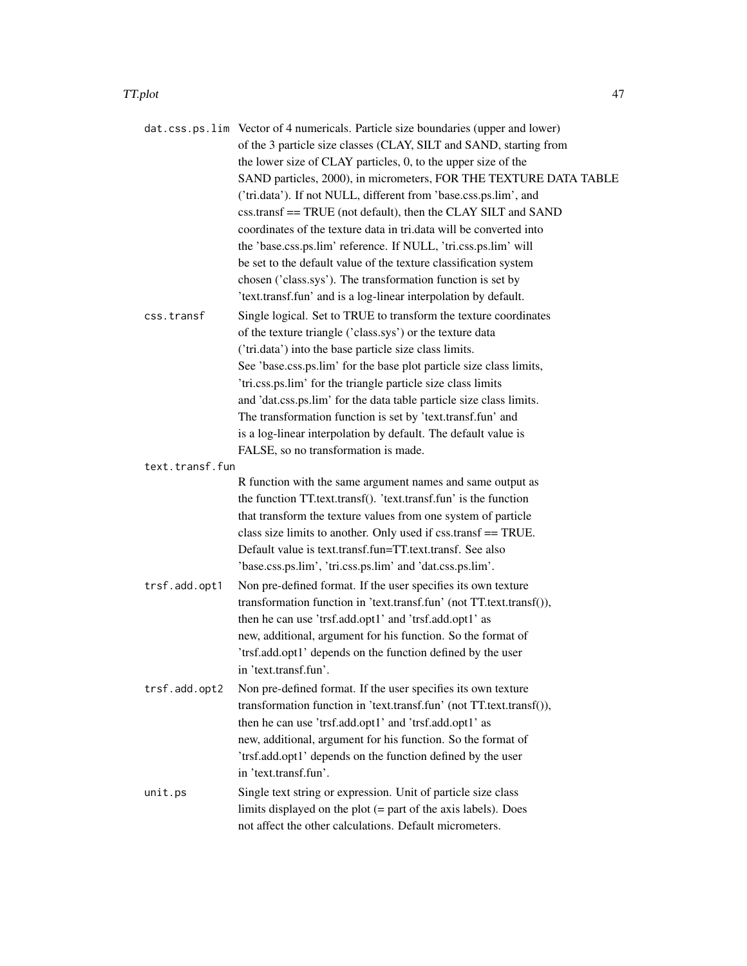#### TT.plot 47

|                 | dat.css.ps.lim Vector of 4 numericals. Particle size boundaries (upper and lower)<br>of the 3 particle size classes (CLAY, SILT and SAND, starting from |
|-----------------|---------------------------------------------------------------------------------------------------------------------------------------------------------|
|                 | the lower size of CLAY particles, 0, to the upper size of the                                                                                           |
|                 | SAND particles, 2000), in micrometers, FOR THE TEXTURE DATA TABLE                                                                                       |
|                 | ('tri.data'). If not NULL, different from 'base.css.ps.lim', and                                                                                        |
|                 | css.transf == TRUE (not default), then the CLAY SILT and SAND                                                                                           |
|                 | coordinates of the texture data in tri.data will be converted into                                                                                      |
|                 | the 'base.css.ps.lim' reference. If NULL, 'tri.css.ps.lim' will                                                                                         |
|                 | be set to the default value of the texture classification system                                                                                        |
|                 | chosen ('class.sys'). The transformation function is set by                                                                                             |
|                 | 'text.transf.fun' and is a log-linear interpolation by default.                                                                                         |
| css.transf      | Single logical. Set to TRUE to transform the texture coordinates                                                                                        |
|                 | of the texture triangle ('class.sys') or the texture data                                                                                               |
|                 | ('tri.data') into the base particle size class limits.                                                                                                  |
|                 | See 'base.css.ps.lim' for the base plot particle size class limits,                                                                                     |
|                 | 'tri.css.ps.lim' for the triangle particle size class limits                                                                                            |
|                 | and 'dat.css.ps.lim' for the data table particle size class limits.                                                                                     |
|                 | The transformation function is set by 'text.transf.fun' and                                                                                             |
|                 | is a log-linear interpolation by default. The default value is                                                                                          |
|                 | FALSE, so no transformation is made.                                                                                                                    |
| text.transf.fun |                                                                                                                                                         |
|                 | R function with the same argument names and same output as                                                                                              |
|                 | the function TT.text.transf(). 'text.transf.fun' is the function                                                                                        |
|                 | that transform the texture values from one system of particle                                                                                           |
|                 | class size limits to another. Only used if css.transf == TRUE.                                                                                          |
|                 | Default value is text.transf.fun=TT.text.transf. See also                                                                                               |
|                 | 'base.css.ps.lim', 'tri.css.ps.lim' and 'dat.css.ps.lim'.                                                                                               |
| trsf.add.opt1   | Non pre-defined format. If the user specifies its own texture                                                                                           |
|                 | transformation function in 'text.transf.fun' (not TT.text.transf()),                                                                                    |
|                 | then he can use 'trsf.add.opt1' and 'trsf.add.opt1' as                                                                                                  |
|                 | new, additional, argument for his function. So the format of                                                                                            |
|                 | 'trsf.add.opt1' depends on the function defined by the user                                                                                             |
|                 | in 'text.transf.fun'.                                                                                                                                   |
| trsf.add.opt2   |                                                                                                                                                         |
|                 | Non pre-defined format. If the user specifies its own texture<br>transformation function in 'text.transf.fun' (not TT.text.transf()),                   |
|                 | then he can use 'trsf.add.opt1' and 'trsf.add.opt1' as                                                                                                  |
|                 |                                                                                                                                                         |
|                 | new, additional, argument for his function. So the format of                                                                                            |
|                 | 'trsf.add.opt1' depends on the function defined by the user<br>in 'text.transf.fun'.                                                                    |
|                 |                                                                                                                                                         |
| unit.ps         | Single text string or expression. Unit of particle size class                                                                                           |
|                 | limits displayed on the plot $(=$ part of the axis labels). Does                                                                                        |
|                 | not affect the other calculations. Default micrometers.                                                                                                 |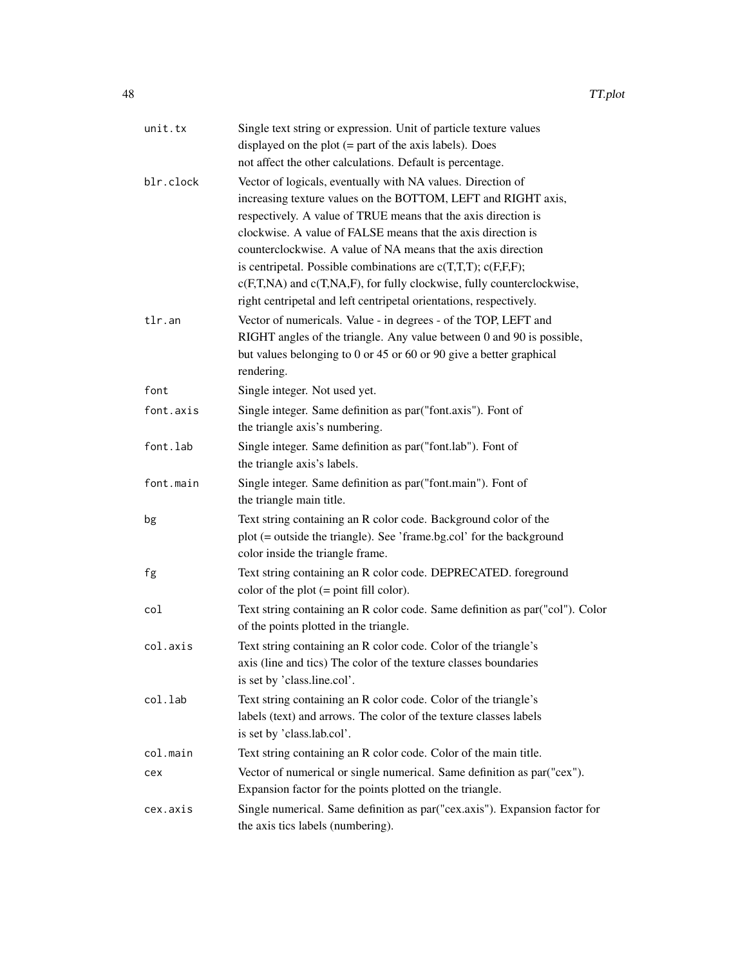| Single text string or expression. Unit of particle texture values<br>displayed on the plot $(=$ part of the axis labels). Does<br>not affect the other calculations. Default is percentage.                                                                                                                                                                                                                                                                                                                                                           |
|-------------------------------------------------------------------------------------------------------------------------------------------------------------------------------------------------------------------------------------------------------------------------------------------------------------------------------------------------------------------------------------------------------------------------------------------------------------------------------------------------------------------------------------------------------|
| Vector of logicals, eventually with NA values. Direction of<br>increasing texture values on the BOTTOM, LEFT and RIGHT axis,<br>respectively. A value of TRUE means that the axis direction is<br>clockwise. A value of FALSE means that the axis direction is<br>counterclockwise. A value of NA means that the axis direction<br>is centripetal. Possible combinations are $c(T,T,T)$ ; $c(F,F,F)$ ;<br>c(F,T,NA) and c(T,NA,F), for fully clockwise, fully counterclockwise,<br>right centripetal and left centripetal orientations, respectively. |
| Vector of numericals. Value - in degrees - of the TOP, LEFT and<br>RIGHT angles of the triangle. Any value between 0 and 90 is possible,<br>but values belonging to 0 or 45 or 60 or 90 give a better graphical<br>rendering.                                                                                                                                                                                                                                                                                                                         |
| Single integer. Not used yet.                                                                                                                                                                                                                                                                                                                                                                                                                                                                                                                         |
| Single integer. Same definition as par("font.axis"). Font of<br>the triangle axis's numbering.                                                                                                                                                                                                                                                                                                                                                                                                                                                        |
| Single integer. Same definition as par("font.lab"). Font of<br>the triangle axis's labels.                                                                                                                                                                                                                                                                                                                                                                                                                                                            |
| Single integer. Same definition as par("font.main"). Font of<br>the triangle main title.                                                                                                                                                                                                                                                                                                                                                                                                                                                              |
| Text string containing an R color code. Background color of the<br>plot (= outside the triangle). See 'frame.bg.col' for the background<br>color inside the triangle frame.                                                                                                                                                                                                                                                                                                                                                                           |
| Text string containing an R color code. DEPRECATED. foreground<br>color of the plot $(=$ point fill color).                                                                                                                                                                                                                                                                                                                                                                                                                                           |
| Text string containing an R color code. Same definition as par("col"). Color<br>of the points plotted in the triangle.                                                                                                                                                                                                                                                                                                                                                                                                                                |
| Text string containing an R color code. Color of the triangle's<br>axis (line and tics) The color of the texture classes boundaries<br>is set by 'class.line.col'.                                                                                                                                                                                                                                                                                                                                                                                    |
| Text string containing an R color code. Color of the triangle's<br>labels (text) and arrows. The color of the texture classes labels<br>is set by 'class.lab.col'.                                                                                                                                                                                                                                                                                                                                                                                    |
| Text string containing an R color code. Color of the main title.                                                                                                                                                                                                                                                                                                                                                                                                                                                                                      |
| Vector of numerical or single numerical. Same definition as par ("cex").<br>Expansion factor for the points plotted on the triangle.                                                                                                                                                                                                                                                                                                                                                                                                                  |
| Single numerical. Same definition as par ("cex.axis"). Expansion factor for<br>the axis tics labels (numbering).                                                                                                                                                                                                                                                                                                                                                                                                                                      |
|                                                                                                                                                                                                                                                                                                                                                                                                                                                                                                                                                       |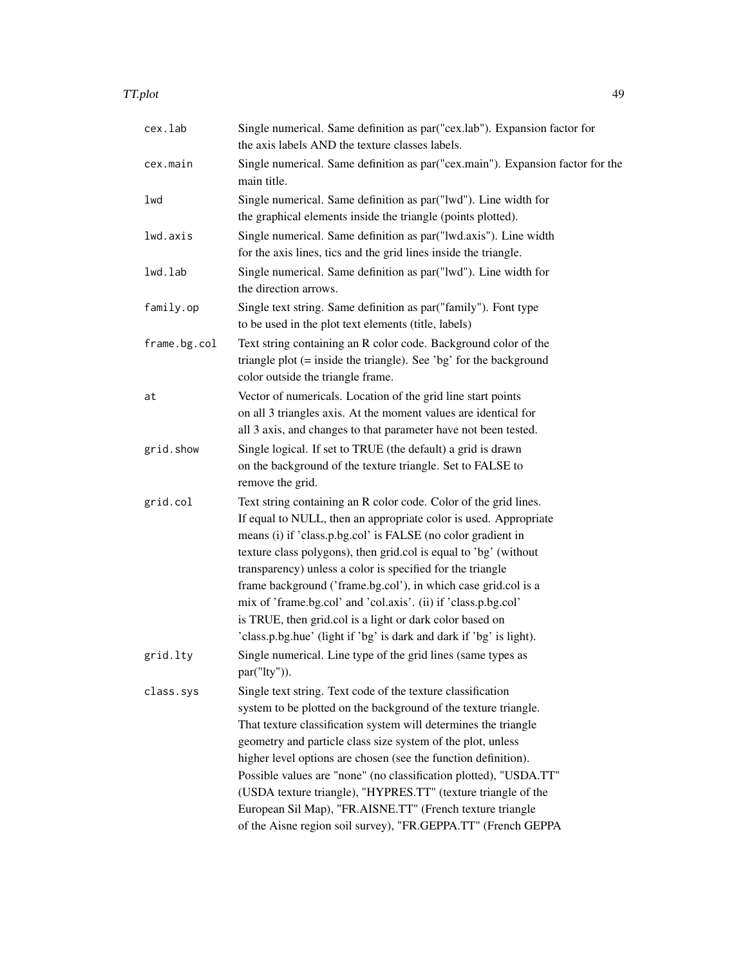| TT.plot | 49 |
|---------|----|
|         |    |

| cex.lab      | Single numerical. Same definition as par ("cex.lab"). Expansion factor for<br>the axis labels AND the texture classes labels.                                                                                                                                                                                                                                                                                                                                                                                                                                                                                 |
|--------------|---------------------------------------------------------------------------------------------------------------------------------------------------------------------------------------------------------------------------------------------------------------------------------------------------------------------------------------------------------------------------------------------------------------------------------------------------------------------------------------------------------------------------------------------------------------------------------------------------------------|
| cex.main     | Single numerical. Same definition as par ("cex.main"). Expansion factor for the<br>main title.                                                                                                                                                                                                                                                                                                                                                                                                                                                                                                                |
| lwd          | Single numerical. Same definition as par("lwd"). Line width for<br>the graphical elements inside the triangle (points plotted).                                                                                                                                                                                                                                                                                                                                                                                                                                                                               |
| lwd.axis     | Single numerical. Same definition as par("lwd.axis"). Line width<br>for the axis lines, tics and the grid lines inside the triangle.                                                                                                                                                                                                                                                                                                                                                                                                                                                                          |
| lwd.lab      | Single numerical. Same definition as par("lwd"). Line width for<br>the direction arrows.                                                                                                                                                                                                                                                                                                                                                                                                                                                                                                                      |
| family.op    | Single text string. Same definition as par("family"). Font type<br>to be used in the plot text elements (title, labels)                                                                                                                                                                                                                                                                                                                                                                                                                                                                                       |
| frame.bg.col | Text string containing an R color code. Background color of the<br>triangle plot $(=$ inside the triangle). See 'bg' for the background<br>color outside the triangle frame.                                                                                                                                                                                                                                                                                                                                                                                                                                  |
| at           | Vector of numericals. Location of the grid line start points<br>on all 3 triangles axis. At the moment values are identical for<br>all 3 axis, and changes to that parameter have not been tested.                                                                                                                                                                                                                                                                                                                                                                                                            |
| grid.show    | Single logical. If set to TRUE (the default) a grid is drawn<br>on the background of the texture triangle. Set to FALSE to<br>remove the grid.                                                                                                                                                                                                                                                                                                                                                                                                                                                                |
| grid.col     | Text string containing an R color code. Color of the grid lines.<br>If equal to NULL, then an appropriate color is used. Appropriate<br>means (i) if 'class.p.bg.col' is FALSE (no color gradient in<br>texture class polygons), then grid.col is equal to 'bg' (without<br>transparency) unless a color is specified for the triangle<br>frame background ('frame.bg.col'), in which case grid.col is a<br>mix of 'frame.bg.col' and 'col.axis'. (ii) if 'class.p.bg.col'<br>is TRUE, then grid.col is a light or dark color based on<br>'class.p.bg.hue' (light if 'bg' is dark and dark if 'bg' is light). |
| grid.lty     | Single numerical. Line type of the grid lines (same types as<br>par("lty")).                                                                                                                                                                                                                                                                                                                                                                                                                                                                                                                                  |
| class.sys    | Single text string. Text code of the texture classification<br>system to be plotted on the background of the texture triangle.<br>That texture classification system will determines the triangle<br>geometry and particle class size system of the plot, unless<br>higher level options are chosen (see the function definition).<br>Possible values are "none" (no classification plotted), "USDA.TT"<br>(USDA texture triangle), "HYPRES.TT" (texture triangle of the<br>European Sil Map), "FR.AISNE.TT" (French texture triangle<br>of the Aisne region soil survey), "FR.GEPPA.TT" (French GEPPA        |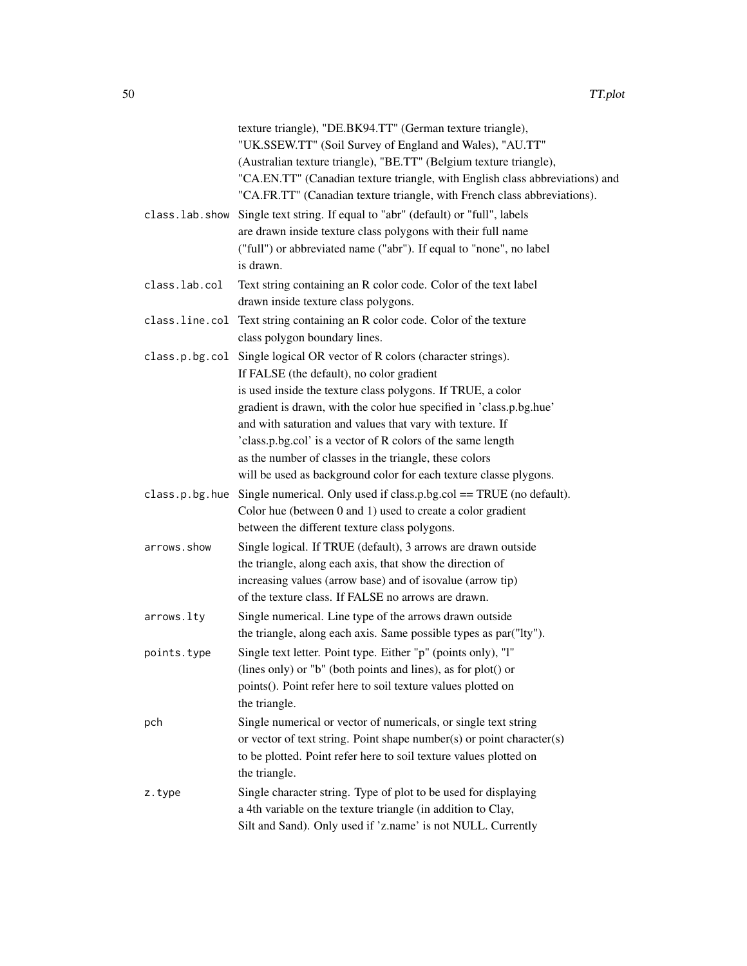|                | texture triangle), "DE.BK94.TT" (German texture triangle),                      |
|----------------|---------------------------------------------------------------------------------|
|                | "UK.SSEW.TT" (Soil Survey of England and Wales), "AU.TT"                        |
|                | (Australian texture triangle), "BE.TT" (Belgium texture triangle),              |
|                | "CA.EN.TT" (Canadian texture triangle, with English class abbreviations) and    |
|                | "CA.FR.TT" (Canadian texture triangle, with French class abbreviations).        |
| class.lab.show | Single text string. If equal to "abr" (default) or "full", labels               |
|                | are drawn inside texture class polygons with their full name                    |
|                | ("full") or abbreviated name ("abr"). If equal to "none", no label<br>is drawn. |
| class.lab.col  | Text string containing an R color code. Color of the text label                 |
|                | drawn inside texture class polygons.                                            |
| class.line.col | Text string containing an R color code. Color of the texture                    |
|                | class polygon boundary lines.                                                   |
| class.p.bg.col | Single logical OR vector of R colors (character strings).                       |
|                | If FALSE (the default), no color gradient                                       |
|                | is used inside the texture class polygons. If TRUE, a color                     |
|                | gradient is drawn, with the color hue specified in 'class.p.bg.hue'             |
|                | and with saturation and values that vary with texture. If                       |
|                | 'class.p.bg.col' is a vector of R colors of the same length                     |
|                | as the number of classes in the triangle, these colors                          |
|                | will be used as background color for each texture classe plygons.               |
| class.p.bg.hue | Single numerical. Only used if class.p.bg.col $==$ TRUE (no default).           |
|                | Color hue (between 0 and 1) used to create a color gradient                     |
|                | between the different texture class polygons.                                   |
| arrows.show    | Single logical. If TRUE (default), 3 arrows are drawn outside                   |
|                | the triangle, along each axis, that show the direction of                       |
|                | increasing values (arrow base) and of isovalue (arrow tip)                      |
|                | of the texture class. If FALSE no arrows are drawn.                             |
| arrows.lty     | Single numerical. Line type of the arrows drawn outside                         |
|                | the triangle, along each axis. Same possible types as par ("Ity").              |
| points.type    | Single text letter. Point type. Either "p" (points only), "l"                   |
|                | (lines only) or "b" (both points and lines), as for plot() or                   |
|                | points(). Point refer here to soil texture values plotted on                    |
|                | the triangle.                                                                   |
| pch            | Single numerical or vector of numericals, or single text string                 |
|                | or vector of text string. Point shape number(s) or point character(s)           |
|                | to be plotted. Point refer here to soil texture values plotted on               |
|                | the triangle.                                                                   |
| z.type         | Single character string. Type of plot to be used for displaying                 |
|                | a 4th variable on the texture triangle (in addition to Clay,                    |
|                | Silt and Sand). Only used if 'z.name' is not NULL. Currently                    |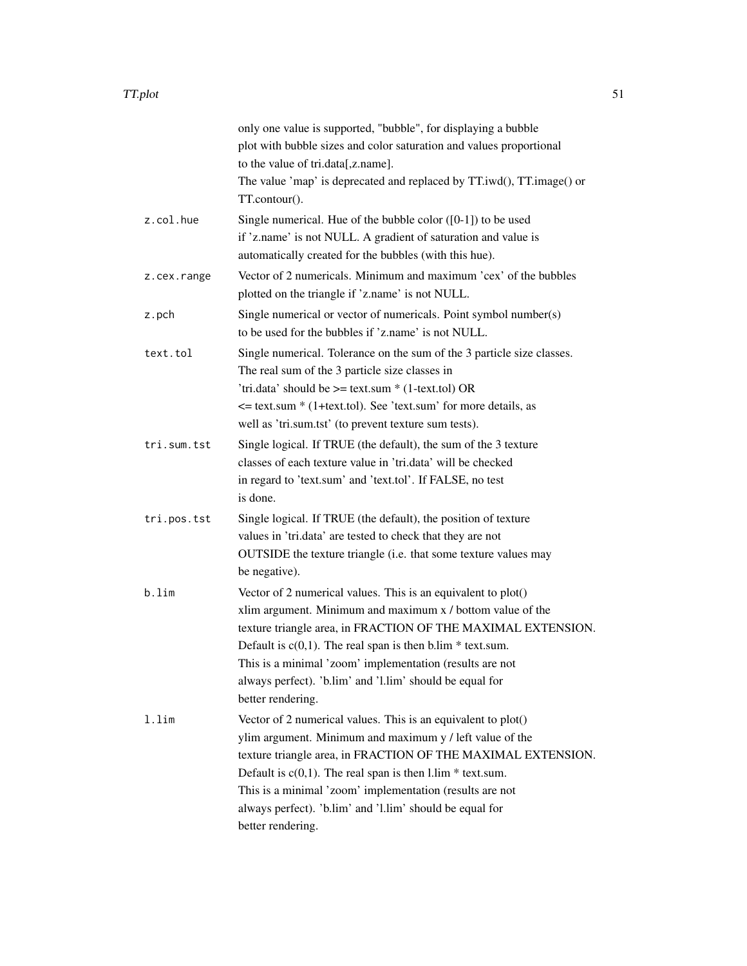|             | only one value is supported, "bubble", for displaying a bubble                                                       |
|-------------|----------------------------------------------------------------------------------------------------------------------|
|             | plot with bubble sizes and color saturation and values proportional                                                  |
|             | to the value of tri.data[,z.name].                                                                                   |
|             | The value 'map' is deprecated and replaced by TT.iwd(), TT.image() or                                                |
|             | TT.contour().                                                                                                        |
| z.col.hue   | Single numerical. Hue of the bubble color $([0-1])$ to be used                                                       |
|             | if 'z.name' is not NULL. A gradient of saturation and value is                                                       |
|             | automatically created for the bubbles (with this hue).                                                               |
| z.cex.range | Vector of 2 numericals. Minimum and maximum 'cex' of the bubbles<br>plotted on the triangle if 'z.name' is not NULL. |
| z.pch       | Single numerical or vector of numericals. Point symbol number(s)                                                     |
|             | to be used for the bubbles if 'z.name' is not NULL.                                                                  |
| text.tol    | Single numerical. Tolerance on the sum of the 3 particle size classes.                                               |
|             | The real sum of the 3 particle size classes in                                                                       |
|             | 'tri.data' should be $>=$ text.sum $*(1$ -text.tol) OR                                                               |
|             | $\le$ text.sum * (1+text.tol). See 'text.sum' for more details, as                                                   |
|             | well as 'tri.sum.tst' (to prevent texture sum tests).                                                                |
| tri.sum.tst | Single logical. If TRUE (the default), the sum of the 3 texture                                                      |
|             | classes of each texture value in 'tri.data' will be checked                                                          |
|             | in regard to 'text.sum' and 'text.tol'. If FALSE, no test                                                            |
|             | is done.                                                                                                             |
| tri.pos.tst | Single logical. If TRUE (the default), the position of texture                                                       |
|             | values in 'tri.data' are tested to check that they are not                                                           |
|             | OUTSIDE the texture triangle (i.e. that some texture values may                                                      |
|             | be negative).                                                                                                        |
| b.lim       | Vector of 2 numerical values. This is an equivalent to plot()                                                        |
|             | xlim argument. Minimum and maximum x / bottom value of the                                                           |
|             | texture triangle area, in FRACTION OF THE MAXIMAL EXTENSION.                                                         |
|             | Default is $c(0,1)$ . The real span is then b.lim * text.sum.                                                        |
|             | This is a minimal 'zoom' implementation (results are not                                                             |
|             | always perfect). 'b.lim' and 'l.lim' should be equal for                                                             |
|             | better rendering.                                                                                                    |
| $1.1$ im    | Vector of 2 numerical values. This is an equivalent to plot()                                                        |
|             | ylim argument. Minimum and maximum y / left value of the                                                             |
|             | texture triangle area, in FRACTION OF THE MAXIMAL EXTENSION.                                                         |
|             | Default is $c(0,1)$ . The real span is then l.lim * text.sum.                                                        |
|             | This is a minimal 'zoom' implementation (results are not                                                             |
|             | always perfect). 'b.lim' and 'l.lim' should be equal for                                                             |
|             | better rendering.                                                                                                    |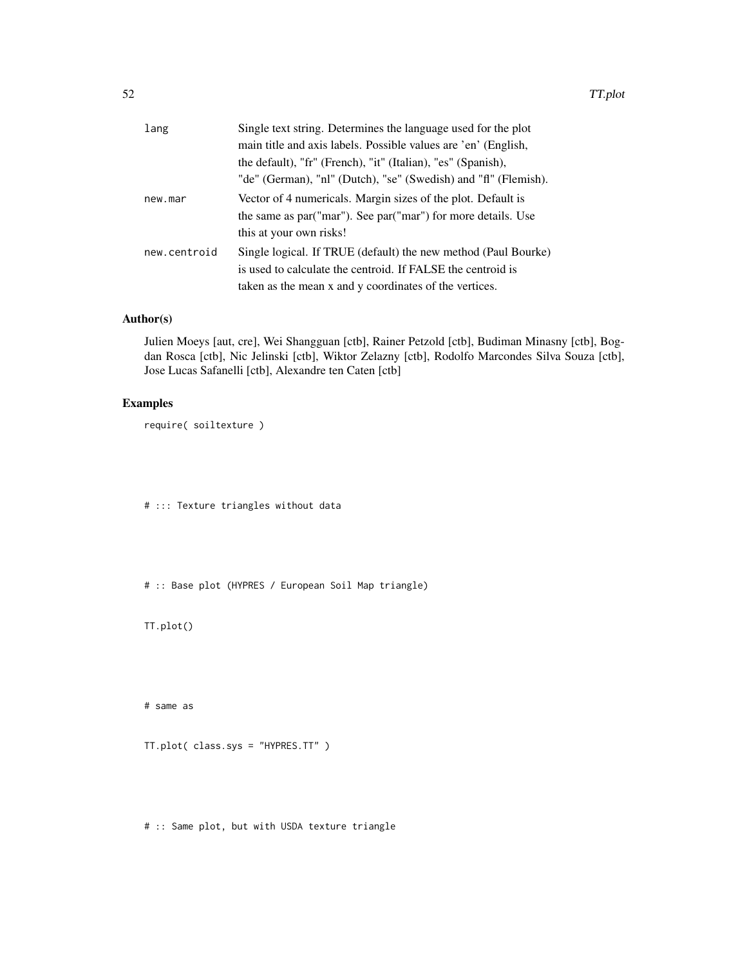| lang         | Single text string. Determines the language used for the plot   |
|--------------|-----------------------------------------------------------------|
|              | main title and axis labels. Possible values are 'en' (English,  |
|              | the default), "fr" (French), "it" (Italian), "es" (Spanish),    |
|              | "de" (German), "nl" (Dutch), "se" (Swedish) and "fl" (Flemish). |
| new.mar      | Vector of 4 numericals. Margin sizes of the plot. Default is    |
|              | the same as par("mar"). See par("mar") for more details. Use    |
|              | this at your own risks!                                         |
| new.centroid | Single logical. If TRUE (default) the new method (Paul Bourke)  |
|              | is used to calculate the centroid. If FALSE the centroid is     |
|              | taken as the mean x and y coordinates of the vertices.          |

## Author(s)

Julien Moeys [aut, cre], Wei Shangguan [ctb], Rainer Petzold [ctb], Budiman Minasny [ctb], Bogdan Rosca [ctb], Nic Jelinski [ctb], Wiktor Zelazny [ctb], Rodolfo Marcondes Silva Souza [ctb], Jose Lucas Safanelli [ctb], Alexandre ten Caten [ctb]

## Examples

require( soiltexture )

# ::: Texture triangles without data

# :: Base plot (HYPRES / European Soil Map triangle)

TT.plot()

# same as

TT.plot( class.sys = "HYPRES.TT" )

# :: Same plot, but with USDA texture triangle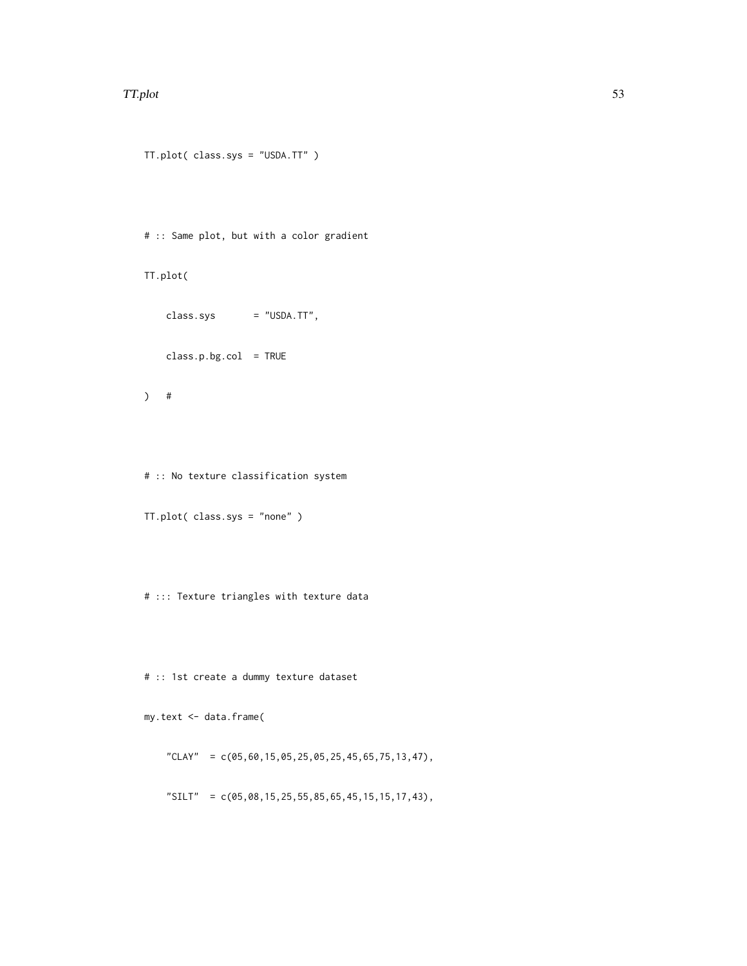#### TT.plot 53

```
TT.plot( class.sys = "USDA.TT" )
# :: Same plot, but with a color gradient
TT.plot(
   class.sys = "USDA.TT",
   class.p.bg.col = TRUE
) #
# :: No texture classification system
```

```
TT.plot( class.sys = "none" )
```
# ::: Texture triangles with texture data

# :: 1st create a dummy texture dataset

my.text <- data.frame(

"CLAY" =  $c(05,60,15,05,25,05,25,45,65,75,13,47)$ ,

"SILT" = c(05,08,15,25,55,85,65,45,15,15,17,43),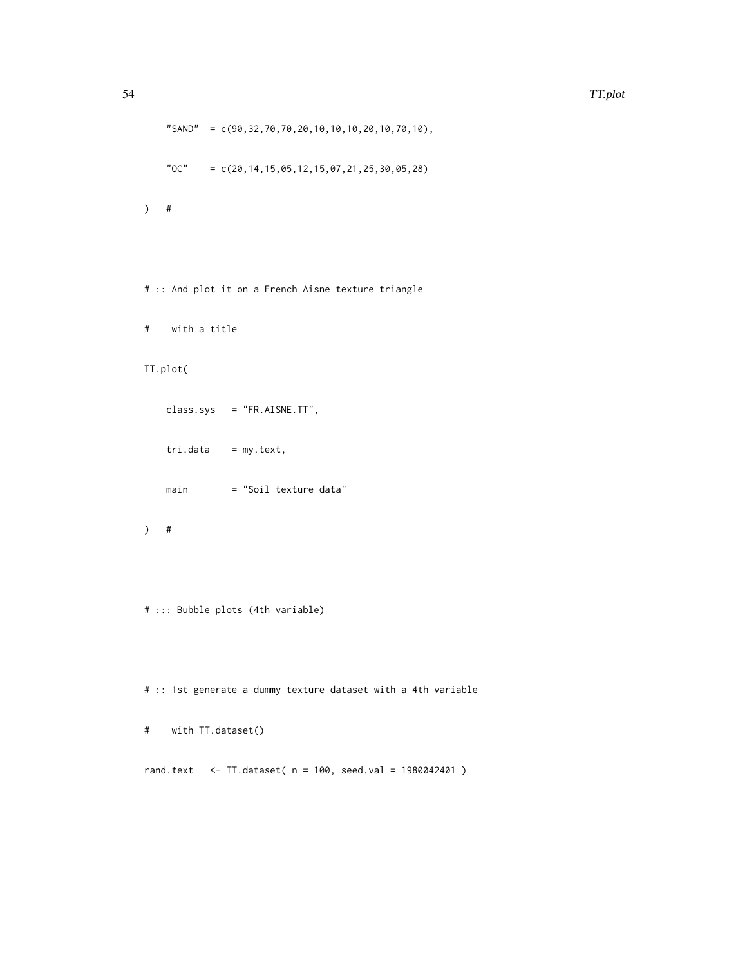```
"SAND" = c(90,32,70,70,20,10,10,10,20,10,70,10),
    "OC" = c(20, 14, 15, 05, 12, 15, 07, 21, 25, 30, 05, 28)) #
```
# :: And plot it on a French Aisne texture triangle

```
# with a title
```

```
TT.plot(
```

```
class.sys = "FR.AISNE.TT",
tri.data = my.text,
main = "Soil texture data"
```

```
) #
```

```
# ::: Bubble plots (4th variable)
```
# :: 1st generate a dummy texture dataset with a 4th variable

```
# with TT.dataset()
```
rand.text <- TT.dataset( n = 100, seed.val = 1980042401 )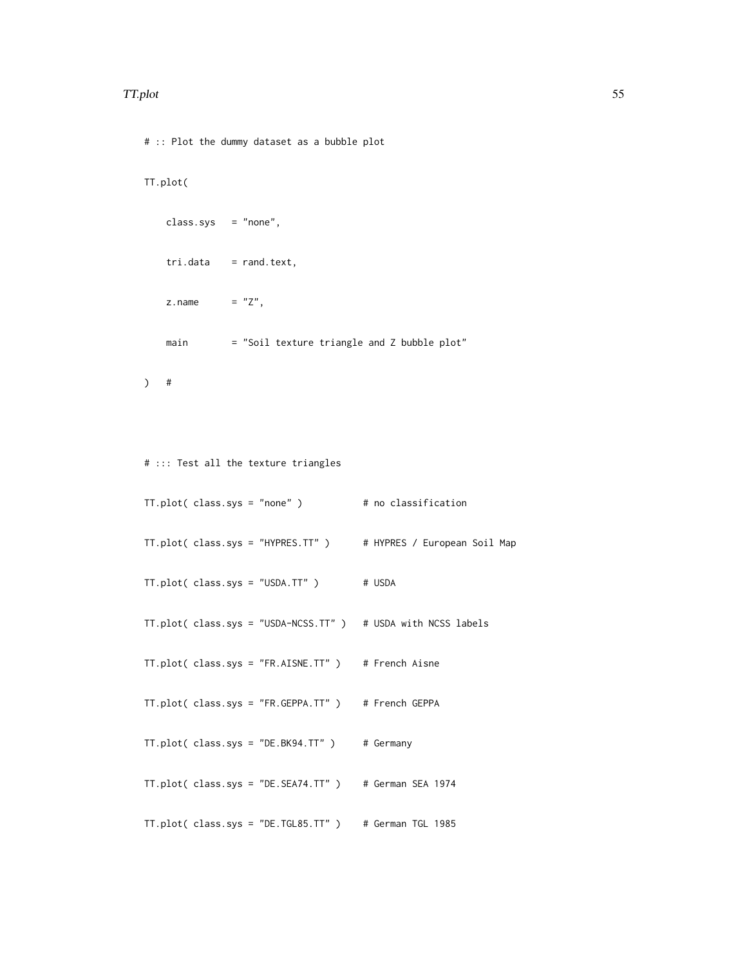#### TT.plot 55

# :: Plot the dummy dataset as a bubble plot

## TT.plot(

```
class.sys = "none",
tri.data = rand.text,
z.name = "Z",main = "Soil texture triangle and Z bubble plot"
```

```
) #
```

```
# ::: Test all the texture triangles
```

```
TT.plot(class.sys = "none") # no classification
TT.plot( class.sys = "HYPRES.TT" ) # HYPRES / European Soil Map
TT.plot( class.sys = "USDA.TT" ) # USDA
TT.plot( class.sys = "USDA-NCSS.TT" ) # USDA with NCSS labels
TT.plot( class.sys = "FR.AISNE.TT" ) # French Aisne
TT.plot( class.sys = "FR.GEPPA.TT" ) # French GEPPA
TT.plot( class.sys = "DE.BK94.TT" ) # Germany
TT.plot( class.sys = "DE.SEA74.TT" ) # German SEA 1974
TT.plot( class.sys = "DE.TGL85.TT" ) # German TGL 1985
```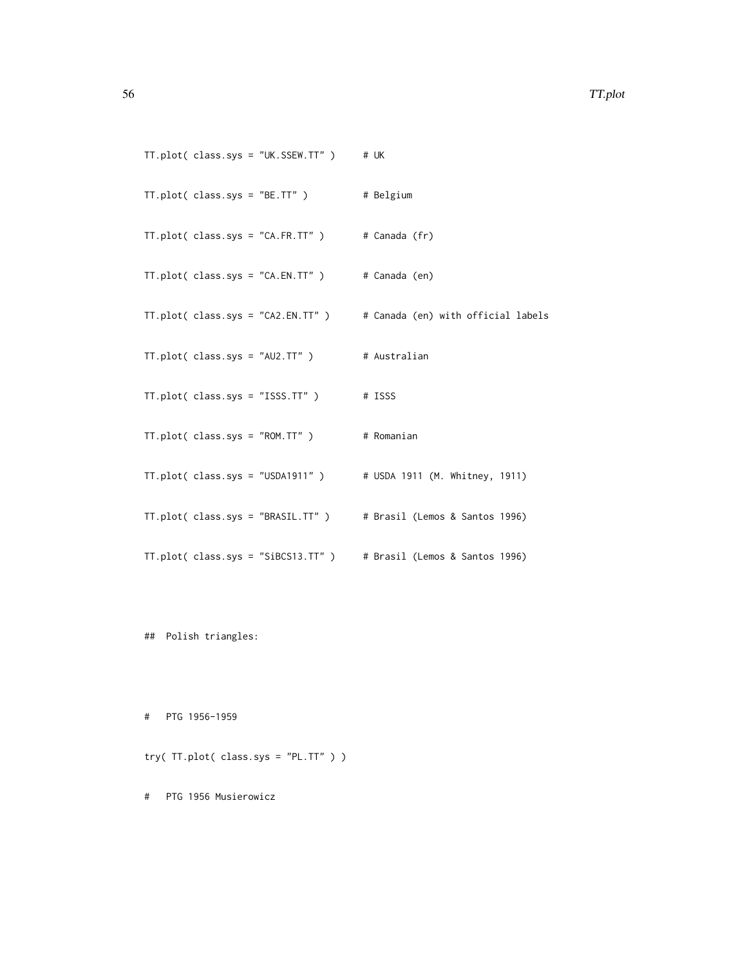| $TI.plot(class(sys = "UK.SSEW.TT")$                             | # UK                               |
|-----------------------------------------------------------------|------------------------------------|
| $TT.plot(class.sys = "BE.TT")$                                  | # Belgium                          |
| $TI.plot(class(sys = "CA.FR.TT")$                               | # Canada (fr)                      |
| $TI.plot(class(sys = "CA. EN. TT")$                             | # Canada (en)                      |
| $TI.plot(class(sys = "CA2.EN.TT")$                              | # Canada (en) with official labels |
| $TT.plot(class(sys = "AU2.TT")$                                 | # Australian                       |
| $TI.plot(class(sys = "ISS.TT")$                                 | # ISSS                             |
| $TI.plot(class(sys = "ROM.TT")$                                 | # Romanian                         |
| $TI.plot(class(sys = "USDA1911" )$                              | # USDA 1911 (M. Whitney, 1911)     |
| TT.plot(class.sys = "BRASIL.TT") # Brasil (Lemos & Santos 1996) |                                    |
| TT.plot(class.sys = "SiBCS13.TT")                               | # Brasil (Lemos & Santos 1996)     |

## Polish triangles:

# PTG 1956-1959

try( TT.plot( class.sys = "PL.TT" ) )

# PTG 1956 Musierowicz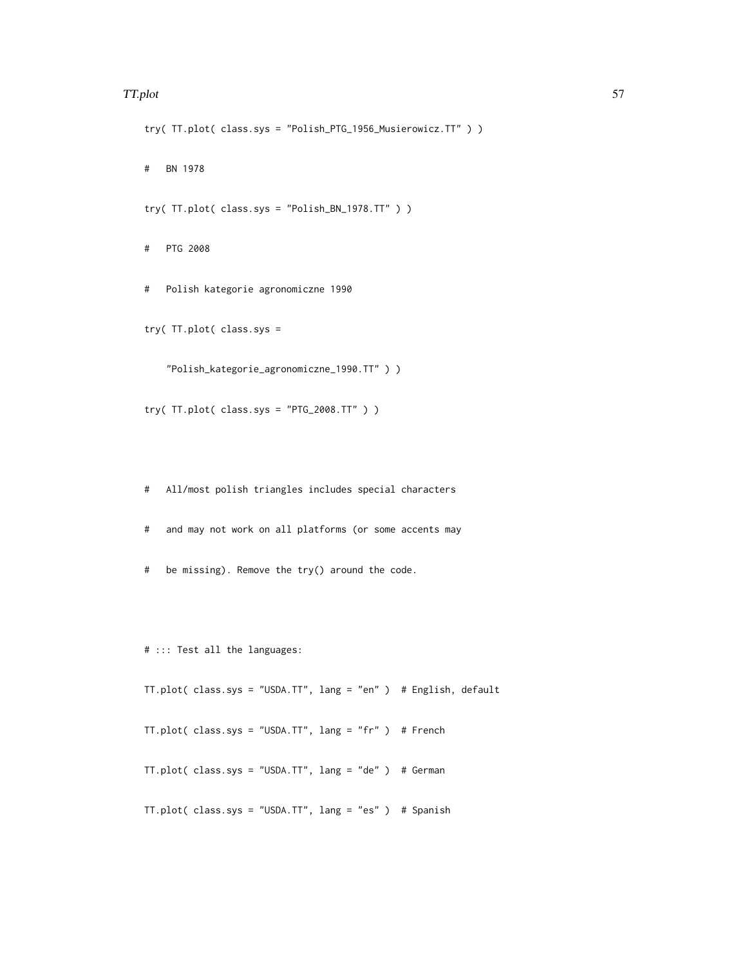#### TT.plot 57

```
try( TT.plot( class.sys = "Polish_PTG_1956_Musierowicz.TT" ) )
```
# BN 1978

try( TT.plot( class.sys = "Polish\_BN\_1978.TT" ) )

# PTG 2008

# Polish kategorie agronomiczne 1990

try( TT.plot( class.sys =

"Polish\_kategorie\_agronomiczne\_1990.TT" ) )

try( TT.plot( class.sys = "PTG\_2008.TT" ) )

# All/most polish triangles includes special characters

# and may not work on all platforms (or some accents may

# be missing). Remove the try() around the code.

# ::: Test all the languages:

TT.plot( class.sys = "USDA.TT", lang = "en" ) # English, default

TT.plot( class.sys = "USDA.TT", lang = "fr" ) # French

TT.plot( class.sys = "USDA.TT", lang = "de" ) # German

TT.plot( class.sys = "USDA.TT", lang = "es" ) # Spanish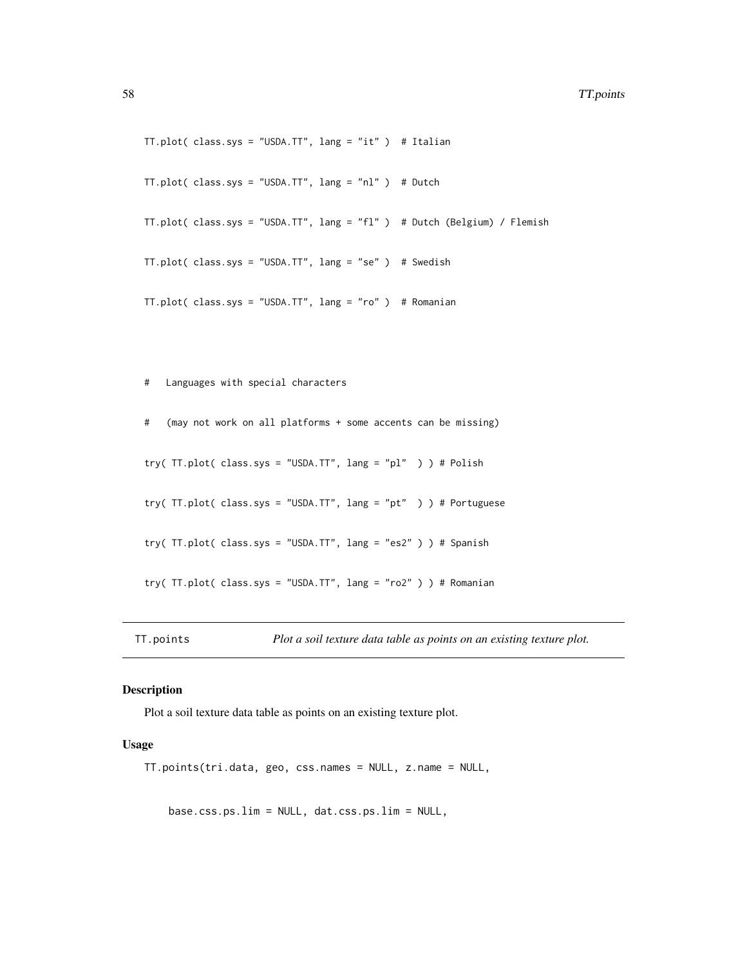```
TT.plot( class.sys = "USDA.TT", lang = "it" ) # Italian
TT.plot( class.sys = "USDA.TT", lang = "nl" ) # Dutch
TT.plot( class.sys = "USDA.TT", lang = "fl" ) # Dutch (Belgium) / Flemish
TT.plot( class.sys = "USDA.TT", lang = "se" ) # Swedish
TT.plot( class.sys = "USDA.TT", lang = "ro" ) # Romanian
```
# Languages with special characters # (may not work on all platforms + some accents can be missing) try( TT.plot( class.sys = "USDA.TT", lang = "pl" ) ) # Polish try( TT.plot( class.sys = "USDA.TT", lang = "pt" ) ) # Portuguese try( TT.plot( class.sys = "USDA.TT", lang = "es2" ) ) # Spanish try( TT.plot( class.sys = "USDA.TT", lang = "ro2" ) ) # Romanian

TT.points *Plot a soil texture data table as points on an existing texture plot.*

#### Description

Plot a soil texture data table as points on an existing texture plot.

## Usage

TT.points(tri.data, geo, css.names = NULL, z.name = NULL,

base.css.ps.lim = NULL, dat.css.ps.lim = NULL,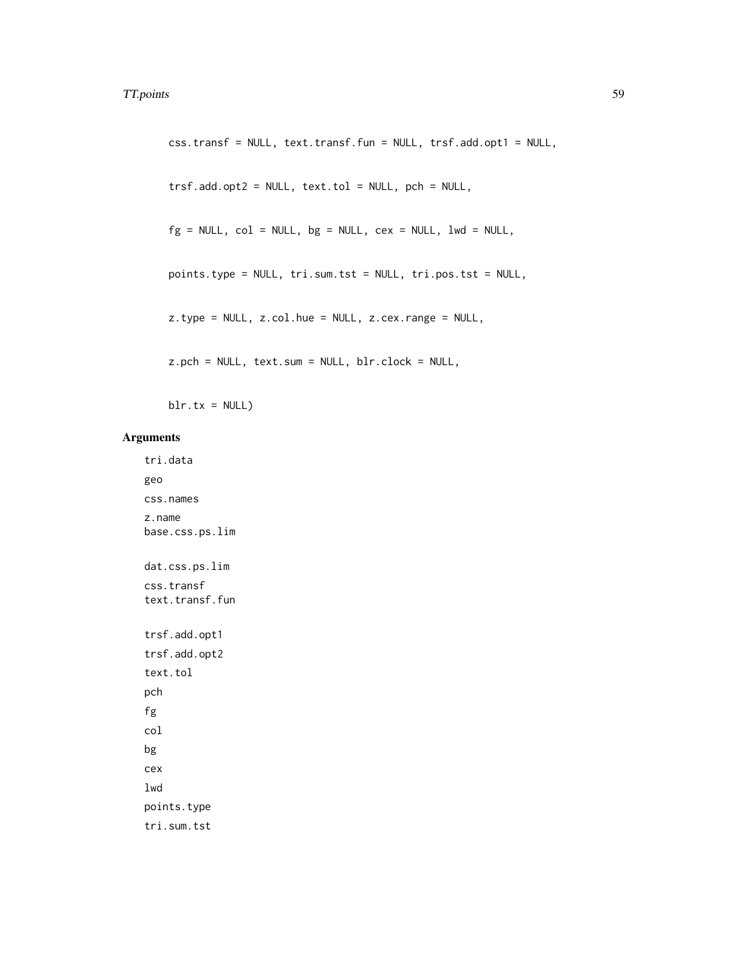```
css.transf = NULL, text.transf.fun = NULL, trsf.add.opt1 = NULL,
trsf.add.opt2 = NULL, text.tol = NULL, pch = NULL,
fg = NULL, col = NULL, bg = NULL, cex = NULL, 1wd = NULL,
points.type = NULL, tri.sum.tst = NULL, tri.pos.tst = NULL,
z.type = NULL, z.col.hue = NULL, z.cex.range = NULL,
z.pch = NULL, text.sum = NULL, blr.clock = NULL,
```
 $blr.txt = NULL)$ 

### Arguments

tri.data geo css.names z.name base.css.ps.lim dat.css.ps.lim css.transf text.transf.fun trsf.add.opt1 trsf.add.opt2 text.tol pch fg col bg cex lwd points.type tri.sum.tst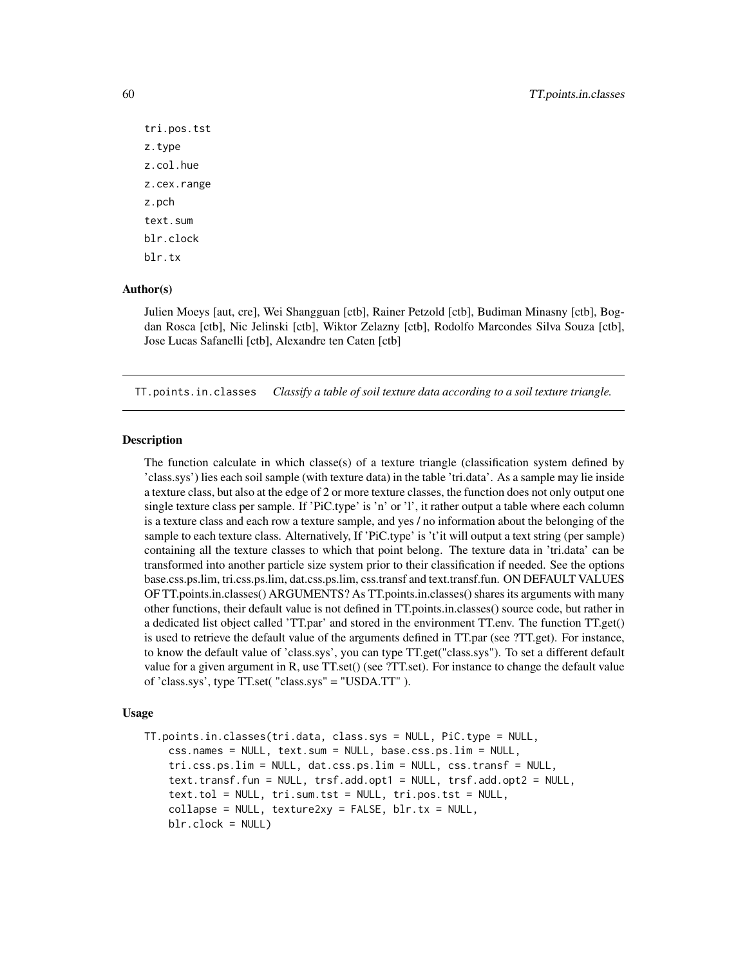```
tri.pos.tst
z.type
z.col.hue
z.cex.range
z.pch
text.sum
blr.clock
blr.tx
```
### Author(s)

Julien Moeys [aut, cre], Wei Shangguan [ctb], Rainer Petzold [ctb], Budiman Minasny [ctb], Bogdan Rosca [ctb], Nic Jelinski [ctb], Wiktor Zelazny [ctb], Rodolfo Marcondes Silva Souza [ctb], Jose Lucas Safanelli [ctb], Alexandre ten Caten [ctb]

TT.points.in.classes *Classify a table of soil texture data according to a soil texture triangle.*

#### Description

The function calculate in which classe(s) of a texture triangle (classification system defined by 'class.sys') lies each soil sample (with texture data) in the table 'tri.data'. As a sample may lie inside a texture class, but also at the edge of 2 or more texture classes, the function does not only output one single texture class per sample. If 'PiC.type' is 'n' or 'l', it rather output a table where each column is a texture class and each row a texture sample, and yes / no information about the belonging of the sample to each texture class. Alternatively, If 'PiC.type' is 't'it will output a text string (per sample) containing all the texture classes to which that point belong. The texture data in 'tri.data' can be transformed into another particle size system prior to their classification if needed. See the options base.css.ps.lim, tri.css.ps.lim, dat.css.ps.lim, css.transf and text.transf.fun. ON DEFAULT VALUES OF TT.points.in.classes() ARGUMENTS? As TT.points.in.classes() shares its arguments with many other functions, their default value is not defined in TT.points.in.classes() source code, but rather in a dedicated list object called 'TT.par' and stored in the environment TT.env. The function TT.get() is used to retrieve the default value of the arguments defined in TT.par (see ?TT.get). For instance, to know the default value of 'class.sys', you can type TT.get("class.sys"). To set a different default value for a given argument in R, use TT.set() (see ?TT.set). For instance to change the default value of 'class.sys', type TT.set( "class.sys" = "USDA.TT" ).

#### Usage

TT.points.in.classes(tri.data, class.sys = NULL, PiC.type = NULL, css.names = NULL, text.sum = NULL, base.css.ps.lim = NULL, tri.css.ps.lim = NULL, dat.css.ps.lim = NULL, css.transf = NULL, text.transf.fun = NULL, trsf.add.opt1 = NULL, trsf.add.opt2 = NULL, text.tol = NULL, tri.sum.tst = NULL, tri.pos.tst = NULL,  $collapse = NULL$ ,  $text{nexture2xy = FALSE}$ ,  $blr.txt = NULL$ , blr.clock = NULL)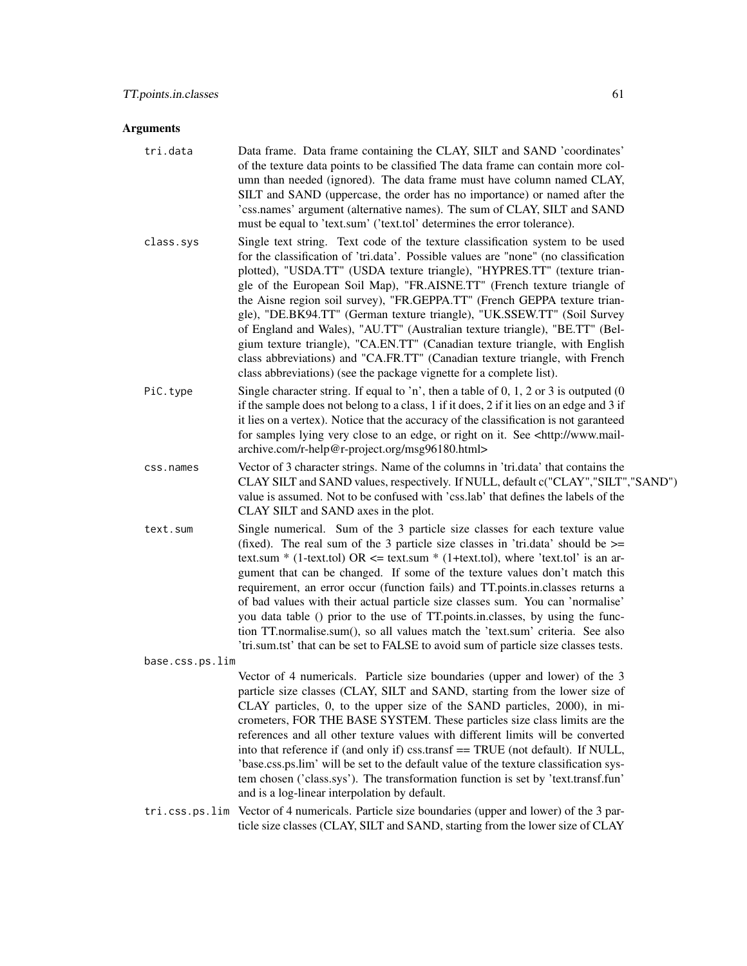#### Arguments

- tri.data Data frame. Data frame containing the CLAY, SILT and SAND 'coordinates' of the texture data points to be classified The data frame can contain more column than needed (ignored). The data frame must have column named CLAY, SILT and SAND (uppercase, the order has no importance) or named after the 'css.names' argument (alternative names). The sum of CLAY, SILT and SAND must be equal to 'text.sum' ('text.tol' determines the error tolerance).
- class.sys Single text string. Text code of the texture classification system to be used for the classification of 'tri.data'. Possible values are "none" (no classification plotted), "USDA.TT" (USDA texture triangle), "HYPRES.TT" (texture triangle of the European Soil Map), "FR.AISNE.TT" (French texture triangle of the Aisne region soil survey), "FR.GEPPA.TT" (French GEPPA texture triangle), "DE.BK94.TT" (German texture triangle), "UK.SSEW.TT" (Soil Survey of England and Wales), "AU.TT" (Australian texture triangle), "BE.TT" (Belgium texture triangle), "CA.EN.TT" (Canadian texture triangle, with English class abbreviations) and "CA.FR.TT" (Canadian texture triangle, with French class abbreviations) (see the package vignette for a complete list).
- PiC.type Single character string. If equal to 'n', then a table of 0, 1, 2 or 3 is outputed (0 if the sample does not belong to a class, 1 if it does, 2 if it lies on an edge and 3 if it lies on a vertex). Notice that the accuracy of the classification is not garanteed for samples lying very close to an edge, or right on it. See <http://www.mailarchive.com/r-help@r-project.org/msg96180.html>
- css.names Vector of 3 character strings. Name of the columns in 'tri.data' that contains the CLAY SILT and SAND values, respectively. If NULL, default c("CLAY","SILT","SAND") value is assumed. Not to be confused with 'css.lab' that defines the labels of the CLAY SILT and SAND axes in the plot.
- text.sum Single numerical. Sum of the 3 particle size classes for each texture value (fixed). The real sum of the 3 particle size classes in 'tri.data' should be  $\ge$ text.sum  $*$  (1-text.tol) OR  $\leq$  text.sum  $*$  (1+text.tol), where 'text.tol' is an argument that can be changed. If some of the texture values don't match this requirement, an error occur (function fails) and TT.points.in.classes returns a of bad values with their actual particle size classes sum. You can 'normalise' you data table () prior to the use of TT.points.in.classes, by using the function TT.normalise.sum(), so all values match the 'text.sum' criteria. See also 'tri.sum.tst' that can be set to FALSE to avoid sum of particle size classes tests.

base.css.ps.lim

Vector of 4 numericals. Particle size boundaries (upper and lower) of the 3 particle size classes (CLAY, SILT and SAND, starting from the lower size of CLAY particles, 0, to the upper size of the SAND particles, 2000), in micrometers, FOR THE BASE SYSTEM. These particles size class limits are the references and all other texture values with different limits will be converted into that reference if (and only if) css.transf == TRUE (not default). If NULL, 'base.css.ps.lim' will be set to the default value of the texture classification system chosen ('class.sys'). The transformation function is set by 'text.transf.fun' and is a log-linear interpolation by default.

tri.css.ps.lim Vector of 4 numericals. Particle size boundaries (upper and lower) of the 3 particle size classes (CLAY, SILT and SAND, starting from the lower size of CLAY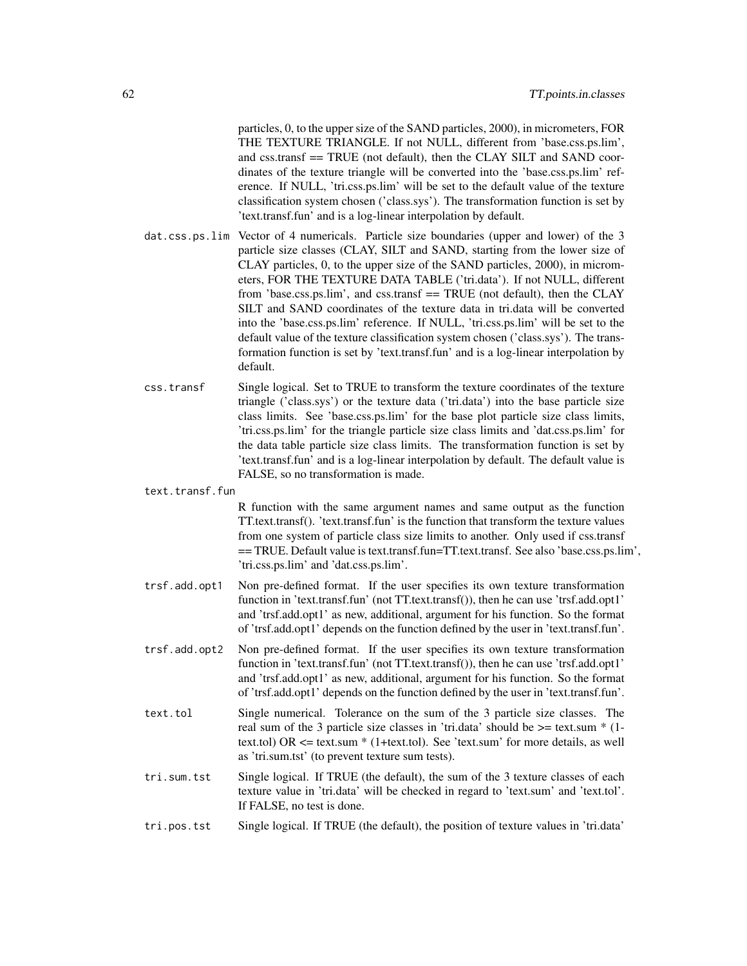particles, 0, to the upper size of the SAND particles, 2000), in micrometers, FOR THE TEXTURE TRIANGLE. If not NULL, different from 'base.css.ps.lim', and css.transf == TRUE (not default), then the CLAY SILT and SAND coordinates of the texture triangle will be converted into the 'base.css.ps.lim' reference. If NULL, 'tri.css.ps.lim' will be set to the default value of the texture classification system chosen ('class.sys'). The transformation function is set by 'text.transf.fun' and is a log-linear interpolation by default.

- dat.css.ps.lim Vector of 4 numericals. Particle size boundaries (upper and lower) of the 3 particle size classes (CLAY, SILT and SAND, starting from the lower size of CLAY particles, 0, to the upper size of the SAND particles, 2000), in micrometers, FOR THE TEXTURE DATA TABLE ('tri.data'). If not NULL, different from 'base.css.ps.lim', and css.transf == TRUE (not default), then the CLAY SILT and SAND coordinates of the texture data in tri.data will be converted into the 'base.css.ps.lim' reference. If NULL, 'tri.css.ps.lim' will be set to the default value of the texture classification system chosen ('class.sys'). The transformation function is set by 'text.transf.fun' and is a log-linear interpolation by default.
- css.transf Single logical. Set to TRUE to transform the texture coordinates of the texture triangle ('class.sys') or the texture data ('tri.data') into the base particle size class limits. See 'base.css.ps.lim' for the base plot particle size class limits, 'tri.css.ps.lim' for the triangle particle size class limits and 'dat.css.ps.lim' for the data table particle size class limits. The transformation function is set by 'text.transf.fun' and is a log-linear interpolation by default. The default value is FALSE, so no transformation is made.

#### text.transf.fun

R function with the same argument names and same output as the function TT.text.transf(). 'text.transf.fun' is the function that transform the texture values from one system of particle class size limits to another. Only used if css.transf == TRUE. Default value is text.transf.fun=TT.text.transf. See also 'base.css.ps.lim', 'tri.css.ps.lim' and 'dat.css.ps.lim'.

- trsf.add.opt1 Non pre-defined format. If the user specifies its own texture transformation function in 'text.transf.fun' (not TT.text.transf()), then he can use 'trsf.add.opt1' and 'trsf.add.opt1' as new, additional, argument for his function. So the format of 'trsf.add.opt1' depends on the function defined by the user in 'text.transf.fun'.
- trsf.add.opt2 Non pre-defined format. If the user specifies its own texture transformation function in 'text.transf.fun' (not TT.text.transf()), then he can use 'trsf.add.opt1' and 'trsf.add.opt1' as new, additional, argument for his function. So the format of 'trsf.add.opt1' depends on the function defined by the user in 'text.transf.fun'.
- text.tol Single numerical. Tolerance on the sum of the 3 particle size classes. The real sum of the 3 particle size classes in 'tri.data' should be  $\geq$  text.sum  $*$  (1text.tol) OR  $\le$  text.sum  $*$  (1+text.tol). See 'text.sum' for more details, as well as 'tri.sum.tst' (to prevent texture sum tests).
- tri.sum.tst Single logical. If TRUE (the default), the sum of the 3 texture classes of each texture value in 'tri.data' will be checked in regard to 'text.sum' and 'text.tol'. If FALSE, no test is done.

## tri.pos.tst Single logical. If TRUE (the default), the position of texture values in 'tri.data'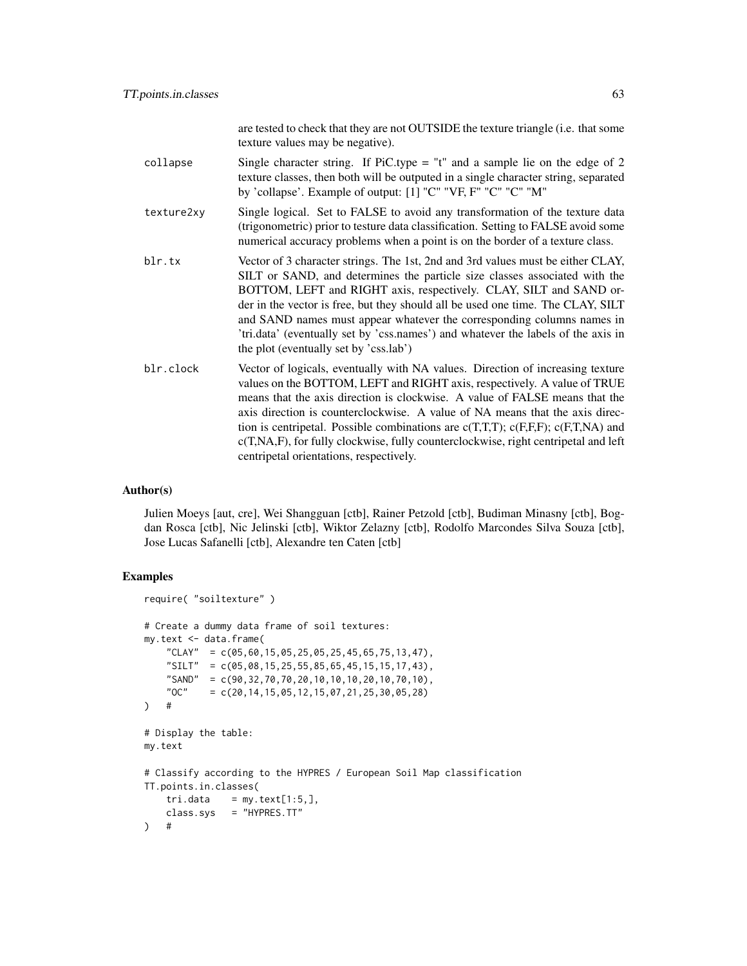|            | are tested to check that they are not OUTSIDE the texture triangle (i.e. that some<br>texture values may be negative).                                                                                                                                                                                                                                                                                                                                                                                                                                 |
|------------|--------------------------------------------------------------------------------------------------------------------------------------------------------------------------------------------------------------------------------------------------------------------------------------------------------------------------------------------------------------------------------------------------------------------------------------------------------------------------------------------------------------------------------------------------------|
| collapse   | Single character string. If PiC.type = "t" and a sample lie on the edge of 2<br>texture classes, then both will be outputed in a single character string, separated<br>by 'collapse'. Example of output: [1] "C" "VF, F" "C" "C" "M"                                                                                                                                                                                                                                                                                                                   |
| texture2xy | Single logical. Set to FALSE to avoid any transformation of the texture data<br>(trigonometric) prior to testure data classification. Setting to FALSE avoid some<br>numerical accuracy problems when a point is on the border of a texture class.                                                                                                                                                                                                                                                                                                     |
| blr.tx     | Vector of 3 character strings. The 1st, 2nd and 3rd values must be either CLAY,<br>SILT or SAND, and determines the particle size classes associated with the<br>BOTTOM, LEFT and RIGHT axis, respectively. CLAY, SILT and SAND or-<br>der in the vector is free, but they should all be used one time. The CLAY, SILT<br>and SAND names must appear whatever the corresponding columns names in<br>'tri.data' (eventually set by 'css.names') and whatever the labels of the axis in<br>the plot (eventually set by 'css.lab')                        |
| blr.clock  | Vector of logicals, eventually with NA values. Direction of increasing texture<br>values on the BOTTOM, LEFT and RIGHT axis, respectively. A value of TRUE<br>means that the axis direction is clockwise. A value of FALSE means that the<br>axis direction is counterclockwise. A value of NA means that the axis direc-<br>tion is centripetal. Possible combinations are $c(T,T,T)$ ; $c(F,F,F)$ ; $c(F,T,NA)$ and<br>c(T,NA,F), for fully clockwise, fully counterclockwise, right centripetal and left<br>centripetal orientations, respectively. |

## Author(s)

Julien Moeys [aut, cre], Wei Shangguan [ctb], Rainer Petzold [ctb], Budiman Minasny [ctb], Bogdan Rosca [ctb], Nic Jelinski [ctb], Wiktor Zelazny [ctb], Rodolfo Marcondes Silva Souza [ctb], Jose Lucas Safanelli [ctb], Alexandre ten Caten [ctb]

## Examples

```
require( "soiltexture" )
# Create a dummy data frame of soil textures:
my.text <- data.frame(
    "CLAY" = c(05,60,15,05,25,05,25,45,65,75,13,47),
    "SILT" = c(05,08,15,25,55,85,65,45,15,15,17,43),
    "SAND" = c(90, 32, 70, 70, 20, 10, 10, 10, 20, 10, 70, 10),
    "OC" = c(20, 14, 15, 05, 12, 15, 07, 21, 25, 30, 05, 28)) #
# Display the table:
my.text
# Classify according to the HYPRES / European Soil Map classification
TT.points.in.classes(
   tri.data = my.text[1:5,],class.sys = "HYPRES.TT"
) #
```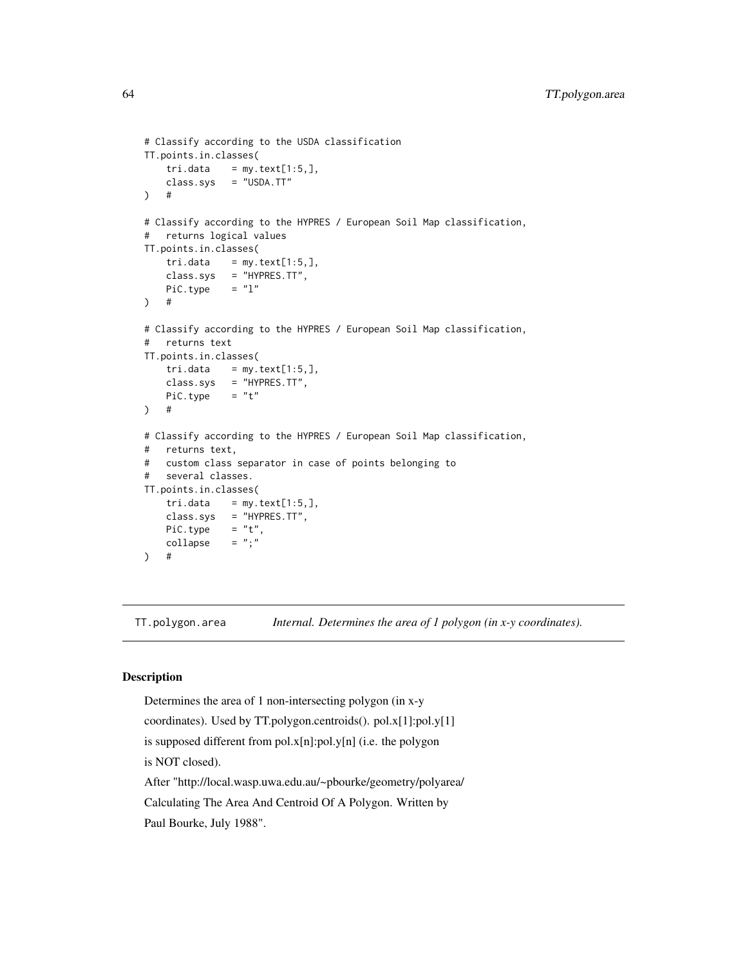```
# Classify according to the USDA classification
TT.points.in.classes(
   tri.data = my.text[1:5,],class.sys = "USDA.TT"
) #
# Classify according to the HYPRES / European Soil Map classification,
# returns logical values
TT.points.in.classes(
   tri.data = my.text[1:5,],class.sys = "HYPRES.TT",
   Pic.type = "l") #
# Classify according to the HYPRES / European Soil Map classification,
# returns text
TT.points.in.classes(
   tri.data = my.text[1:5,],
   class.sys = "HYPRES.TT",
   PiC.type = "t") #
# Classify according to the HYPRES / European Soil Map classification,
# returns text,
# custom class separator in case of points belonging to
# several classes.
TT.points.in.classes(
   tri.data = my.text[1:5,],
   class.sys = "HYPRES.TT",
   PiC.type = "t",collapse = ";") #
```
TT.polygon.area *Internal. Determines the area of 1 polygon (in x-y coordinates).*

## Description

Determines the area of 1 non-intersecting polygon (in x-y coordinates). Used by TT.polygon.centroids(). pol.x[1]:pol.y[1] is supposed different from pol.x[n]:pol.y[n] (i.e. the polygon is NOT closed). After "http://local.wasp.uwa.edu.au/~pbourke/geometry/polyarea/ Calculating The Area And Centroid Of A Polygon. Written by Paul Bourke, July 1988".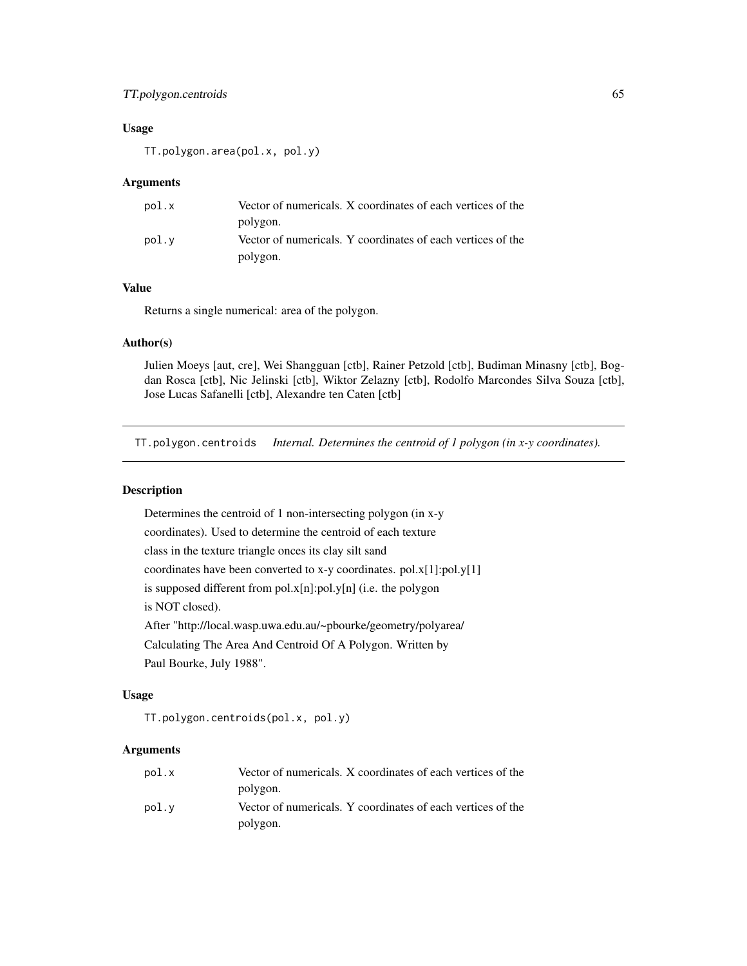## TT.polygon.centroids 65

## Usage

TT.polygon.area(pol.x, pol.y)

### Arguments

| pol.x | Vector of numericals. X coordinates of each vertices of the |
|-------|-------------------------------------------------------------|
|       | polygon.                                                    |
| pol.v | Vector of numericals. Y coordinates of each vertices of the |
|       | polygon.                                                    |

## Value

Returns a single numerical: area of the polygon.

### Author(s)

Julien Moeys [aut, cre], Wei Shangguan [ctb], Rainer Petzold [ctb], Budiman Minasny [ctb], Bogdan Rosca [ctb], Nic Jelinski [ctb], Wiktor Zelazny [ctb], Rodolfo Marcondes Silva Souza [ctb], Jose Lucas Safanelli [ctb], Alexandre ten Caten [ctb]

TT.polygon.centroids *Internal. Determines the centroid of 1 polygon (in x-y coordinates).*

## Description

Determines the centroid of 1 non-intersecting polygon (in x-y coordinates). Used to determine the centroid of each texture class in the texture triangle onces its clay silt sand coordinates have been converted to x-y coordinates. pol.x[1]:pol.y[1] is supposed different from pol.x[n]:pol.y[n] (i.e. the polygon is NOT closed). After "http://local.wasp.uwa.edu.au/~pbourke/geometry/polyarea/ Calculating The Area And Centroid Of A Polygon. Written by Paul Bourke, July 1988".

#### Usage

TT.polygon.centroids(pol.x, pol.y)

## Arguments

| pol.x | Vector of numericals. X coordinates of each vertices of the |
|-------|-------------------------------------------------------------|
|       | polygon.                                                    |
| pol.v | Vector of numericals. Y coordinates of each vertices of the |
|       | polygon.                                                    |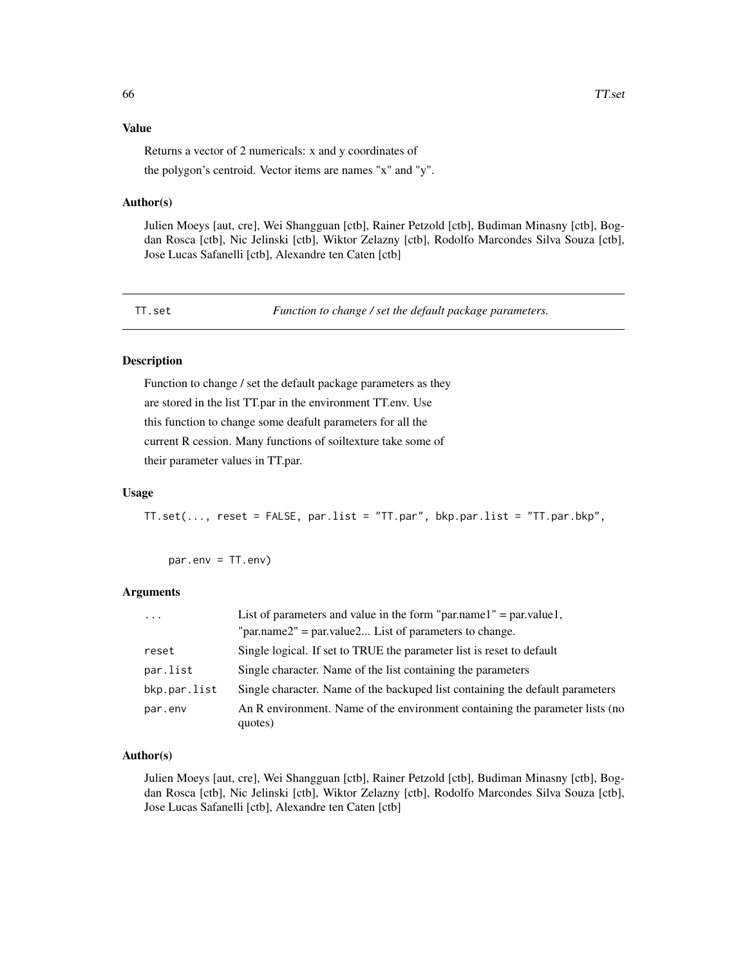### Value

Returns a vector of 2 numericals: x and y coordinates of

the polygon's centroid. Vector items are names "x" and "y".

### Author(s)

Julien Moeys [aut, cre], Wei Shangguan [ctb], Rainer Petzold [ctb], Budiman Minasny [ctb], Bogdan Rosca [ctb], Nic Jelinski [ctb], Wiktor Zelazny [ctb], Rodolfo Marcondes Silva Souza [ctb], Jose Lucas Safanelli [ctb], Alexandre ten Caten [ctb]

TT.set *Function to change / set the default package parameters.*

### Description

Function to change / set the default package parameters as they are stored in the list TT.par in the environment TT.env. Use this function to change some deafult parameters for all the current R cession. Many functions of soiltexture take some of their parameter values in TT.par.

#### Usage

TT.set(..., reset = FALSE, par.list = "TT.par", bkp.par.list = "TT.par.bkp",

par.env = TT.env)

### Arguments

| $\ddots$ .   | List of parameters and value in the form "par.name1" = par.value1,                      |  |
|--------------|-----------------------------------------------------------------------------------------|--|
|              | "par.name2" = par.value2 List of parameters to change.                                  |  |
| reset        | Single logical. If set to TRUE the parameter list is reset to default                   |  |
| par.list     | Single character. Name of the list containing the parameters                            |  |
| bkp.par.list | Single character. Name of the backuped list containing the default parameters           |  |
| par.env      | An R environment. Name of the environment containing the parameter lists (no<br>quotes) |  |

#### Author(s)

Julien Moeys [aut, cre], Wei Shangguan [ctb], Rainer Petzold [ctb], Budiman Minasny [ctb], Bogdan Rosca [ctb], Nic Jelinski [ctb], Wiktor Zelazny [ctb], Rodolfo Marcondes Silva Souza [ctb], Jose Lucas Safanelli [ctb], Alexandre ten Caten [ctb]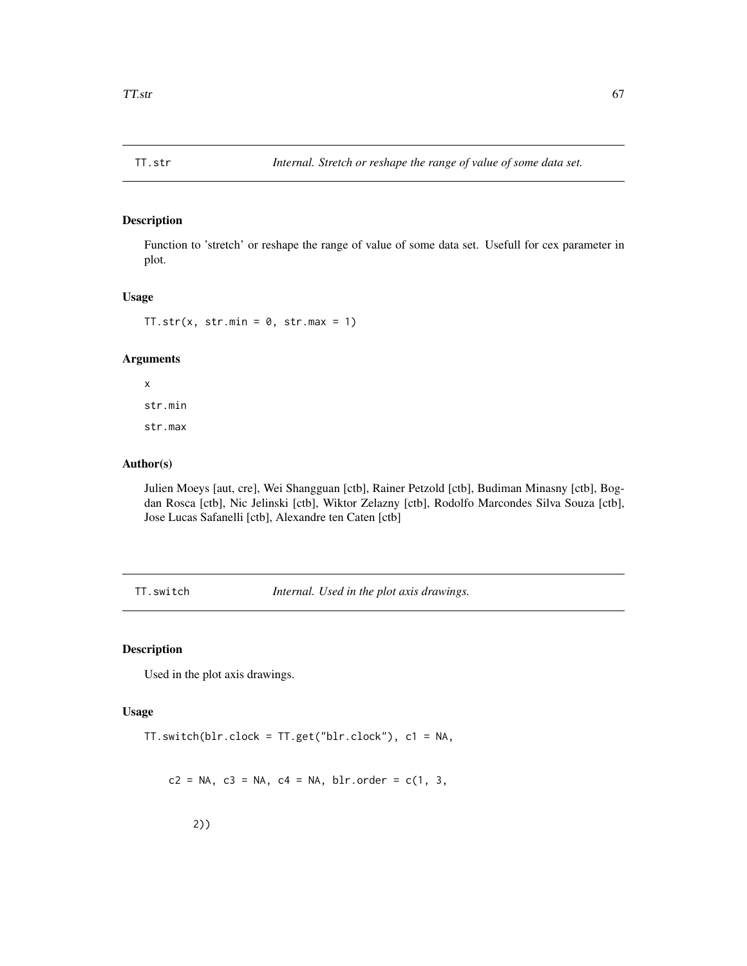## Description

Function to 'stretch' or reshape the range of value of some data set. Usefull for cex parameter in plot.

## Usage

TT.str(x, str.min =  $0$ , str.max = 1)

#### Arguments

x str.min str.max

### Author(s)

Julien Moeys [aut, cre], Wei Shangguan [ctb], Rainer Petzold [ctb], Budiman Minasny [ctb], Bogdan Rosca [ctb], Nic Jelinski [ctb], Wiktor Zelazny [ctb], Rodolfo Marcondes Silva Souza [ctb], Jose Lucas Safanelli [ctb], Alexandre ten Caten [ctb]

TT.switch *Internal. Used in the plot axis drawings.*

## Description

Used in the plot axis drawings.

### Usage

TT.switch(blr.clock = TT.get("blr.clock"), c1 = NA,

 $c2 = NA$ ,  $c3 = NA$ ,  $c4 = NA$ ,  $blr$ .order =  $c(1, 3)$ ,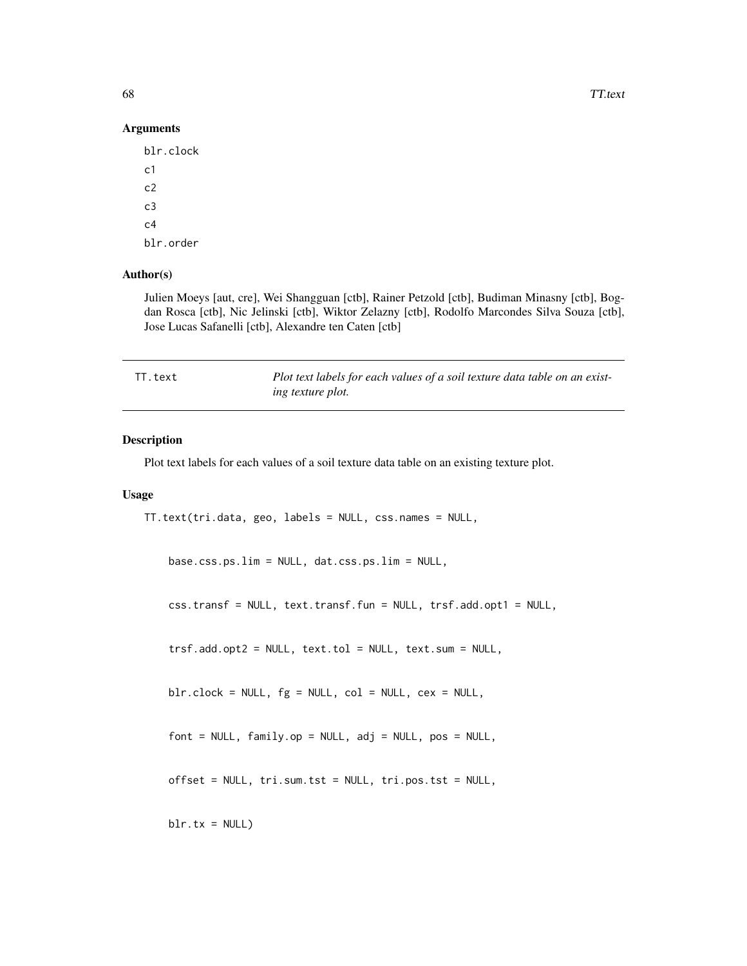68 TT.text

### Arguments

blr.clock c1 c2 c3  $c<sub>4</sub>$ blr.order

## Author(s)

Julien Moeys [aut, cre], Wei Shangguan [ctb], Rainer Petzold [ctb], Budiman Minasny [ctb], Bogdan Rosca [ctb], Nic Jelinski [ctb], Wiktor Zelazny [ctb], Rodolfo Marcondes Silva Souza [ctb], Jose Lucas Safanelli [ctb], Alexandre ten Caten [ctb]

| TT.text | Plot text labels for each values of a soil texture data table on an exist- |
|---------|----------------------------------------------------------------------------|
|         | ing texture plot.                                                          |

### Description

Plot text labels for each values of a soil texture data table on an existing texture plot.

#### Usage

```
TT.text(tri.data, geo, labels = NULL, css.names = NULL,
```
base.css.ps.lim = NULL, dat.css.ps.lim = NULL,

css.transf = NULL, text.transf.fun = NULL, trsf.add.opt1 = NULL,

trsf.add.opt2 = NULL, text.tol = NULL, text.sum = NULL,

blr.clock = NULL, fg = NULL, col = NULL, cex = NULL,

```
font = NULL, family.op = NULL, adj = NULL, pos = NULL,
```

```
offset = NULL, tri.sum.tst = NULL, tri.pos.tst = NULL,
```

```
blr.txt = NULL)
```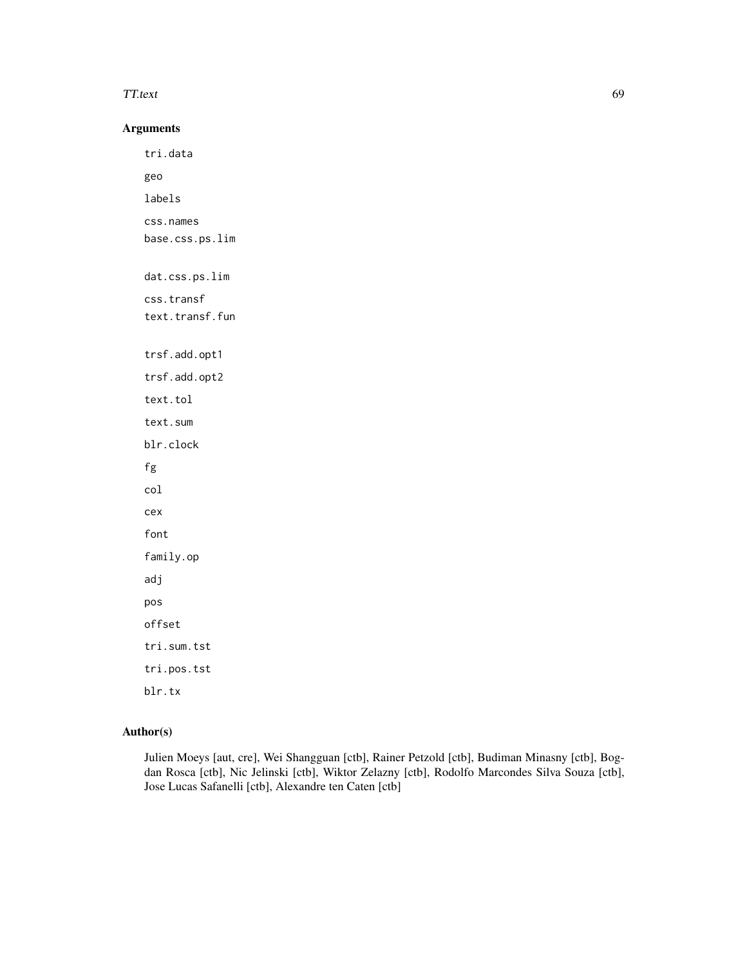#### TT.text 69

## Arguments

tri.data geo labels css.names base.css.ps.lim dat.css.ps.lim css.transf text.transf.fun trsf.add.opt1 trsf.add.opt2 text.tol text.sum blr.clock fg col cex font family.op adj pos offset tri.sum.tst tri.pos.tst blr.tx

## Author(s)

Julien Moeys [aut, cre], Wei Shangguan [ctb], Rainer Petzold [ctb], Budiman Minasny [ctb], Bogdan Rosca [ctb], Nic Jelinski [ctb], Wiktor Zelazny [ctb], Rodolfo Marcondes Silva Souza [ctb], Jose Lucas Safanelli [ctb], Alexandre ten Caten [ctb]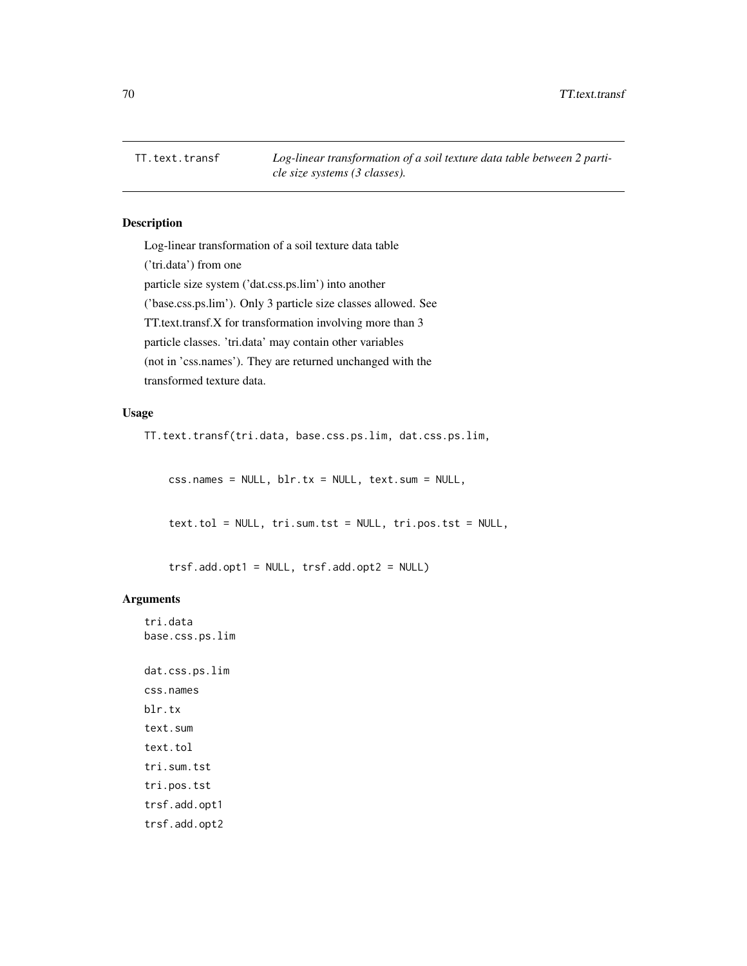TT.text.transf *Log-linear transformation of a soil texture data table between 2 particle size systems (3 classes).*

## Description

Log-linear transformation of a soil texture data table ('tri.data') from one particle size system ('dat.css.ps.lim') into another ('base.css.ps.lim'). Only 3 particle size classes allowed. See TT.text.transf.X for transformation involving more than 3 particle classes. 'tri.data' may contain other variables (not in 'css.names'). They are returned unchanged with the transformed texture data.

### Usage

TT.text.transf(tri.data, base.css.ps.lim, dat.css.ps.lim,

 $\text{css}.\text{names} = \text{NULL}, \text{blr.txt} = \text{NULL}, \text{text.sum} = \text{NULL},$ 

text.tol = NULL, tri.sum.tst = NULL, tri.pos.tst = NULL,

trsf.add.opt1 = NULL, trsf.add.opt2 = NULL)

### Arguments

tri.data base.css.ps.lim

dat.css.ps.lim css.names blr.tx text.sum text.tol tri.sum.tst tri.pos.tst trsf.add.opt1 trsf.add.opt2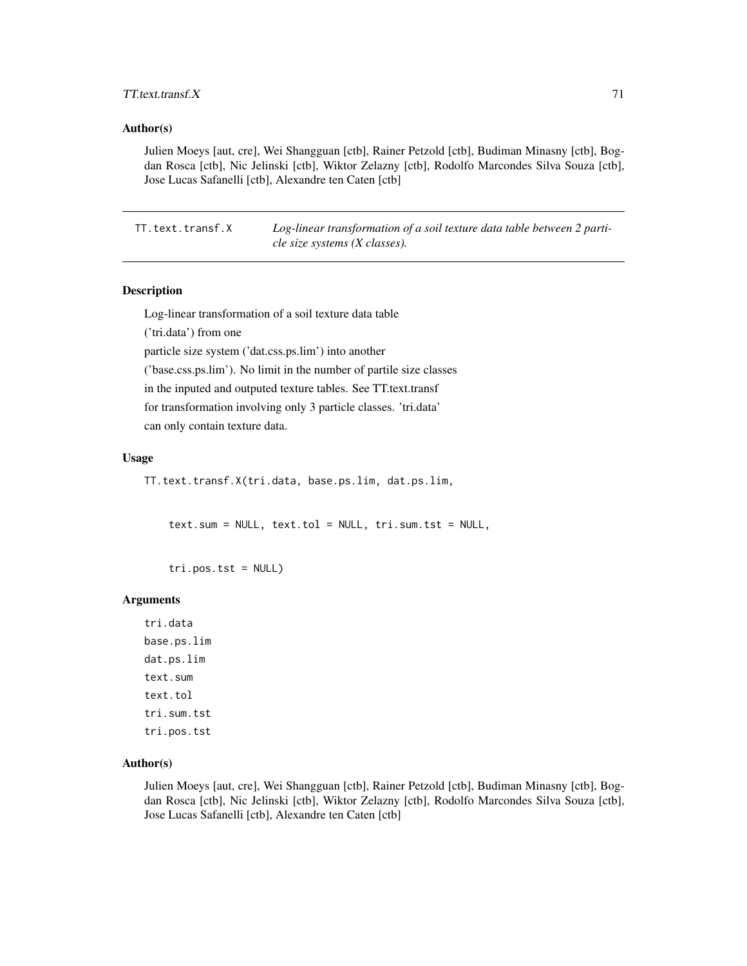## $TT.$ text.transf. $X$  71

### Author(s)

Julien Moeys [aut, cre], Wei Shangguan [ctb], Rainer Petzold [ctb], Budiman Minasny [ctb], Bogdan Rosca [ctb], Nic Jelinski [ctb], Wiktor Zelazny [ctb], Rodolfo Marcondes Silva Souza [ctb], Jose Lucas Safanelli [ctb], Alexandre ten Caten [ctb]

TT.text.transf.X *Log-linear transformation of a soil texture data table between 2 particle size systems (X classes).*

## Description

Log-linear transformation of a soil texture data table

('tri.data') from one

particle size system ('dat.css.ps.lim') into another

('base.css.ps.lim'). No limit in the number of partile size classes

in the inputed and outputed texture tables. See TT.text.transf

for transformation involving only 3 particle classes. 'tri.data'

can only contain texture data.

#### Usage

TT.text.transf.X(tri.data, base.ps.lim, dat.ps.lim,

text.sum = NULL, text.tol = NULL, tri.sum.tst = NULL,

tri.pos.tst = NULL)

#### Arguments

tri.data base.ps.lim dat.ps.lim text.sum text.tol tri.sum.tst tri.pos.tst

### Author(s)

Julien Moeys [aut, cre], Wei Shangguan [ctb], Rainer Petzold [ctb], Budiman Minasny [ctb], Bogdan Rosca [ctb], Nic Jelinski [ctb], Wiktor Zelazny [ctb], Rodolfo Marcondes Silva Souza [ctb], Jose Lucas Safanelli [ctb], Alexandre ten Caten [ctb]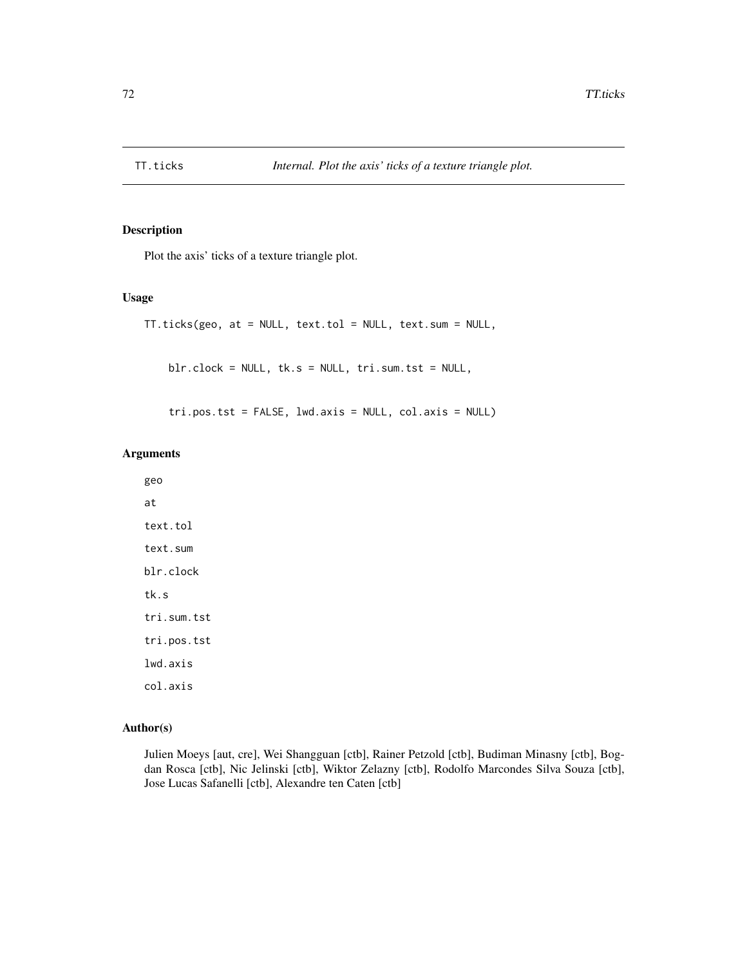## Description

Plot the axis' ticks of a texture triangle plot.

## Usage

```
TT.ticks(geo, at = NULL, text.tol = NULL, text.sum = NULL,
   blr.clock = NULL, tk.s = NULL, tri.sum.tst = NULL,
```
tri.pos.tst = FALSE, lwd.axis = NULL, col.axis = NULL)

### Arguments

geo at text.tol text.sum blr.clock tk.s tri.sum.tst tri.pos.tst lwd.axis

col.axis

### Author(s)

Julien Moeys [aut, cre], Wei Shangguan [ctb], Rainer Petzold [ctb], Budiman Minasny [ctb], Bogdan Rosca [ctb], Nic Jelinski [ctb], Wiktor Zelazny [ctb], Rodolfo Marcondes Silva Souza [ctb], Jose Lucas Safanelli [ctb], Alexandre ten Caten [ctb]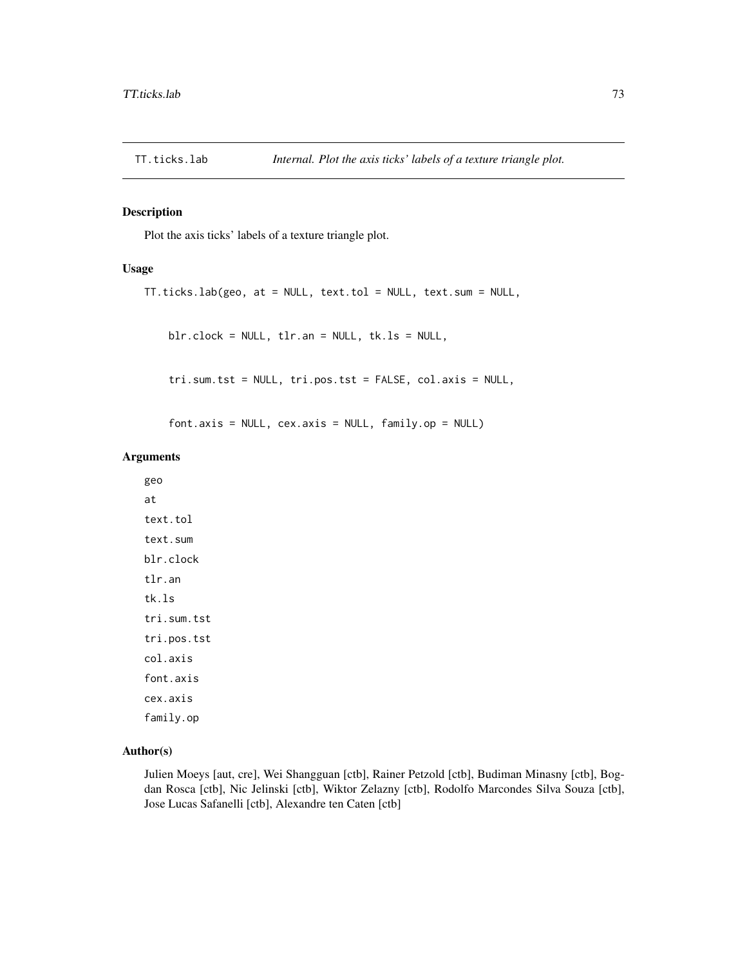<span id="page-72-0"></span>

## Description

Plot the axis ticks' labels of a texture triangle plot.

## Usage

```
TT.ticks.lab(geo, at = NULL, text.tol = NULL, text.sum = NULL,
```
blr.clock = NULL, tlr.an = NULL, tk.ls = NULL,

tri.sum.tst = NULL, tri.pos.tst = FALSE, col.axis = NULL,

font.axis = NULL, cex.axis = NULL, family.op = NULL)

## Arguments

geo at text.tol text.sum blr.clock tlr.an tk.ls tri.sum.tst tri.pos.tst col.axis font.axis cex.axis family.op

## Author(s)

Julien Moeys [aut, cre], Wei Shangguan [ctb], Rainer Petzold [ctb], Budiman Minasny [ctb], Bogdan Rosca [ctb], Nic Jelinski [ctb], Wiktor Zelazny [ctb], Rodolfo Marcondes Silva Souza [ctb], Jose Lucas Safanelli [ctb], Alexandre ten Caten [ctb]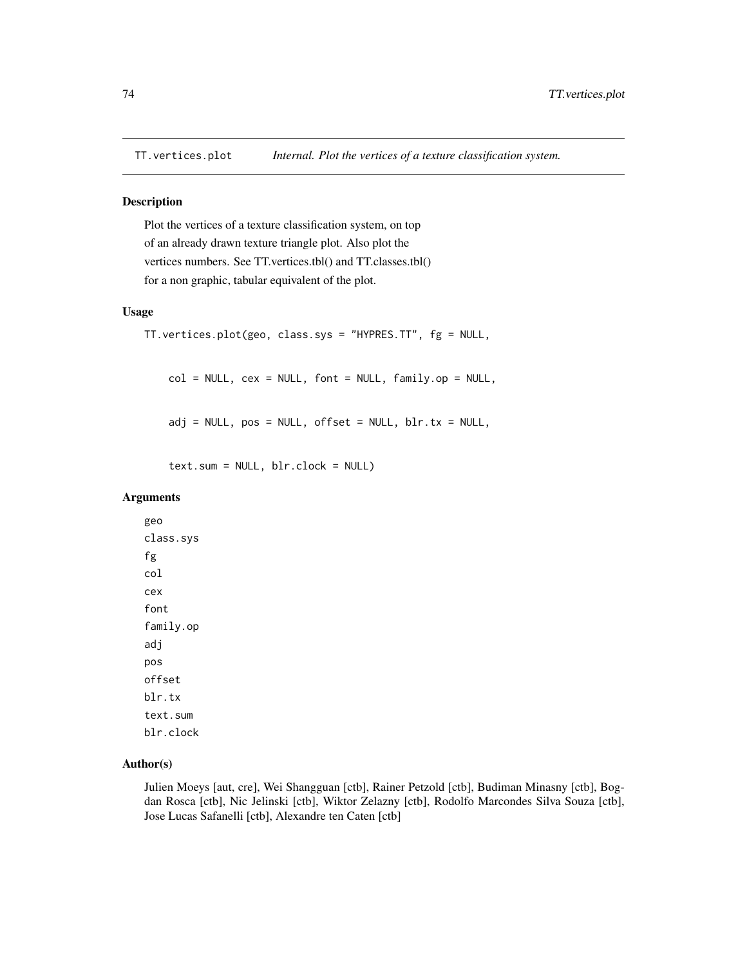<span id="page-73-0"></span>

## Description

Plot the vertices of a texture classification system, on top of an already drawn texture triangle plot. Also plot the vertices numbers. See TT.vertices.tbl() and TT.classes.tbl() for a non graphic, tabular equivalent of the plot.

## Usage

```
TT.vertices.plot(geo, class.sys = "HYPRES.TT", fg = NULL,
col = NULL, cex = NULL, font = NULL, family cop = NULL,
adj = NULL, pos = NULL, offset = NULL, blir.tx = NULL,text.sum = NULL, blr.clock = NULL)
```
#### Arguments

geo class.sys fg col cex font family.op adj pos offset blr.tx text.sum blr.clock

## Author(s)

Julien Moeys [aut, cre], Wei Shangguan [ctb], Rainer Petzold [ctb], Budiman Minasny [ctb], Bogdan Rosca [ctb], Nic Jelinski [ctb], Wiktor Zelazny [ctb], Rodolfo Marcondes Silva Souza [ctb], Jose Lucas Safanelli [ctb], Alexandre ten Caten [ctb]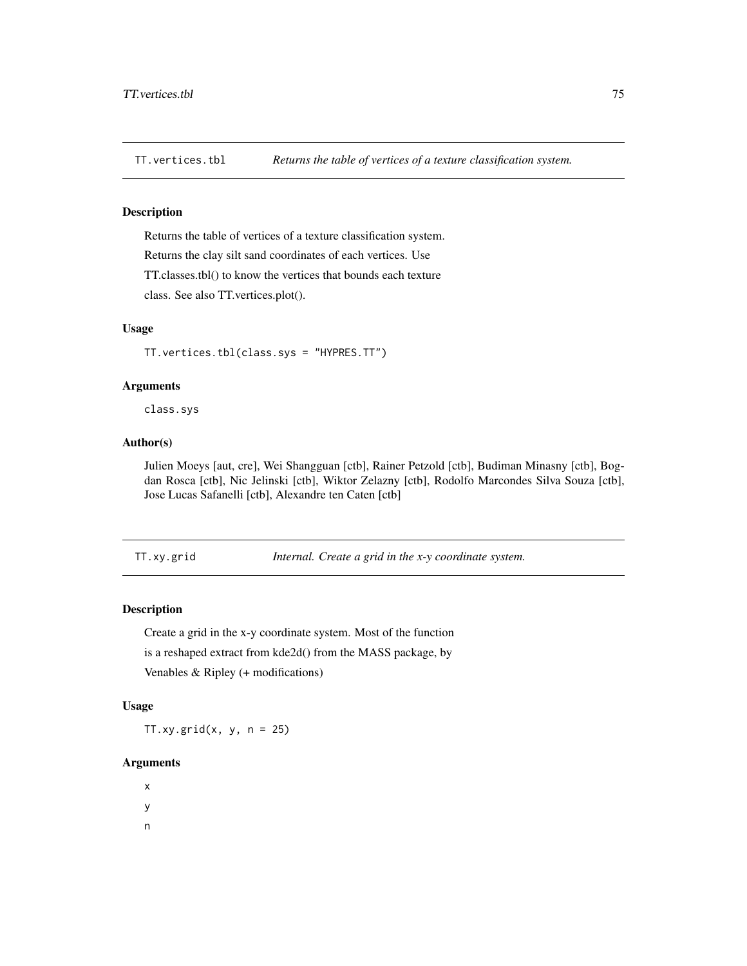<span id="page-74-0"></span>

## Description

Returns the table of vertices of a texture classification system. Returns the clay silt sand coordinates of each vertices. Use TT.classes.tbl() to know the vertices that bounds each texture class. See also TT.vertices.plot().

## Usage

TT.vertices.tbl(class.sys = "HYPRES.TT")

#### Arguments

class.sys

## Author(s)

Julien Moeys [aut, cre], Wei Shangguan [ctb], Rainer Petzold [ctb], Budiman Minasny [ctb], Bogdan Rosca [ctb], Nic Jelinski [ctb], Wiktor Zelazny [ctb], Rodolfo Marcondes Silva Souza [ctb], Jose Lucas Safanelli [ctb], Alexandre ten Caten [ctb]

TT.xy.grid *Internal. Create a grid in the x-y coordinate system.*

## Description

Create a grid in the x-y coordinate system. Most of the function is a reshaped extract from kde2d() from the MASS package, by Venables & Ripley (+ modifications)

## Usage

 $TT.xy.grid(x, y, n = 25)$ 

## Arguments

x y

n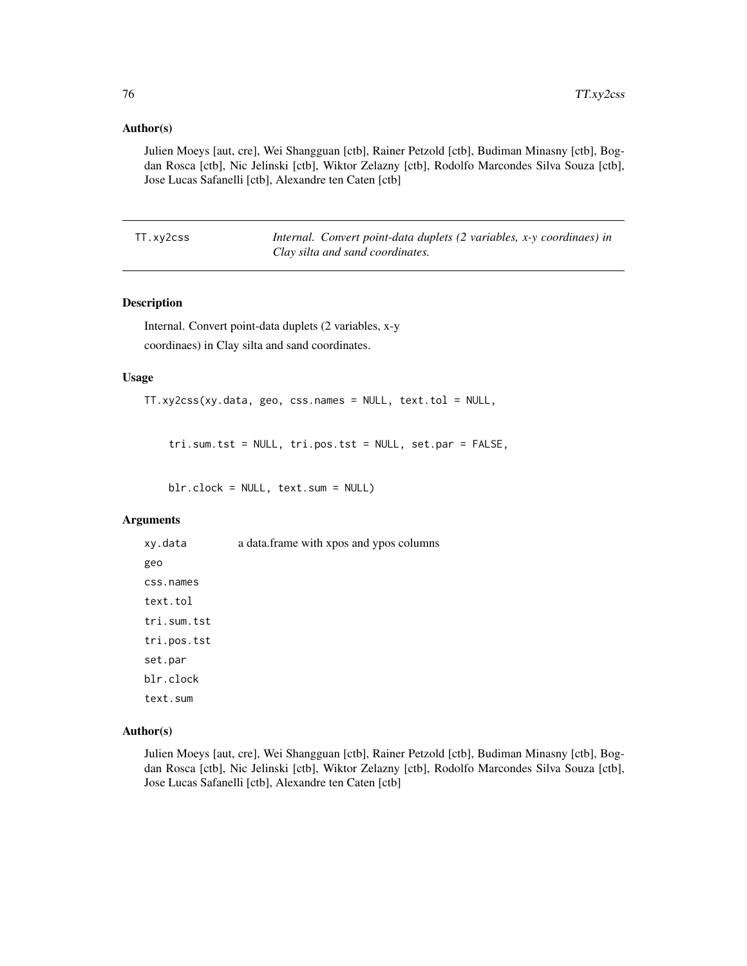## <span id="page-75-0"></span>Author(s)

Julien Moeys [aut, cre], Wei Shangguan [ctb], Rainer Petzold [ctb], Budiman Minasny [ctb], Bogdan Rosca [ctb], Nic Jelinski [ctb], Wiktor Zelazny [ctb], Rodolfo Marcondes Silva Souza [ctb], Jose Lucas Safanelli [ctb], Alexandre ten Caten [ctb]

TT.xy2css *Internal. Convert point-data duplets (2 variables, x-y coordinaes) in Clay silta and sand coordinates.*

## Description

Internal. Convert point-data duplets (2 variables, x-y coordinaes) in Clay silta and sand coordinates.

#### Usage

TT.xy2css(xy.data, geo, css.names = NULL, text.tol = NULL,

tri.sum.tst = NULL, tri.pos.tst = NULL, set.par = FALSE,

blr.clock = NULL, text.sum = NULL)

#### Arguments

xy.data a data.frame with xpos and ypos columns geo css.names text.tol tri.sum.tst tri.pos.tst set.par blr.clock text.sum

## Author(s)

Julien Moeys [aut, cre], Wei Shangguan [ctb], Rainer Petzold [ctb], Budiman Minasny [ctb], Bogdan Rosca [ctb], Nic Jelinski [ctb], Wiktor Zelazny [ctb], Rodolfo Marcondes Silva Souza [ctb], Jose Lucas Safanelli [ctb], Alexandre ten Caten [ctb]